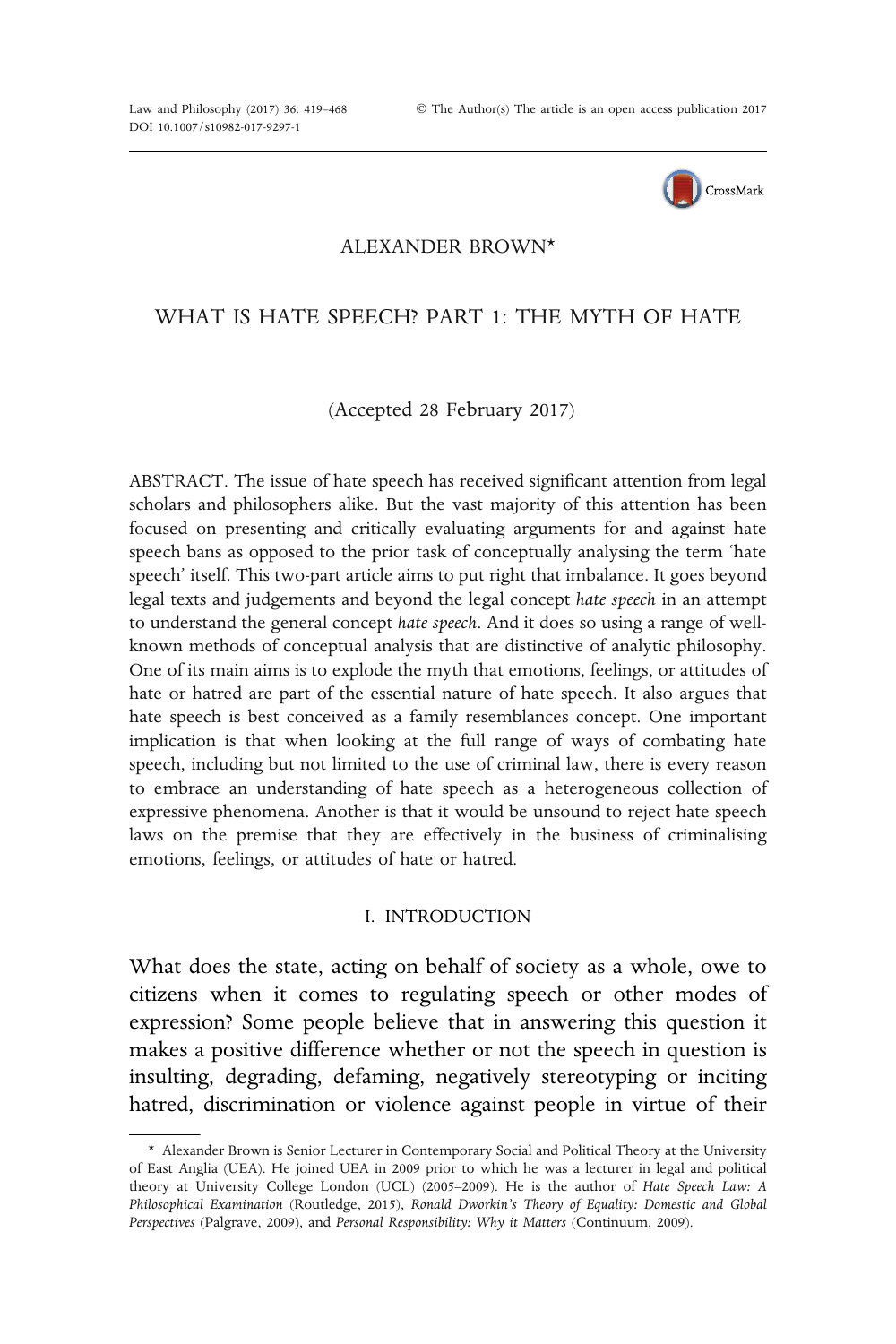

## ALEXANDER BROWN\*

# WHAT IS HATE SPEECH? PART 1: THE MYTH OF HATE

(Accepted 28 February 2017)

ABSTRACT. The issue of hate speech has received significant attention from legal scholars and philosophers alike. But the vast majority of this attention has been focused on presenting and critically evaluating arguments for and against hate speech bans as opposed to the prior task of conceptually analysing the term 'hate speech' itself. This two-part article aims to put right that imbalance. It goes beyond legal texts and judgements and beyond the legal concept hate speech in an attempt to understand the general concept hate speech. And it does so using a range of wellknown methods of conceptual analysis that are distinctive of analytic philosophy. One of its main aims is to explode the myth that emotions, feelings, or attitudes of hate or hatred are part of the essential nature of hate speech. It also argues that hate speech is best conceived as a family resemblances concept. One important implication is that when looking at the full range of ways of combating hate speech, including but not limited to the use of criminal law, there is every reason to embrace an understanding of hate speech as a heterogeneous collection of expressive phenomena. Another is that it would be unsound to reject hate speech laws on the premise that they are effectively in the business of criminalising emotions, feelings, or attitudes of hate or hatred.

### I. INTRODUCTION

What does the state, acting on behalf of society as a whole, owe to citizens when it comes to regulating speech or other modes of expression? Some people believe that in answering this question it makes a positive difference whether or not the speech in question is insulting, degrading, defaming, negatively stereotyping or inciting hatred, discrimination or violence against people in virtue of their

<sup>\*</sup> Alexander Brown is Senior Lecturer in Contemporary Social and Political Theory at the University of East Anglia (UEA). He joined UEA in 2009 prior to which he was a lecturer in legal and political theory at University College London (UCL) (2005–2009). He is the author of Hate Speech Law: A Philosophical Examination (Routledge, 2015), Ronald Dworkin's Theory of Equality: Domestic and Global Perspectives (Palgrave, 2009), and Personal Responsibility: Why it Matters (Continuum, 2009).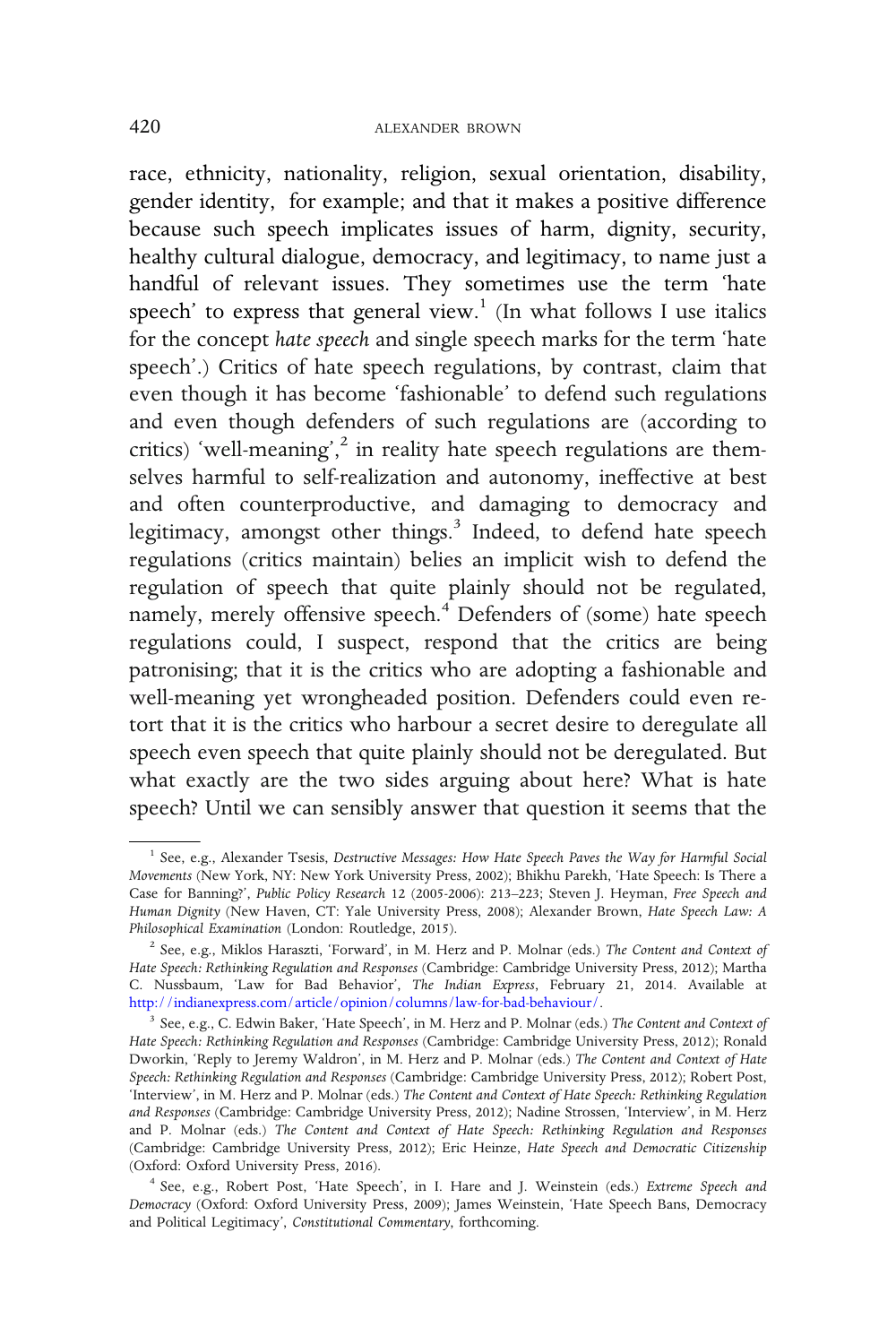race, ethnicity, nationality, religion, sexual orientation, disability, gender identity, for example; and that it makes a positive difference because such speech implicates issues of harm, dignity, security, healthy cultural dialogue, democracy, and legitimacy, to name just a handful of relevant issues. They sometimes use the term 'hate speech' to express that general view.<sup>1</sup> (In what follows I use italics for the concept hate speech and single speech marks for the term 'hate speech'.) Critics of hate speech regulations, by contrast, claim that even though it has become 'fashionable' to defend such regulations and even though defenders of such regulations are (according to critics) 'well-meaning', $^2$  in reality hate speech regulations are themselves harmful to self-realization and autonomy, ineffective at best and often counterproductive, and damaging to democracy and legitimacy, amongst other things.<sup>3</sup> Indeed, to defend hate speech regulations (critics maintain) belies an implicit wish to defend the regulation of speech that quite plainly should not be regulated, namely, merely offensive speech.<sup>4</sup> Defenders of (some) hate speech regulations could, I suspect, respond that the critics are being patronising; that it is the critics who are adopting a fashionable and well-meaning yet wrongheaded position. Defenders could even retort that it is the critics who harbour a secret desire to deregulate all speech even speech that quite plainly should not be deregulated. But what exactly are the two sides arguing about here? What is hate speech? Until we can sensibly answer that question it seems that the

<sup>&</sup>lt;sup>1</sup> See, e.g., Alexander Tsesis, Destructive Messages: How Hate Speech Paves the Way for Harmful Social Movements (New York, NY: New York University Press, 2002); Bhikhu Parekh, 'Hate Speech: Is There a Case for Banning?', Public Policy Research 12 (2005-2006): 213–223; Steven J. Heyman, Free Speech and Human Dignity (New Haven, CT: Yale University Press, 2008); Alexander Brown, Hate Speech Law: A Philosophical Examination (London: Routledge, 2015).

<sup>&</sup>lt;sup>2</sup> See, e.g., Miklos Haraszti, 'Forward', in M. Herz and P. Molnar (eds.) The Content and Context of Hate Speech: Rethinking Regulation and Responses (Cambridge: Cambridge University Press, 2012); Martha C. Nussbaum, 'Law for Bad Behavior', The Indian Express, February 21, 2014. Available at <http://indianexpress.com/article/opinion/columns/law-for-bad-behaviour/>.

<sup>&</sup>lt;sup>3</sup> See, e.g., C. Edwin Baker, 'Hate Speech', in M. Herz and P. Molnar (eds.) The Content and Context of Hate Speech: Rethinking Regulation and Responses (Cambridge: Cambridge University Press, 2012); Ronald Dworkin, 'Reply to Jeremy Waldron', in M. Herz and P. Molnar (eds.) The Content and Context of Hate Speech: Rethinking Regulation and Responses (Cambridge: Cambridge University Press, 2012); Robert Post, 'Interview', in M. Herz and P. Molnar (eds.) The Content and Context of Hate Speech: Rethinking Regulation and Responses (Cambridge: Cambridge University Press, 2012); Nadine Strossen, 'Interview', in M. Herz and P. Molnar (eds.) The Content and Context of Hate Speech: Rethinking Regulation and Responses (Cambridge: Cambridge University Press, 2012); Eric Heinze, Hate Speech and Democratic Citizenship (Oxford: Oxford University Press, 2016).

<sup>&</sup>lt;sup>4</sup> See, e.g., Robert Post, 'Hate Speech', in I. Hare and J. Weinstein (eds.) Extreme Speech and Democracy (Oxford: Oxford University Press, 2009); James Weinstein, 'Hate Speech Bans, Democracy and Political Legitimacy', Constitutional Commentary, forthcoming.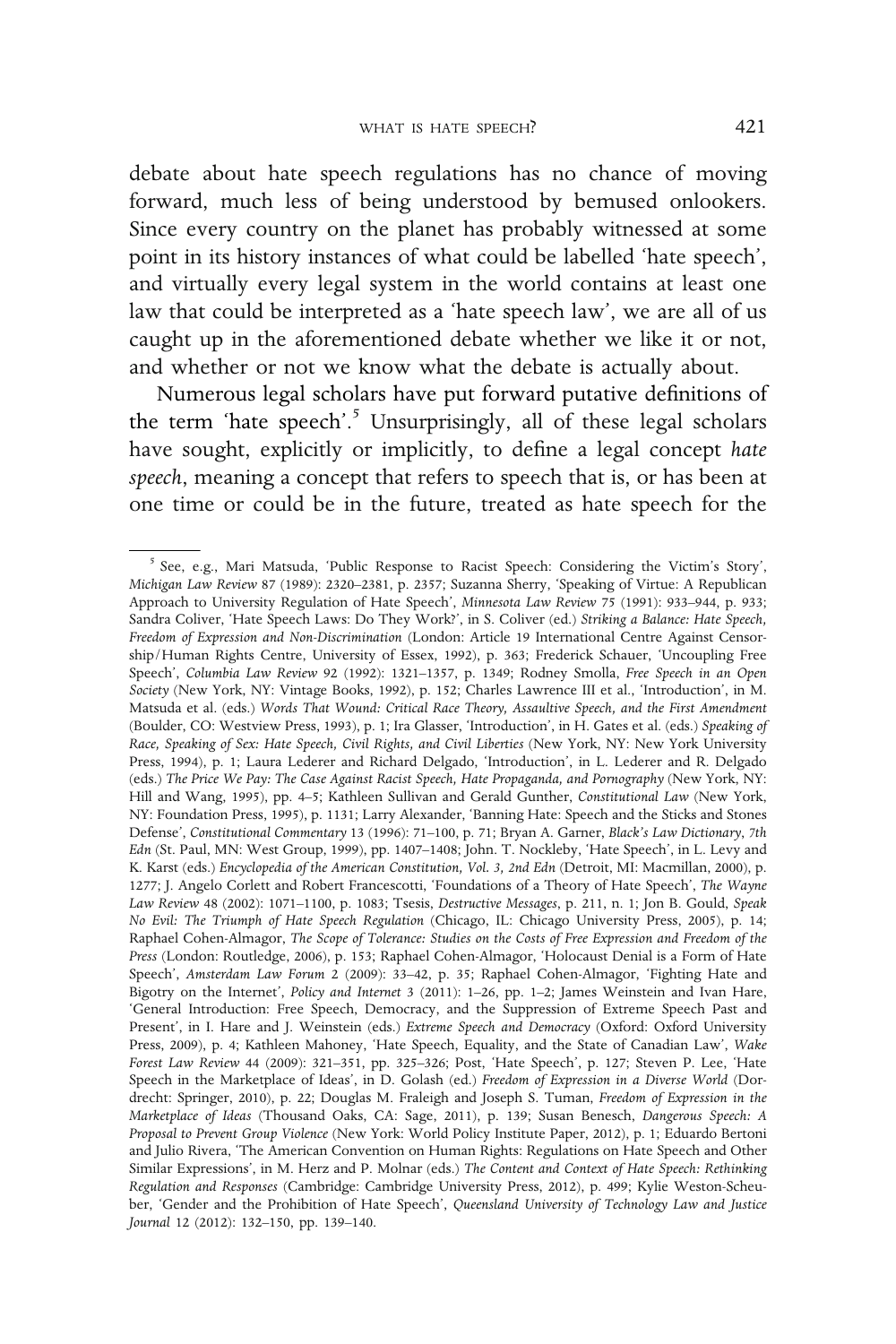debate about hate speech regulations has no chance of moving forward, much less of being understood by bemused onlookers. Since every country on the planet has probably witnessed at some point in its history instances of what could be labelled 'hate speech', and virtually every legal system in the world contains at least one law that could be interpreted as a 'hate speech law', we are all of us caught up in the aforementioned debate whether we like it or not, and whether or not we know what the debate is actually about.

Numerous legal scholars have put forward putative definitions of the term 'hate speech'.<sup>5</sup> Unsurprisingly, all of these legal scholars have sought, explicitly or implicitly, to define a legal concept hate speech, meaning a concept that refers to speech that is, or has been at one time or could be in the future, treated as hate speech for the

<sup>5</sup> See, e.g., Mari Matsuda, 'Public Response to Racist Speech: Considering the Victim's Story', Michigan Law Review 87 (1989): 2320–2381, p. 2357; Suzanna Sherry, 'Speaking of Virtue: A Republican Approach to University Regulation of Hate Speech', Minnesota Law Review 75 (1991): 933–944, p. 933; Sandra Coliver, 'Hate Speech Laws: Do They Work?', in S. Coliver (ed.) Striking a Balance: Hate Speech, Freedom of Expression and Non-Discrimination (London: Article 19 International Centre Against Censorship/Human Rights Centre, University of Essex, 1992), p. 363; Frederick Schauer, 'Uncoupling Free Speech', Columbia Law Review 92 (1992): 1321–1357, p. 1349; Rodney Smolla, Free Speech in an Open Society (New York, NY: Vintage Books, 1992), p. 152; Charles Lawrence III et al., 'Introduction', in M. Matsuda et al. (eds.) Words That Wound: Critical Race Theory, Assaultive Speech, and the First Amendment (Boulder, CO: Westview Press, 1993), p. 1; Ira Glasser, 'Introduction', in H. Gates et al. (eds.) Speaking of Race, Speaking of Sex: Hate Speech, Civil Rights, and Civil Liberties (New York, NY: New York University Press, 1994), p. 1; Laura Lederer and Richard Delgado, 'Introduction', in L. Lederer and R. Delgado (eds.) The Price We Pay: The Case Against Racist Speech, Hate Propaganda, and Pornography (New York, NY: Hill and Wang, 1995), pp. 4–5; Kathleen Sullivan and Gerald Gunther, Constitutional Law (New York, NY: Foundation Press, 1995), p. 1131; Larry Alexander, 'Banning Hate: Speech and the Sticks and Stones Defense', Constitutional Commentary 13 (1996): 71–100, p. 71; Bryan A. Garner, Black's Law Dictionary, 7th Edn (St. Paul, MN: West Group, 1999), pp. 1407–1408; John. T. Nockleby, 'Hate Speech', in L. Levy and K. Karst (eds.) Encyclopedia of the American Constitution, Vol. 3, 2nd Edn (Detroit, MI: Macmillan, 2000), p. 1277; J. Angelo Corlett and Robert Francescotti, 'Foundations of a Theory of Hate Speech', The Wayne Law Review 48 (2002): 1071–1100, p. 1083; Tsesis, Destructive Messages, p. 211, n. 1; Jon B. Gould, Speak No Evil: The Triumph of Hate Speech Regulation (Chicago, IL: Chicago University Press, 2005), p. 14; Raphael Cohen-Almagor, The Scope of Tolerance: Studies on the Costs of Free Expression and Freedom of the Press (London: Routledge, 2006), p. 153; Raphael Cohen-Almagor, 'Holocaust Denial is a Form of Hate Speech', Amsterdam Law Forum 2 (2009): 33–42, p. 35; Raphael Cohen-Almagor, 'Fighting Hate and Bigotry on the Internet', Policy and Internet 3 (2011): 1–26, pp. 1–2; James Weinstein and Ivan Hare, 'General Introduction: Free Speech, Democracy, and the Suppression of Extreme Speech Past and Present', in I. Hare and J. Weinstein (eds.) Extreme Speech and Democracy (Oxford: Oxford University Press, 2009), p. 4; Kathleen Mahoney, 'Hate Speech, Equality, and the State of Canadian Law', Wake Forest Law Review 44 (2009): 321–351, pp. 325–326; Post, 'Hate Speech', p. 127; Steven P. Lee, 'Hate Speech in the Marketplace of Ideas', in D. Golash (ed.) Freedom of Expression in a Diverse World (Dordrecht: Springer, 2010), p. 22; Douglas M. Fraleigh and Joseph S. Tuman, Freedom of Expression in the Marketplace of Ideas (Thousand Oaks, CA: Sage, 2011), p. 139; Susan Benesch, Dangerous Speech: A Proposal to Prevent Group Violence (New York: World Policy Institute Paper, 2012), p. 1; Eduardo Bertoni and Julio Rivera, 'The American Convention on Human Rights: Regulations on Hate Speech and Other Similar Expressions', in M. Herz and P. Molnar (eds.) The Content and Context of Hate Speech: Rethinking Regulation and Responses (Cambridge: Cambridge University Press, 2012), p. 499; Kylie Weston-Scheuber, 'Gender and the Prohibition of Hate Speech', Queensland University of Technology Law and Justice Journal 12 (2012): 132–150, pp. 139–140.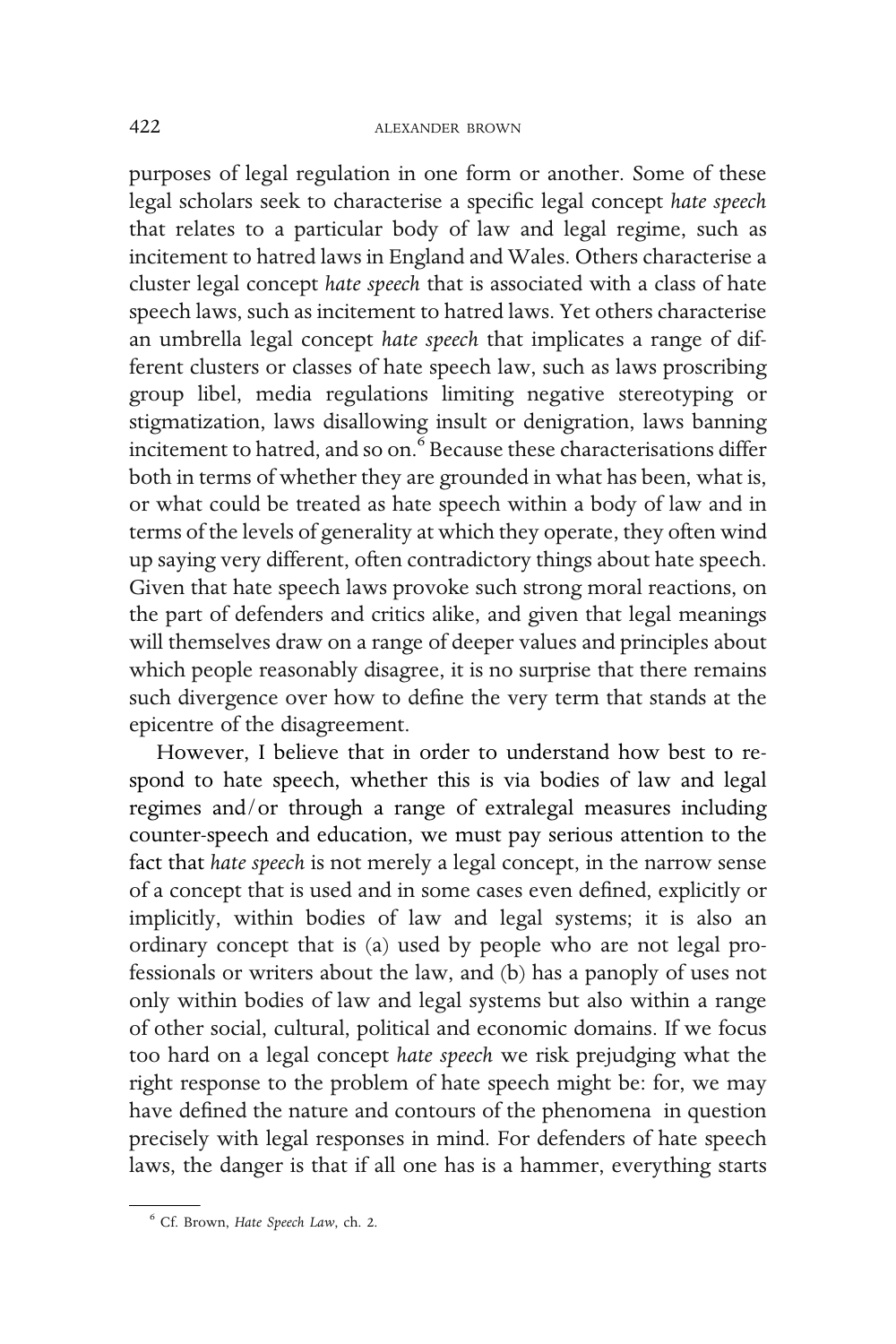purposes of legal regulation in one form or another. Some of these legal scholars seek to characterise a specific legal concept hate speech that relates to a particular body of law and legal regime, such as incitement to hatred laws in England and Wales. Others characterise a cluster legal concept hate speech that is associated with a class of hate speech laws, such as incitement to hatred laws. Yet others characterise an umbrella legal concept hate speech that implicates a range of different clusters or classes of hate speech law, such as laws proscribing group libel, media regulations limiting negative stereotyping or stigmatization, laws disallowing insult or denigration, laws banning incitement to hatred, and so on. $\frac{6}{6}$  Because these characterisations differ both in terms of whether they are grounded in what has been, what is, or what could be treated as hate speech within a body of law and in terms of the levels of generality at which they operate, they often wind up saying very different, often contradictory things about hate speech. Given that hate speech laws provoke such strong moral reactions, on the part of defenders and critics alike, and given that legal meanings will themselves draw on a range of deeper values and principles about which people reasonably disagree, it is no surprise that there remains such divergence over how to define the very term that stands at the epicentre of the disagreement.

However, I believe that in order to understand how best to respond to hate speech, whether this is via bodies of law and legal regimes and/or through a range of extralegal measures including counter-speech and education, we must pay serious attention to the fact that hate speech is not merely a legal concept, in the narrow sense of a concept that is used and in some cases even defined, explicitly or implicitly, within bodies of law and legal systems; it is also an ordinary concept that is (a) used by people who are not legal professionals or writers about the law, and (b) has a panoply of uses not only within bodies of law and legal systems but also within a range of other social, cultural, political and economic domains. If we focus too hard on a legal concept hate speech we risk prejudging what the right response to the problem of hate speech might be: for, we may have defined the nature and contours of the phenomena in question precisely with legal responses in mind. For defenders of hate speech laws, the danger is that if all one has is a hammer, everything starts

<sup>6</sup> Cf. Brown, Hate Speech Law, ch. 2.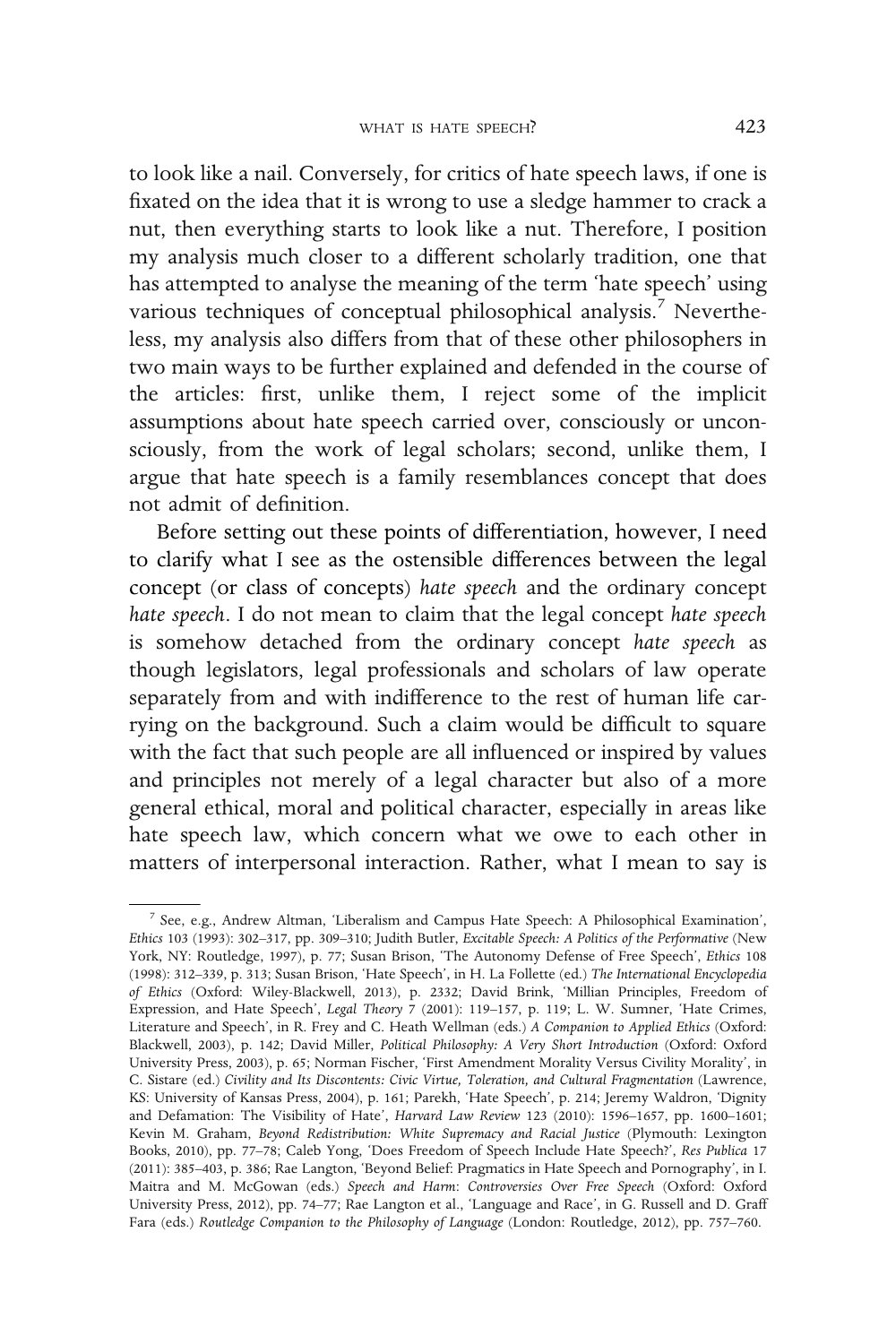to look like a nail. Conversely, for critics of hate speech laws, if one is fixated on the idea that it is wrong to use a sledge hammer to crack a nut, then everything starts to look like a nut. Therefore, I position my analysis much closer to a different scholarly tradition, one that has attempted to analyse the meaning of the term 'hate speech' using various techniques of conceptual philosophical analysis.<sup>7</sup> Nevertheless, my analysis also differs from that of these other philosophers in two main ways to be further explained and defended in the course of the articles: first, unlike them, I reject some of the implicit assumptions about hate speech carried over, consciously or unconsciously, from the work of legal scholars; second, unlike them, I argue that hate speech is a family resemblances concept that does not admit of definition.

Before setting out these points of differentiation, however, I need to clarify what I see as the ostensible differences between the legal concept (or class of concepts) hate speech and the ordinary concept hate speech. I do not mean to claim that the legal concept hate speech is somehow detached from the ordinary concept hate speech as though legislators, legal professionals and scholars of law operate separately from and with indifference to the rest of human life carrying on the background. Such a claim would be difficult to square with the fact that such people are all influenced or inspired by values and principles not merely of a legal character but also of a more general ethical, moral and political character, especially in areas like hate speech law, which concern what we owe to each other in matters of interpersonal interaction. Rather, what I mean to say is

<sup>7</sup> See, e.g., Andrew Altman, 'Liberalism and Campus Hate Speech: A Philosophical Examination', Ethics 103 (1993): 302–317, pp. 309–310; Judith Butler, Excitable Speech: A Politics of the Performative (New York, NY: Routledge, 1997), p. 77; Susan Brison, 'The Autonomy Defense of Free Speech', Ethics 108 (1998): 312–339, p. 313; Susan Brison, 'Hate Speech', in H. La Follette (ed.) The International Encyclopedia of Ethics (Oxford: Wiley-Blackwell, 2013), p. 2332; David Brink, 'Millian Principles, Freedom of Expression, and Hate Speech', Legal Theory 7 (2001): 119–157, p. 119; L. W. Sumner, 'Hate Crimes, Literature and Speech', in R. Frey and C. Heath Wellman (eds.) A Companion to Applied Ethics (Oxford: Blackwell, 2003), p. 142; David Miller, Political Philosophy: A Very Short Introduction (Oxford: Oxford University Press, 2003), p. 65; Norman Fischer, 'First Amendment Morality Versus Civility Morality', in C. Sistare (ed.) Civility and Its Discontents: Civic Virtue, Toleration, and Cultural Fragmentation (Lawrence, KS: University of Kansas Press, 2004), p. 161; Parekh, 'Hate Speech', p. 214; Jeremy Waldron, 'Dignity and Defamation: The Visibility of Hate', Harvard Law Review 123 (2010): 1596–1657, pp. 1600–1601; Kevin M. Graham, Beyond Redistribution: White Supremacy and Racial Justice (Plymouth: Lexington Books, 2010), pp. 77–78; Caleb Yong, 'Does Freedom of Speech Include Hate Speech?', Res Publica 17 (2011): 385–403, p. 386; Rae Langton, 'Beyond Belief: Pragmatics in Hate Speech and Pornography', in I. Maitra and M. McGowan (eds.) Speech and Harm: Controversies Over Free Speech (Oxford: Oxford University Press, 2012), pp. 74–77; Rae Langton et al., 'Language and Race', in G. Russell and D. Graff Fara (eds.) Routledge Companion to the Philosophy of Language (London: Routledge, 2012), pp. 757–760.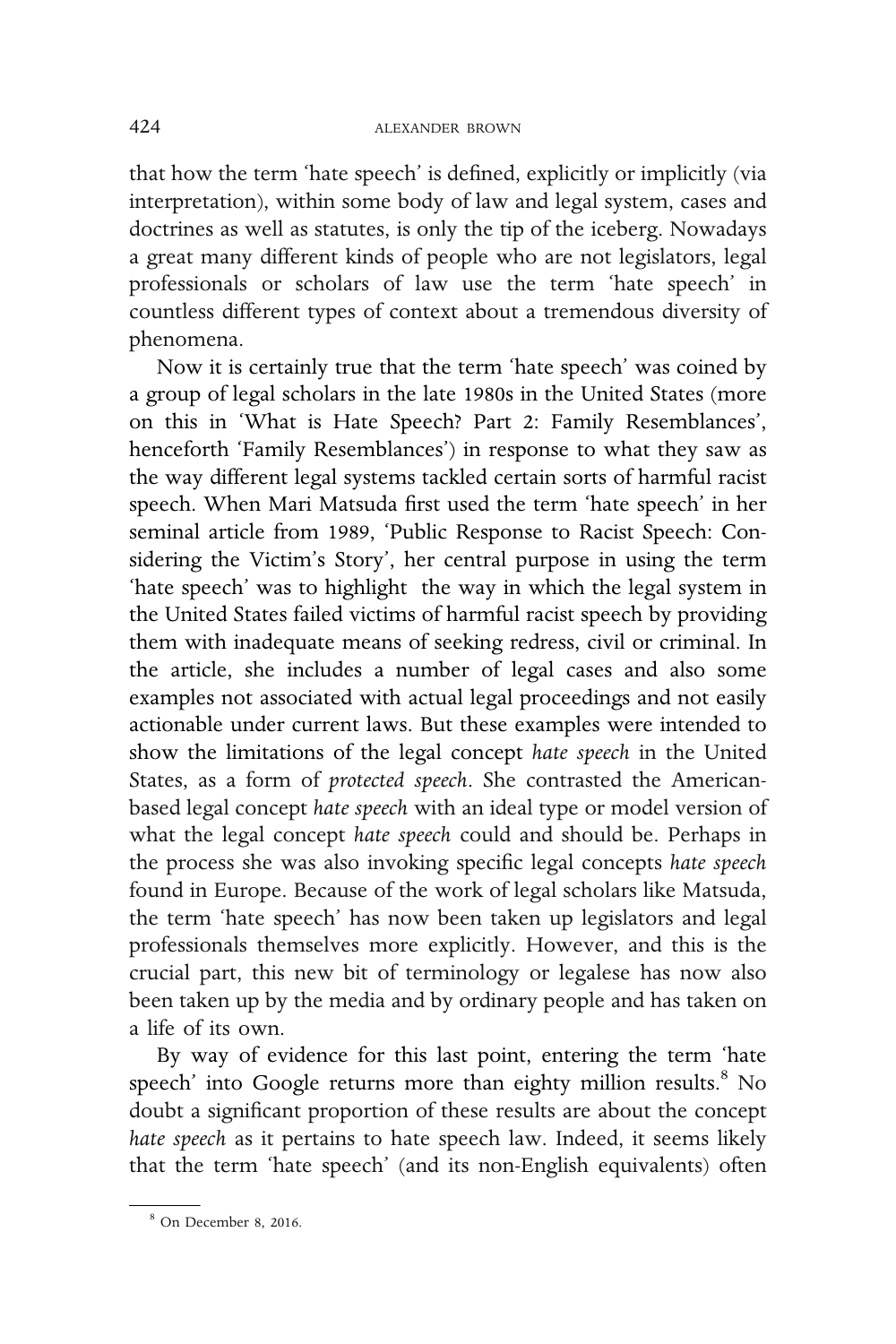that how the term 'hate speech' is defined, explicitly or implicitly (via interpretation), within some body of law and legal system, cases and doctrines as well as statutes, is only the tip of the iceberg. Nowadays a great many different kinds of people who are not legislators, legal professionals or scholars of law use the term 'hate speech' in countless different types of context about a tremendous diversity of phenomena.

Now it is certainly true that the term 'hate speech' was coined by a group of legal scholars in the late 1980s in the United States (more on this in 'What is Hate Speech? Part 2: Family Resemblances', henceforth 'Family Resemblances') in response to what they saw as the way different legal systems tackled certain sorts of harmful racist speech. When Mari Matsuda first used the term 'hate speech' in her seminal article from 1989, 'Public Response to Racist Speech: Considering the Victim's Story', her central purpose in using the term 'hate speech' was to highlight the way in which the legal system in the United States failed victims of harmful racist speech by providing them with inadequate means of seeking redress, civil or criminal. In the article, she includes a number of legal cases and also some examples not associated with actual legal proceedings and not easily actionable under current laws. But these examples were intended to show the limitations of the legal concept hate speech in the United States, as a form of protected speech. She contrasted the Americanbased legal concept hate speech with an ideal type or model version of what the legal concept hate speech could and should be. Perhaps in the process she was also invoking specific legal concepts hate speech found in Europe. Because of the work of legal scholars like Matsuda, the term 'hate speech' has now been taken up legislators and legal professionals themselves more explicitly. However, and this is the crucial part, this new bit of terminology or legalese has now also been taken up by the media and by ordinary people and has taken on a life of its own.

By way of evidence for this last point, entering the term 'hate speech' into Google returns more than eighty million results.<sup>8</sup> No doubt a significant proportion of these results are about the concept hate speech as it pertains to hate speech law. Indeed, it seems likely that the term 'hate speech' (and its non-English equivalents) often

<sup>8</sup> On December 8, 2016.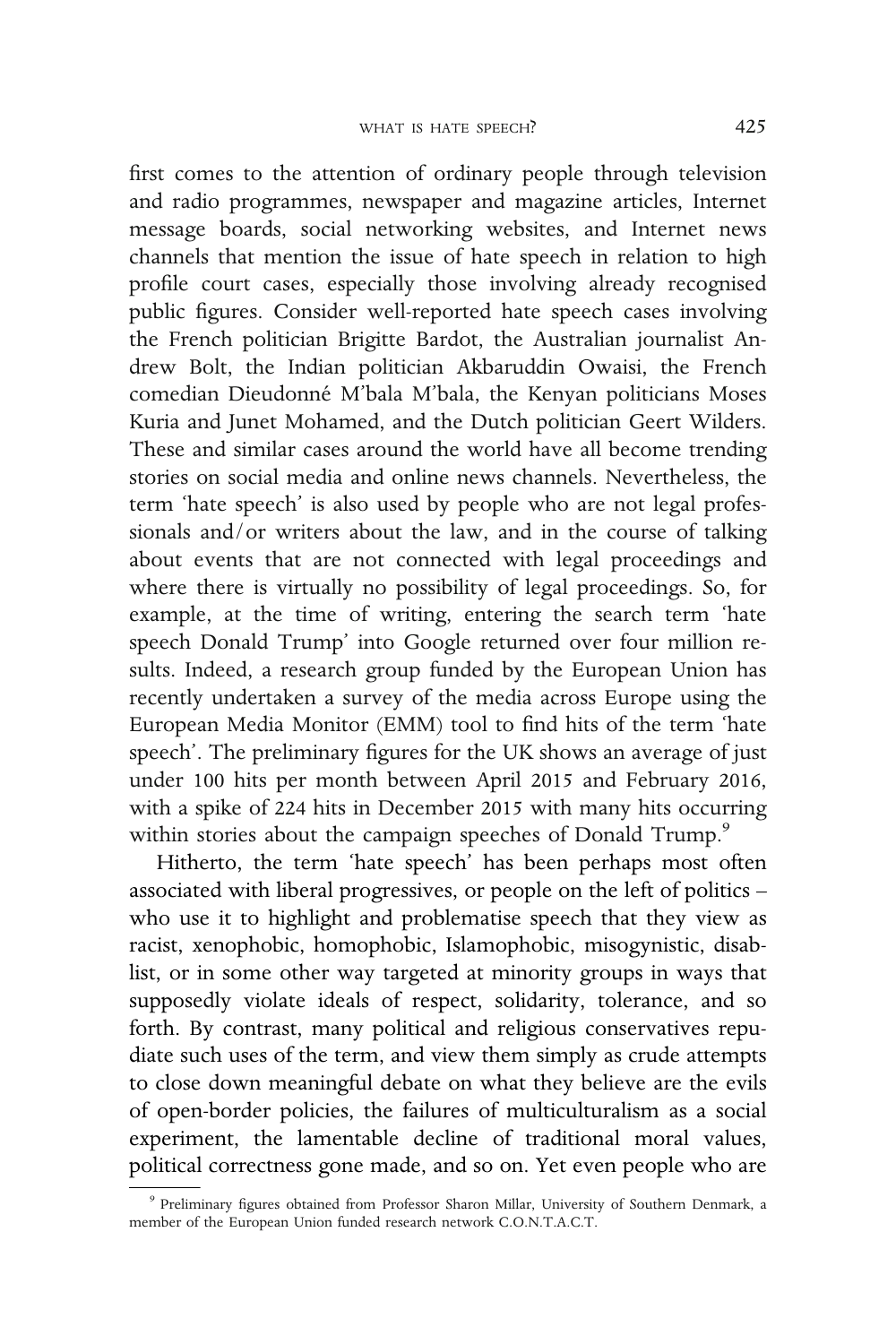first comes to the attention of ordinary people through television and radio programmes, newspaper and magazine articles, Internet message boards, social networking websites, and Internet news channels that mention the issue of hate speech in relation to high profile court cases, especially those involving already recognised public figures. Consider well-reported hate speech cases involving the French politician Brigitte Bardot, the Australian journalist Andrew Bolt, the Indian politician Akbaruddin Owaisi, the French comedian Dieudonné M'bala M'bala, the Kenyan politicians Moses Kuria and Junet Mohamed, and the Dutch politician Geert Wilders. These and similar cases around the world have all become trending stories on social media and online news channels. Nevertheless, the term 'hate speech' is also used by people who are not legal professionals and/or writers about the law, and in the course of talking about events that are not connected with legal proceedings and where there is virtually no possibility of legal proceedings. So, for example, at the time of writing, entering the search term 'hate speech Donald Trump' into Google returned over four million results. Indeed, a research group funded by the European Union has recently undertaken a survey of the media across Europe using the European Media Monitor (EMM) tool to find hits of the term 'hate speech'. The preliminary figures for the UK shows an average of just under 100 hits per month between April 2015 and February 2016, with a spike of 224 hits in December 2015 with many hits occurring within stories about the campaign speeches of Donald Trump.<sup>9</sup>

Hitherto, the term 'hate speech' has been perhaps most often associated with liberal progressives, or people on the left of politics – who use it to highlight and problematise speech that they view as racist, xenophobic, homophobic, Islamophobic, misogynistic, disablist, or in some other way targeted at minority groups in ways that supposedly violate ideals of respect, solidarity, tolerance, and so forth. By contrast, many political and religious conservatives repudiate such uses of the term, and view them simply as crude attempts to close down meaningful debate on what they believe are the evils of open-border policies, the failures of multiculturalism as a social experiment, the lamentable decline of traditional moral values, political correctness gone made, and so on. Yet even people who are

<sup>9</sup> Preliminary figures obtained from Professor Sharon Millar, University of Southern Denmark, a member of the European Union funded research network C.O.N.T.A.C.T.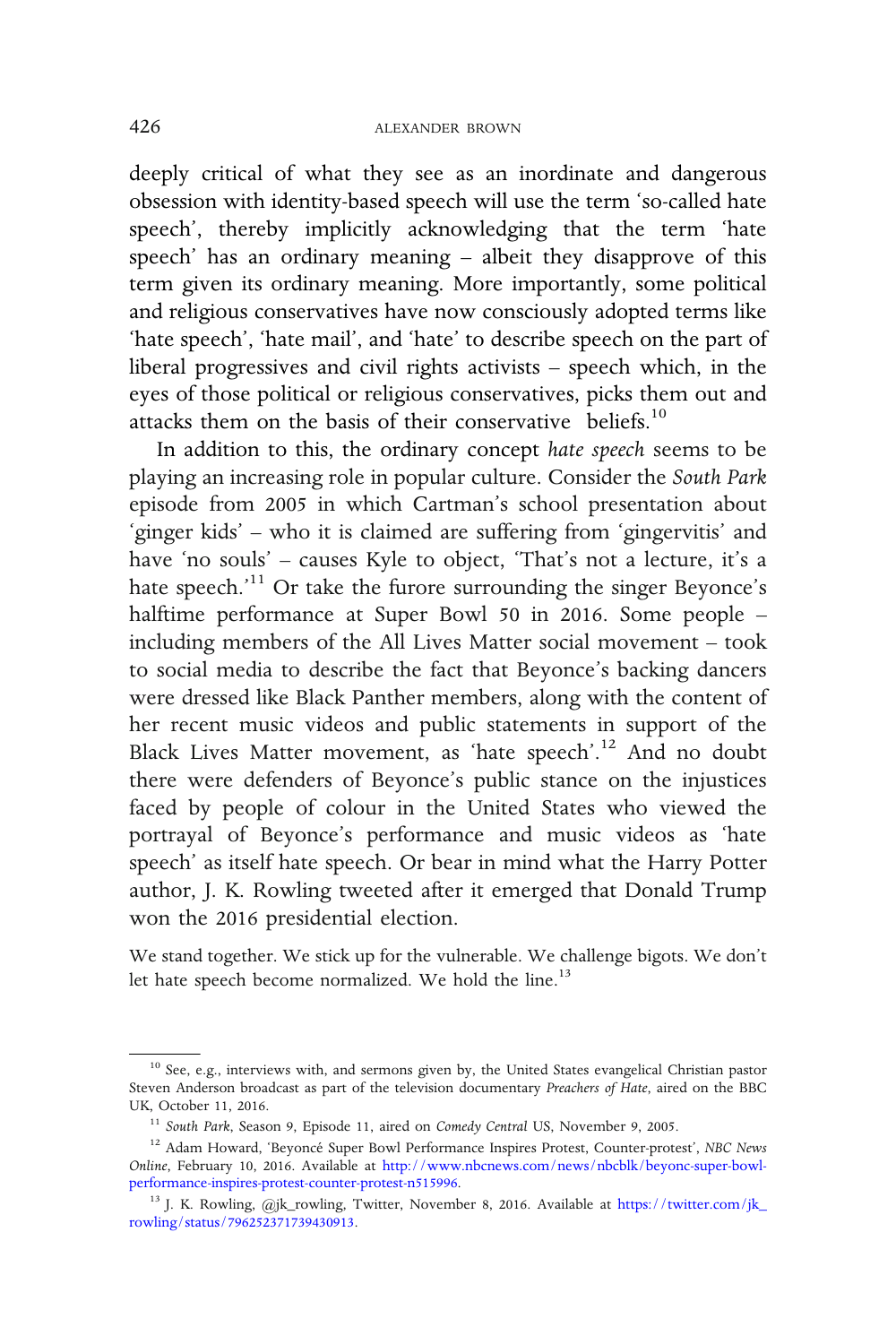deeply critical of what they see as an inordinate and dangerous obsession with identity-based speech will use the term 'so-called hate speech', thereby implicitly acknowledging that the term 'hate speech' has an ordinary meaning – albeit they disapprove of this term given its ordinary meaning. More importantly, some political and religious conservatives have now consciously adopted terms like 'hate speech', 'hate mail', and 'hate' to describe speech on the part of liberal progressives and civil rights activists – speech which, in the eyes of those political or religious conservatives, picks them out and attacks them on the basis of their conservative beliefs.<sup>10</sup>

In addition to this, the ordinary concept hate speech seems to be playing an increasing role in popular culture. Consider the South Park episode from 2005 in which Cartman's school presentation about 'ginger kids' – who it is claimed are suffering from 'gingervitis' and have 'no souls' – causes Kyle to object, 'That's not a lecture, it's a hate speech.<sup>'11</sup> Or take the furore surrounding the singer Beyonce's halftime performance at Super Bowl 50 in 2016. Some people – including members of the All Lives Matter social movement – took to social media to describe the fact that Beyonce's backing dancers were dressed like Black Panther members, along with the content of her recent music videos and public statements in support of the Black Lives Matter movement, as 'hate speech'.<sup>12</sup> And no doubt there were defenders of Beyonce's public stance on the injustices faced by people of colour in the United States who viewed the portrayal of Beyonce's performance and music videos as 'hate speech' as itself hate speech. Or bear in mind what the Harry Potter author, J. K. Rowling tweeted after it emerged that Donald Trump won the 2016 presidential election.

We stand together. We stick up for the vulnerable. We challenge bigots. We don't let hate speech become normalized. We hold the line.<sup>13</sup>

<sup>&</sup>lt;sup>10</sup> See, e.g., interviews with, and sermons given by, the United States evangelical Christian pastor Steven Anderson broadcast as part of the television documentary Preachers of Hate, aired on the BBC UK, October 11, 2016.

<sup>&</sup>lt;sup>11</sup> South Park, Season 9, Episode 11, aired on Comedy Central US, November 9, 2005.

<sup>&</sup>lt;sup>12</sup> Adam Howard, 'Beyoncé Super Bowl Performance Inspires Protest, Counter-protest', NBC News Online, February 10, 2016. Available at [http://www.nbcnews.com/news/nbcblk/beyonc-super-bowl](http://www.nbcnews.com/news/nbcblk/beyonc-super-bowl-performance-inspires-protest-counter-protest-n515996)[performance-inspires-protest-counter-protest-n515996.](http://www.nbcnews.com/news/nbcblk/beyonc-super-bowl-performance-inspires-protest-counter-protest-n515996)

<sup>&</sup>lt;sup>13</sup> J. K. Rowling, @jk\_rowling, Twitter, November 8, 2016. Available at [https://twitter.com/jk\\_](https://twitter.com/jk_rowling/status/796252371739430913) [rowling/status/796252371739430913](https://twitter.com/jk_rowling/status/796252371739430913).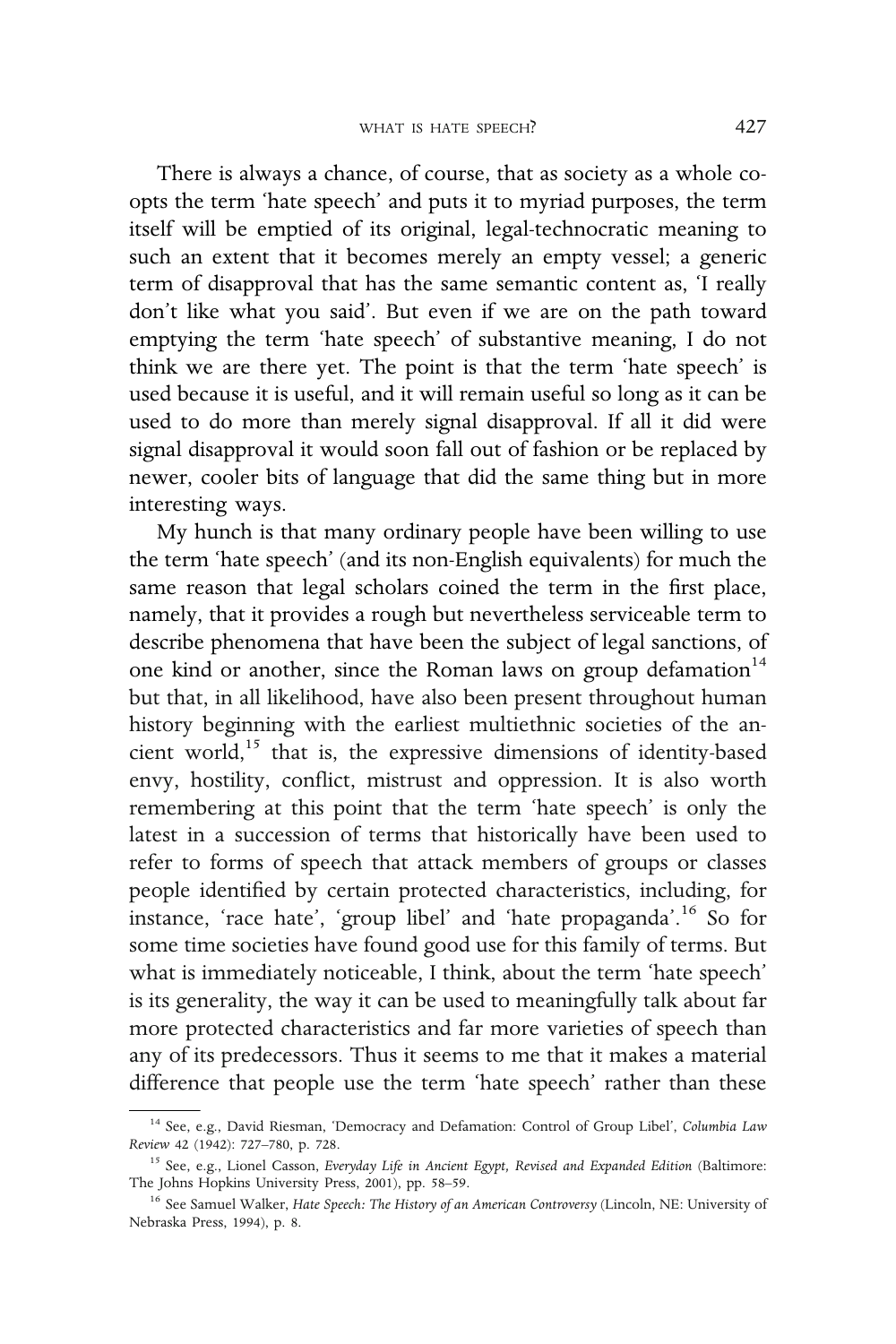There is always a chance, of course, that as society as a whole coopts the term 'hate speech' and puts it to myriad purposes, the term itself will be emptied of its original, legal-technocratic meaning to such an extent that it becomes merely an empty vessel; a generic term of disapproval that has the same semantic content as, 'I really don't like what you said'. But even if we are on the path toward emptying the term 'hate speech' of substantive meaning, I do not think we are there yet. The point is that the term 'hate speech' is used because it is useful, and it will remain useful so long as it can be used to do more than merely signal disapproval. If all it did were signal disapproval it would soon fall out of fashion or be replaced by newer, cooler bits of language that did the same thing but in more interesting ways.

My hunch is that many ordinary people have been willing to use the term 'hate speech' (and its non-English equivalents) for much the same reason that legal scholars coined the term in the first place, namely, that it provides a rough but nevertheless serviceable term to describe phenomena that have been the subject of legal sanctions, of one kind or another, since the Roman laws on group defamation $14$ but that, in all likelihood, have also been present throughout human history beginning with the earliest multiethnic societies of the ancient world, $^{15}$  that is, the expressive dimensions of identity-based envy, hostility, conflict, mistrust and oppression. It is also worth remembering at this point that the term 'hate speech' is only the latest in a succession of terms that historically have been used to refer to forms of speech that attack members of groups or classes people identified by certain protected characteristics, including, for instance, 'race hate', 'group libel' and 'hate propaganda'.<sup>16</sup> So for some time societies have found good use for this family of terms. But what is immediately noticeable, I think, about the term 'hate speech' is its generality, the way it can be used to meaningfully talk about far more protected characteristics and far more varieties of speech than any of its predecessors. Thus it seems to me that it makes a material difference that people use the term 'hate speech' rather than these

<sup>&</sup>lt;sup>14</sup> See, e.g., David Riesman, 'Democracy and Defamation: Control of Group Libel', Columbia Law Review 42 (1942): 727–780, p. 728.

<sup>&</sup>lt;sup>15</sup> See, e.g., Lionel Casson, Everyday Life in Ancient Egypt, Revised and Expanded Edition (Baltimore: The Johns Hopkins University Press, 2001), pp. 58–59.

<sup>&</sup>lt;sup>16</sup> See Samuel Walker, Hate Speech: The History of an American Controversy (Lincoln, NE: University of Nebraska Press, 1994), p. 8.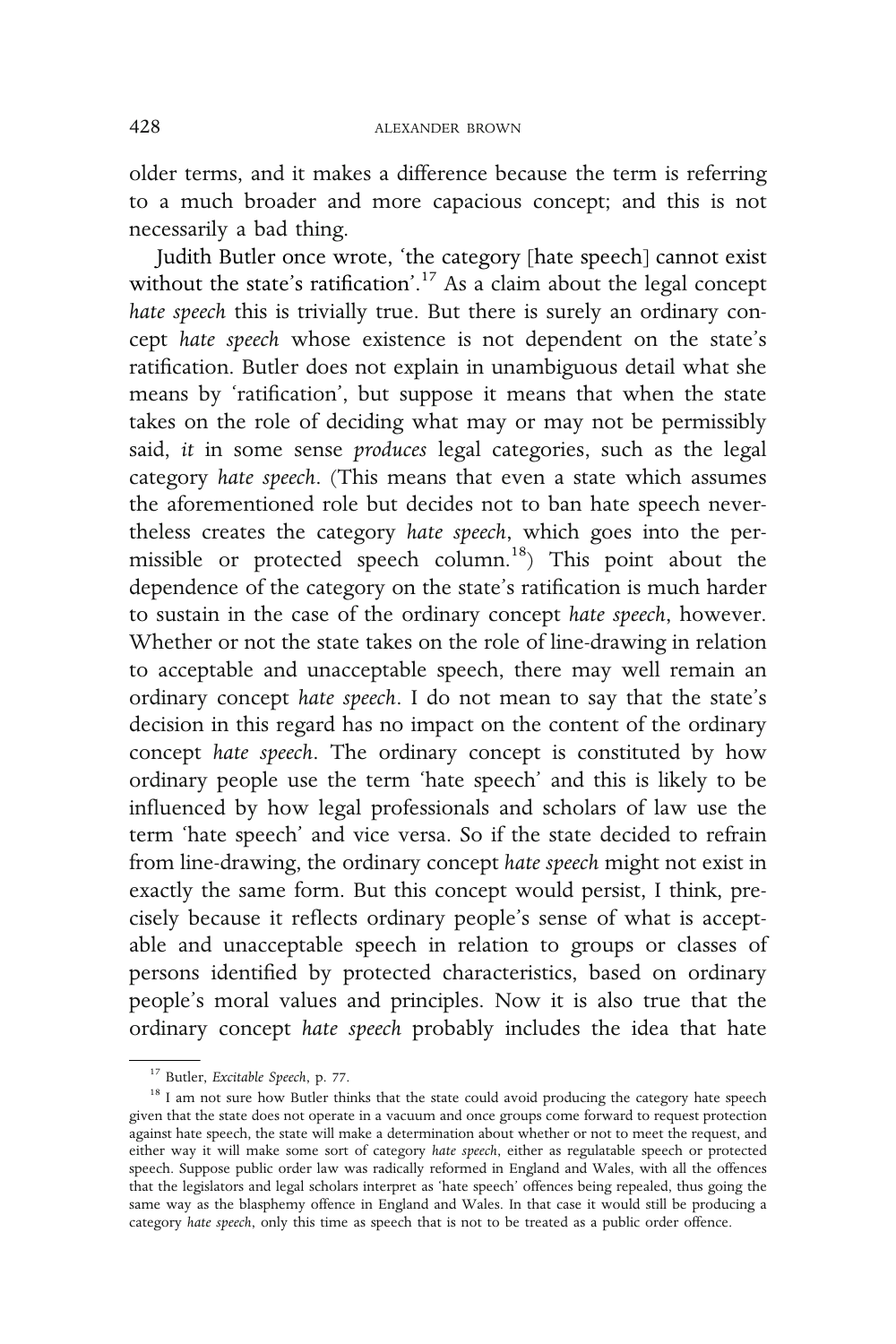older terms, and it makes a difference because the term is referring to a much broader and more capacious concept; and this is not necessarily a bad thing.

Judith Butler once wrote, 'the category [hate speech] cannot exist without the state's ratification'.<sup>17</sup> As a claim about the legal concept hate speech this is trivially true. But there is surely an ordinary concept hate speech whose existence is not dependent on the state's ratification. Butler does not explain in unambiguous detail what she means by 'ratification', but suppose it means that when the state takes on the role of deciding what may or may not be permissibly said, it in some sense produces legal categories, such as the legal category hate speech. (This means that even a state which assumes the aforementioned role but decides not to ban hate speech nevertheless creates the category hate speech, which goes into the permissible or protected speech column.<sup>18</sup>) This point about the dependence of the category on the state's ratification is much harder to sustain in the case of the ordinary concept hate speech, however. Whether or not the state takes on the role of line-drawing in relation to acceptable and unacceptable speech, there may well remain an ordinary concept hate speech. I do not mean to say that the state's decision in this regard has no impact on the content of the ordinary concept hate speech. The ordinary concept is constituted by how ordinary people use the term 'hate speech' and this is likely to be influenced by how legal professionals and scholars of law use the term 'hate speech' and vice versa. So if the state decided to refrain from line-drawing, the ordinary concept hate speech might not exist in exactly the same form. But this concept would persist, I think, precisely because it reflects ordinary people's sense of what is acceptable and unacceptable speech in relation to groups or classes of persons identified by protected characteristics, based on ordinary people's moral values and principles. Now it is also true that the ordinary concept hate speech probably includes the idea that hate

<sup>&</sup>lt;sup>17</sup> Butler, *Excitable Speech*, p. 77.

<sup>&</sup>lt;sup>18</sup> I am not sure how Butler thinks that the state could avoid producing the category hate speech given that the state does not operate in a vacuum and once groups come forward to request protection against hate speech, the state will make a determination about whether or not to meet the request, and either way it will make some sort of category hate speech, either as regulatable speech or protected speech. Suppose public order law was radically reformed in England and Wales, with all the offences that the legislators and legal scholars interpret as 'hate speech' offences being repealed, thus going the same way as the blasphemy offence in England and Wales. In that case it would still be producing a category hate speech, only this time as speech that is not to be treated as a public order offence.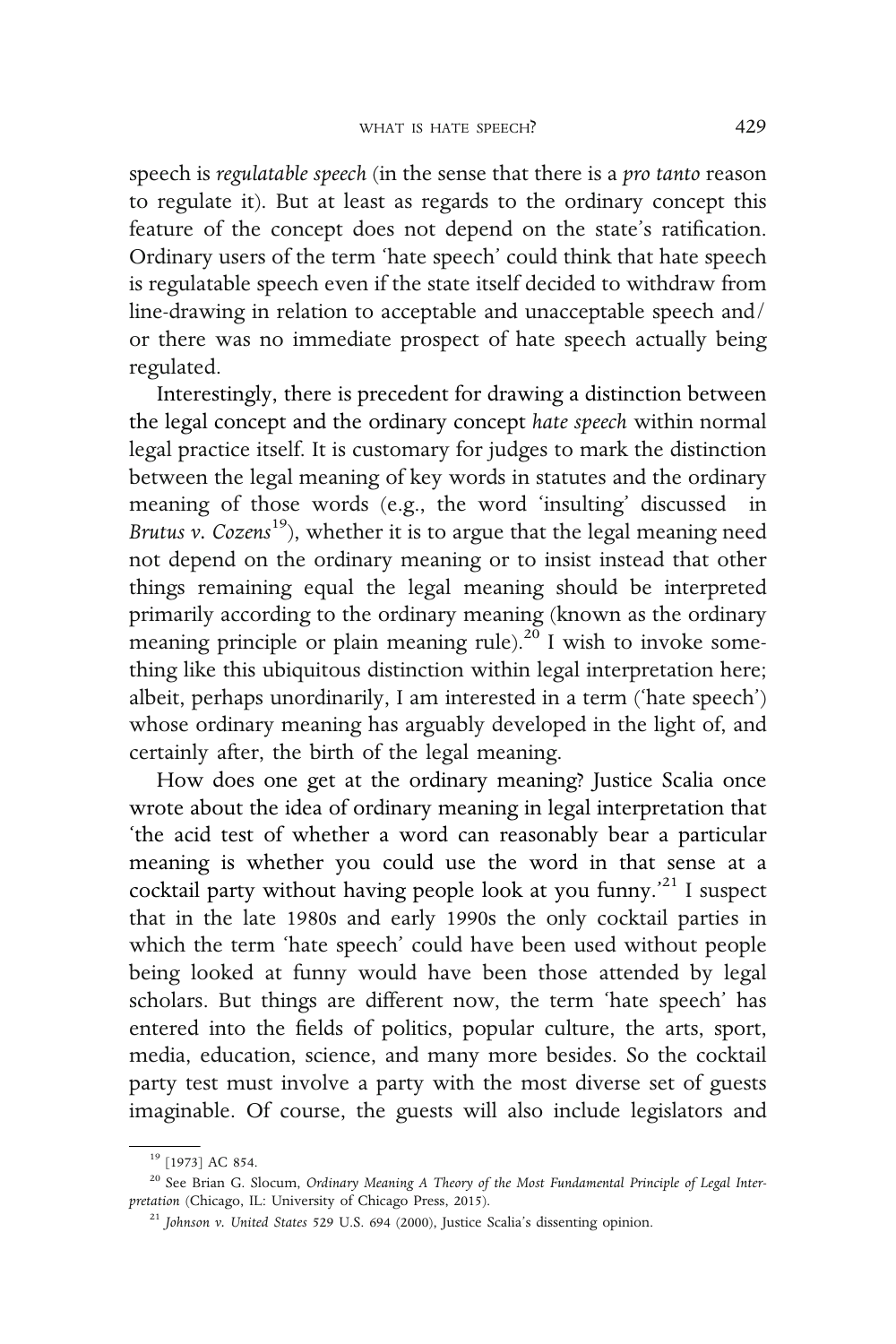speech is regulatable speech (in the sense that there is a pro tanto reason to regulate it). But at least as regards to the ordinary concept this feature of the concept does not depend on the state's ratification. Ordinary users of the term 'hate speech' could think that hate speech is regulatable speech even if the state itself decided to withdraw from line-drawing in relation to acceptable and unacceptable speech and/ or there was no immediate prospect of hate speech actually being regulated.

Interestingly, there is precedent for drawing a distinction between the legal concept and the ordinary concept hate speech within normal legal practice itself. It is customary for judges to mark the distinction between the legal meaning of key words in statutes and the ordinary meaning of those words (e.g., the word 'insulting' discussed in Brutus v. Cozens<sup>19</sup>), whether it is to argue that the legal meaning need not depend on the ordinary meaning or to insist instead that other things remaining equal the legal meaning should be interpreted primarily according to the ordinary meaning (known as the ordinary meaning principle or plain meaning rule).<sup>20</sup> I wish to invoke something like this ubiquitous distinction within legal interpretation here; albeit, perhaps unordinarily, I am interested in a term ('hate speech') whose ordinary meaning has arguably developed in the light of, and certainly after, the birth of the legal meaning.

How does one get at the ordinary meaning? Justice Scalia once wrote about the idea of ordinary meaning in legal interpretation that 'the acid test of whether a word can reasonably bear a particular meaning is whether you could use the word in that sense at a cocktail party without having people look at you funny.<sup>21</sup> I suspect that in the late 1980s and early 1990s the only cocktail parties in which the term 'hate speech' could have been used without people being looked at funny would have been those attended by legal scholars. But things are different now, the term 'hate speech' has entered into the fields of politics, popular culture, the arts, sport, media, education, science, and many more besides. So the cocktail party test must involve a party with the most diverse set of guests imaginable. Of course, the guests will also include legislators and

<sup>&</sup>lt;sup>19</sup> [1973] AC 854.

<sup>&</sup>lt;sup>20</sup> See Brian G. Slocum, Ordinary Meaning A Theory of the Most Fundamental Principle of Legal Interpretation (Chicago, IL: University of Chicago Press, 2015).

<sup>&</sup>lt;sup>21</sup> Johnson v. United States 529 U.S. 694 (2000), Justice Scalia's dissenting opinion.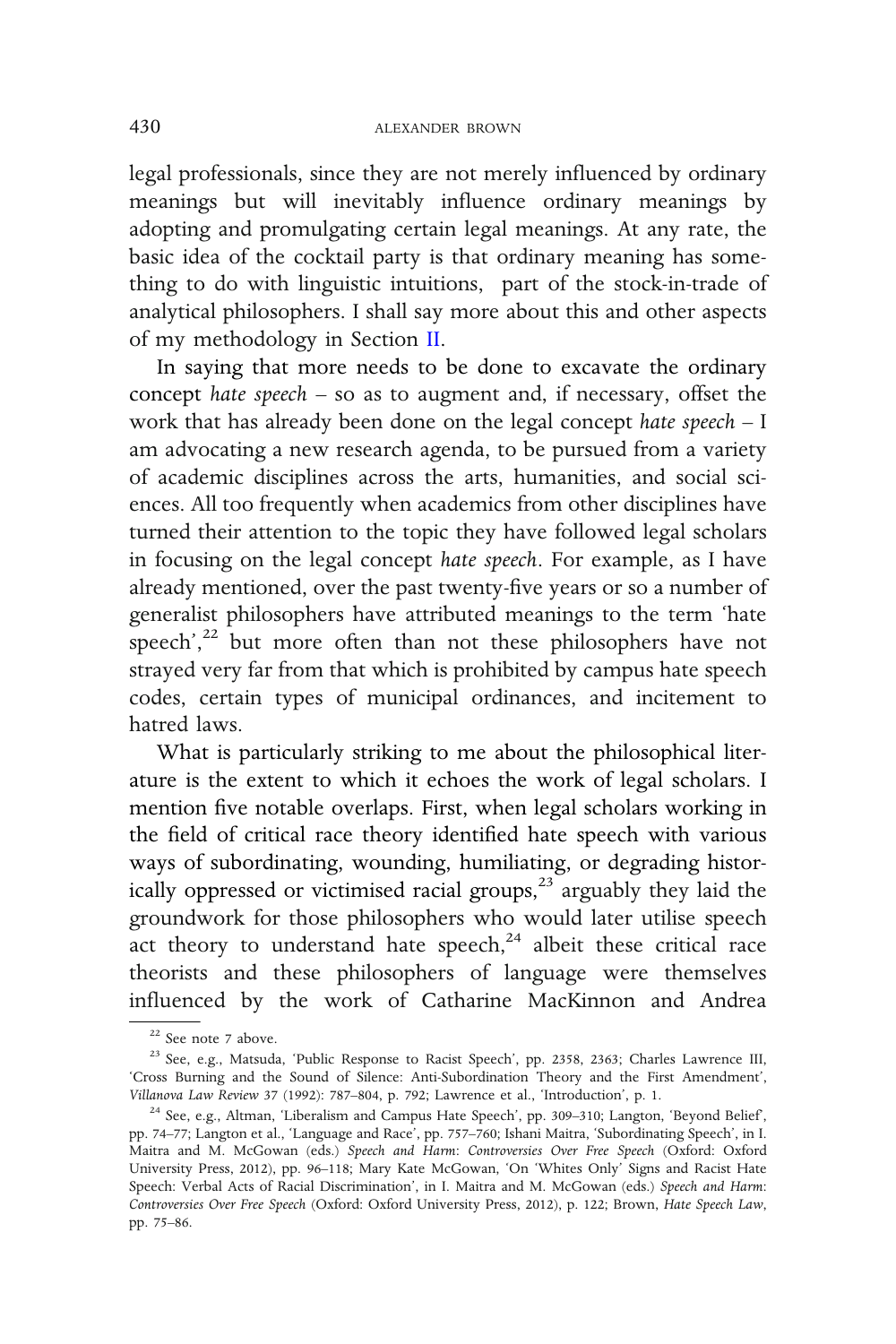legal professionals, since they are not merely influenced by ordinary meanings but will inevitably influence ordinary meanings by adopting and promulgating certain legal meanings. At any rate, the basic idea of the cocktail party is that ordinary meaning has something to do with linguistic intuitions, part of the stock-in-trade of analytical philosophers. I shall say more about this and other aspects of my methodology in Section [II.](#page-14-0)

In saying that more needs to be done to excavate the ordinary concept hate speech – so as to augment and, if necessary, offset the work that has already been done on the legal concept hate speech – I am advocating a new research agenda, to be pursued from a variety of academic disciplines across the arts, humanities, and social sciences. All too frequently when academics from other disciplines have turned their attention to the topic they have followed legal scholars in focusing on the legal concept hate speech. For example, as I have already mentioned, over the past twenty-five years or so a number of generalist philosophers have attributed meanings to the term 'hate speech',<sup>22</sup> but more often than not these philosophers have not strayed very far from that which is prohibited by campus hate speech codes, certain types of municipal ordinances, and incitement to hatred laws.

What is particularly striking to me about the philosophical literature is the extent to which it echoes the work of legal scholars. I mention five notable overlaps. First, when legal scholars working in the field of critical race theory identified hate speech with various ways of subordinating, wounding, humiliating, or degrading historically oppressed or victimised racial groups, $^{23}$  arguably they laid the groundwork for those philosophers who would later utilise speech act theory to understand hate speech, $24$  albeit these critical race theorists and these philosophers of language were themselves influenced by the work of Catharine MacKinnon and Andrea

<sup>&</sup>lt;sup>22</sup> See note 7 above.

<sup>&</sup>lt;sup>23</sup> See, e.g., Matsuda, 'Public Response to Racist Speech', pp. 2358, 2363; Charles Lawrence III, 'Cross Burning and the Sound of Silence: Anti-Subordination Theory and the First Amendment', Villanova Law Review 37 (1992): 787–804, p. 792; Lawrence et al., 'Introduction', p. 1.

<sup>&</sup>lt;sup>24</sup> See, e.g., Altman, 'Liberalism and Campus Hate Speech', pp. 309-310; Langton, 'Beyond Belief', pp. 74–77; Langton et al., 'Language and Race', pp. 757–760; Ishani Maitra, 'Subordinating Speech', in I. Maitra and M. McGowan (eds.) Speech and Harm: Controversies Over Free Speech (Oxford: Oxford University Press, 2012), pp. 96–118; Mary Kate McGowan, 'On 'Whites Only' Signs and Racist Hate Speech: Verbal Acts of Racial Discrimination', in I. Maitra and M. McGowan (eds.) Speech and Harm: Controversies Over Free Speech (Oxford: Oxford University Press, 2012), p. 122; Brown, Hate Speech Law, pp. 75–86.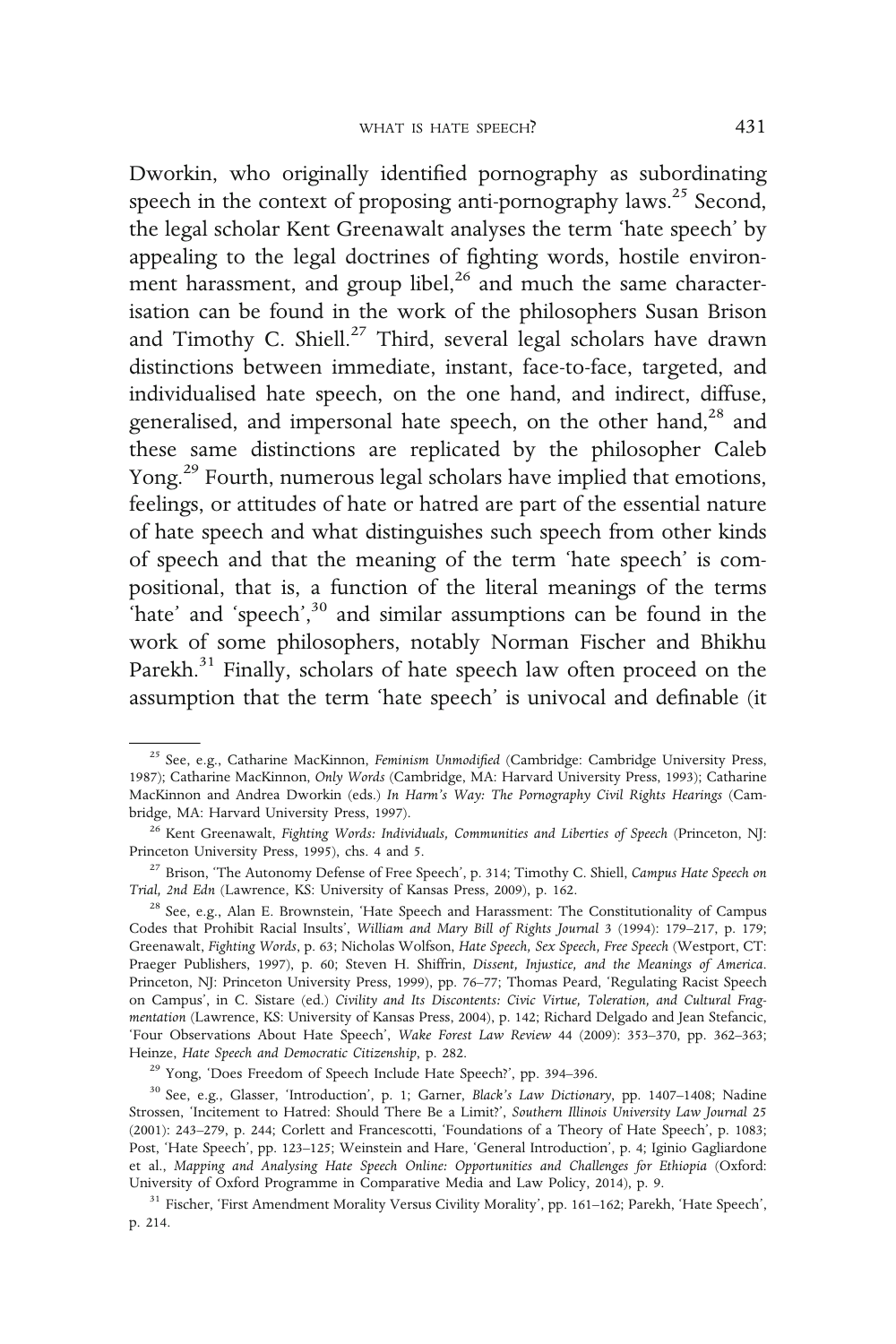Dworkin, who originally identified pornography as subordinating speech in the context of proposing anti-pornography laws.<sup>25</sup> Second, the legal scholar Kent Greenawalt analyses the term 'hate speech' by appealing to the legal doctrines of fighting words, hostile environment harassment, and group libel, $^{26}$  and much the same characterisation can be found in the work of the philosophers Susan Brison and Timothy C. Shiell.<sup>27</sup> Third, several legal scholars have drawn distinctions between immediate, instant, face-to-face, targeted, and individualised hate speech, on the one hand, and indirect, diffuse, generalised, and impersonal hate speech, on the other hand,<sup>28</sup> and these same distinctions are replicated by the philosopher Caleb Yong.<sup>29</sup> Fourth, numerous legal scholars have implied that emotions, feelings, or attitudes of hate or hatred are part of the essential nature of hate speech and what distinguishes such speech from other kinds of speech and that the meaning of the term 'hate speech' is compositional, that is, a function of the literal meanings of the terms 'hate' and 'speech',<sup>30</sup> and similar assumptions can be found in the work of some philosophers, notably Norman Fischer and Bhikhu Parekh.<sup>31</sup> Finally, scholars of hate speech law often proceed on the assumption that the term 'hate speech' is univocal and definable (it

<sup>&</sup>lt;sup>25</sup> See, e.g., Catharine MacKinnon, Feminism Unmodified (Cambridge: Cambridge University Press, 1987); Catharine MacKinnon, Only Words (Cambridge, MA: Harvard University Press, 1993); Catharine MacKinnon and Andrea Dworkin (eds.) In Harm's Way: The Pornography Civil Rights Hearings (Cambridge, MA: Harvard University Press, 1997).

<sup>&</sup>lt;sup>26</sup> Kent Greenawalt, Fighting Words: Individuals, Communities and Liberties of Speech (Princeton, NJ: Princeton University Press, 1995), chs. 4 and 5.

<sup>&</sup>lt;sup>27</sup> Brison, 'The Autonomy Defense of Free Speech', p. 314; Timothy C. Shiell, Campus Hate Speech on Trial, 2nd Edn (Lawrence, KS: University of Kansas Press, 2009), p. 162.

<sup>&</sup>lt;sup>28</sup> See, e.g., Alan E. Brownstein, 'Hate Speech and Harassment: The Constitutionality of Campus Codes that Prohibit Racial Insults', William and Mary Bill of Rights Journal 3 (1994): 179–217, p. 179; Greenawalt, Fighting Words, p. 63; Nicholas Wolfson, Hate Speech, Sex Speech, Free Speech (Westport, CT: Praeger Publishers, 1997), p. 60; Steven H. Shiffrin, Dissent, Injustice, and the Meanings of America. Princeton, NJ: Princeton University Press, 1999), pp. 76–77; Thomas Peard, 'Regulating Racist Speech on Campus', in C. Sistare (ed.) Civility and Its Discontents: Civic Virtue, Toleration, and Cultural Fragmentation (Lawrence, KS: University of Kansas Press, 2004), p. 142; Richard Delgado and Jean Stefancic, 'Four Observations About Hate Speech', Wake Forest Law Review 44 (2009): 353–370, pp. 362–363; Heinze, Hate Speech and Democratic Citizenship, p. 282.

<sup>&</sup>lt;sup>29</sup> Yong, 'Does Freedom of Speech Include Hate Speech?', pp. 394-396.

<sup>30</sup> See, e.g., Glasser, 'Introduction', p. 1; Garner, Black's Law Dictionary, pp. 1407–1408; Nadine Strossen, 'Incitement to Hatred: Should There Be a Limit?', Southern Illinois University Law Journal 25 (2001): 243–279, p. 244; Corlett and Francescotti, 'Foundations of a Theory of Hate Speech', p. 1083; Post, 'Hate Speech', pp. 123–125; Weinstein and Hare, 'General Introduction', p. 4; Iginio Gagliardone et al., Mapping and Analysing Hate Speech Online: Opportunities and Challenges for Ethiopia (Oxford: University of Oxford Programme in Comparative Media and Law Policy, 2014), p. 9.

<sup>&</sup>lt;sup>31</sup> Fischer, 'First Amendment Morality Versus Civility Morality', pp. 161-162; Parekh, 'Hate Speech', p. 214.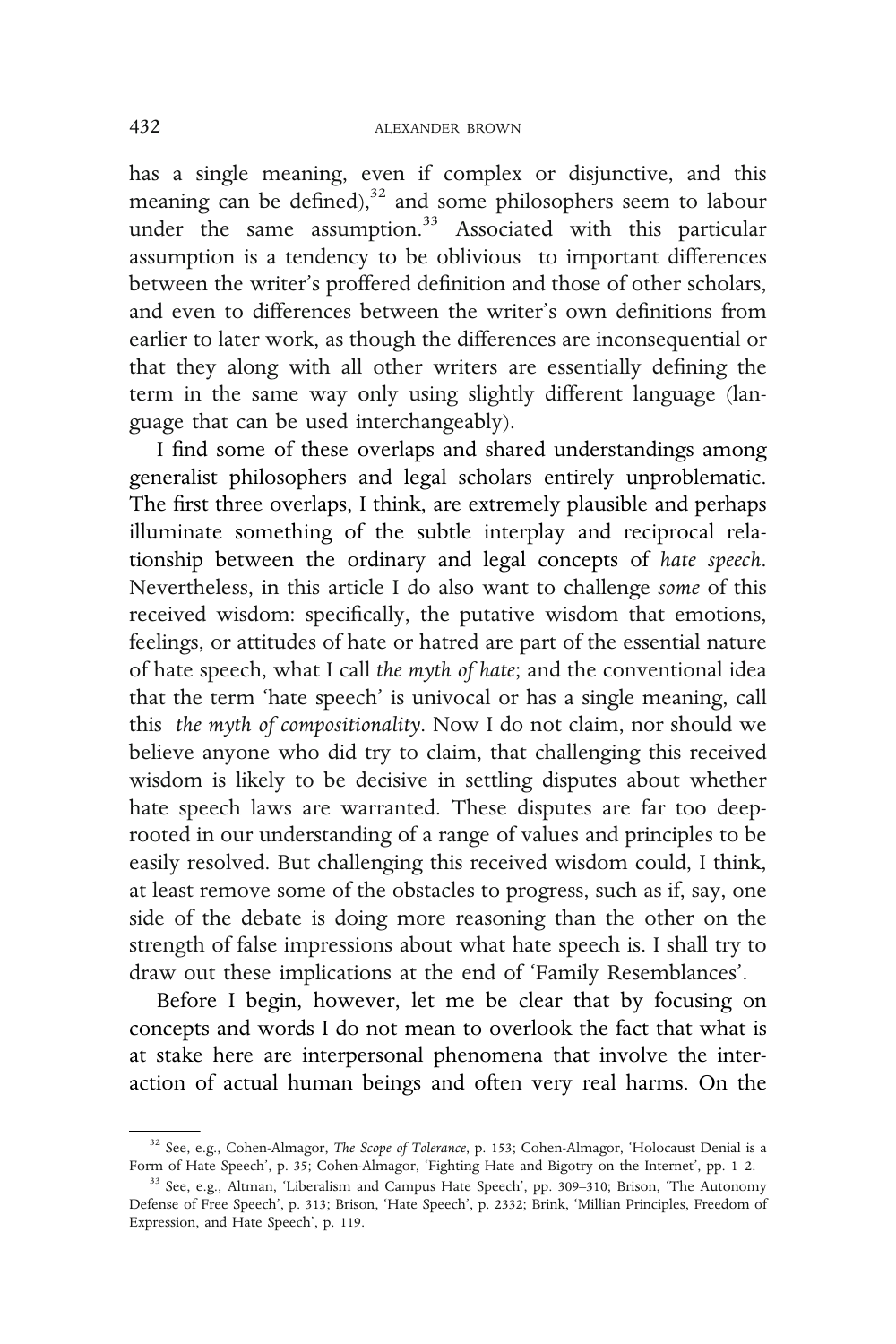has a single meaning, even if complex or disjunctive, and this meaning can be defined),<sup>32</sup> and some philosophers seem to labour under the same assumption.<sup>33</sup> Associated with this particular assumption is a tendency to be oblivious to important differences between the writer's proffered definition and those of other scholars, and even to differences between the writer's own definitions from earlier to later work, as though the differences are inconsequential or that they along with all other writers are essentially defining the term in the same way only using slightly different language (language that can be used interchangeably).

I find some of these overlaps and shared understandings among generalist philosophers and legal scholars entirely unproblematic. The first three overlaps, I think, are extremely plausible and perhaps illuminate something of the subtle interplay and reciprocal relationship between the ordinary and legal concepts of hate speech. Nevertheless, in this article I do also want to challenge some of this received wisdom: specifically, the putative wisdom that emotions, feelings, or attitudes of hate or hatred are part of the essential nature of hate speech, what I call the myth of hate; and the conventional idea that the term 'hate speech' is univocal or has a single meaning, call this the myth of compositionality. Now I do not claim, nor should we believe anyone who did try to claim, that challenging this received wisdom is likely to be decisive in settling disputes about whether hate speech laws are warranted. These disputes are far too deeprooted in our understanding of a range of values and principles to be easily resolved. But challenging this received wisdom could, I think, at least remove some of the obstacles to progress, such as if, say, one side of the debate is doing more reasoning than the other on the strength of false impressions about what hate speech is. I shall try to draw out these implications at the end of 'Family Resemblances'.

Before I begin, however, let me be clear that by focusing on concepts and words I do not mean to overlook the fact that what is at stake here are interpersonal phenomena that involve the interaction of actual human beings and often very real harms. On the

<sup>&</sup>lt;sup>32</sup> See, e.g., Cohen-Almagor, The Scope of Tolerance, p. 153; Cohen-Almagor, 'Holocaust Denial is a Form of Hate Speech', p. 35; Cohen-Almagor, 'Fighting Hate and Bigotry on the Internet', pp. 1–2.

<sup>33</sup> See, e.g., Altman, 'Liberalism and Campus Hate Speech', pp. 309–310; Brison, 'The Autonomy Defense of Free Speech', p. 313; Brison, 'Hate Speech', p. 2332; Brink, 'Millian Principles, Freedom of Expression, and Hate Speech', p. 119.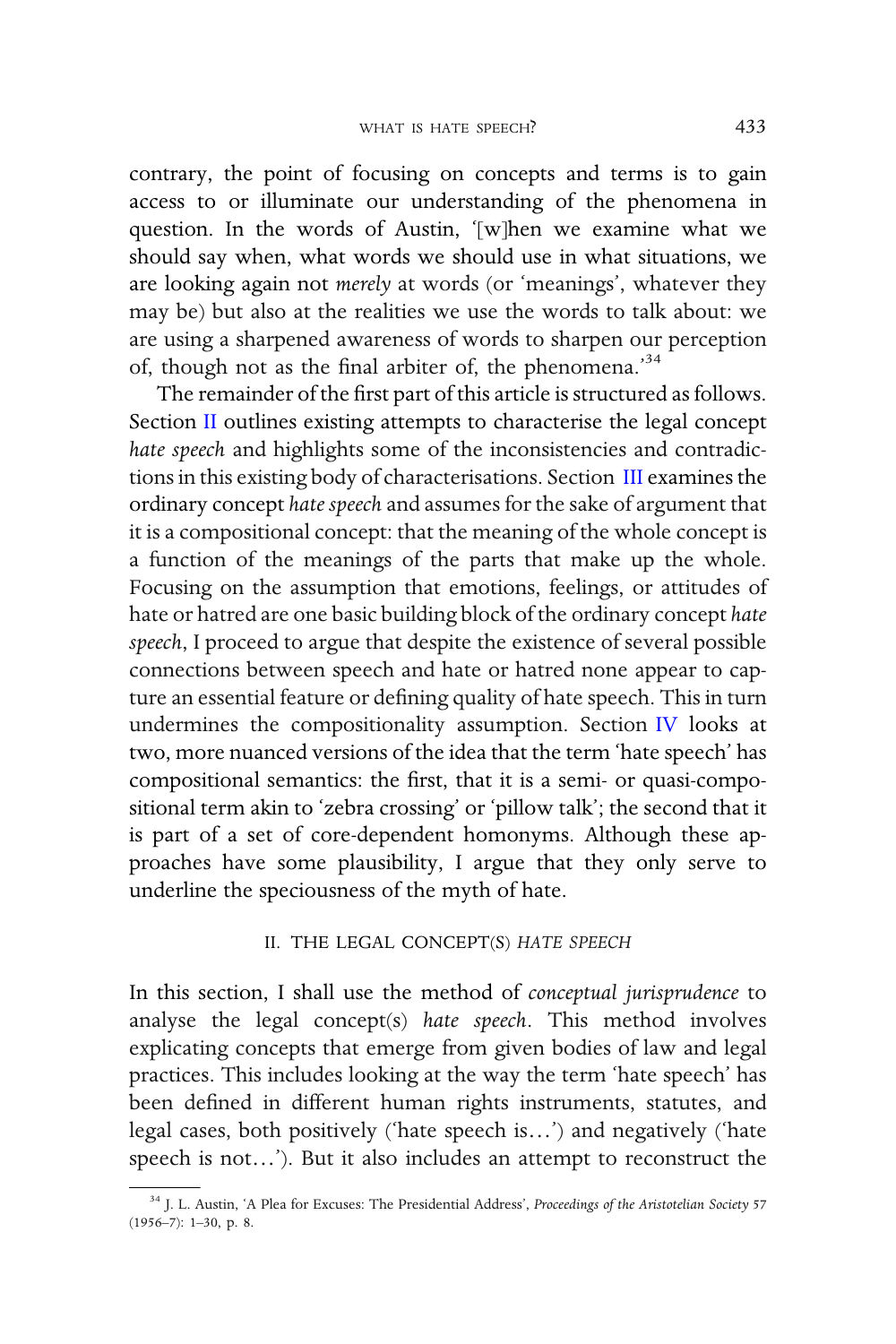<span id="page-14-0"></span>contrary, the point of focusing on concepts and terms is to gain access to or illuminate our understanding of the phenomena in question. In the words of Austin, '[w]hen we examine what we should say when, what words we should use in what situations, we are looking again not merely at words (or 'meanings', whatever they may be) but also at the realities we use the words to talk about: we are using a sharpened awareness of words to sharpen our perception of, though not as the final arbiter of, the phenomena.'<sup>34</sup>

The remainder of the first part of this article is structured as follows. Section II outlines existing attempts to characterise the legal concept hate speech and highlights some of the inconsistencies and contradictions in this existing body of characterisations. Section [III](#page-22-0) examines the ordinary concept hate speech and assumes for the sake of argument that it is a compositional concept: that the meaning of the whole concept is a function of the meanings of the parts that make up the whole. Focusing on the assumption that emotions, feelings, or attitudes of hate or hatred are one basic building block of the ordinary concept hate speech, I proceed to argue that despite the existence of several possible connections between speech and hate or hatred none appear to capture an essential feature or defining quality of hate speech. This in turn undermines the compositionality assumption. Section [IV](#page-42-0) looks at two, more nuanced versions of the idea that the term 'hate speech' has compositional semantics: the first, that it is a semi- or quasi-compositional term akin to 'zebra crossing' or 'pillow talk'; the second that it is part of a set of core-dependent homonyms. Although these approaches have some plausibility, I argue that they only serve to underline the speciousness of the myth of hate.

### II. THE LEGAL CONCEPT(S) HATE SPEECH

In this section, I shall use the method of conceptual jurisprudence to analyse the legal concept(s) hate speech. This method involves explicating concepts that emerge from given bodies of law and legal practices. This includes looking at the way the term 'hate speech' has been defined in different human rights instruments, statutes, and legal cases, both positively ('hate speech is…') and negatively ('hate speech is not…'). But it also includes an attempt to reconstruct the

<sup>&</sup>lt;sup>34</sup> J. L. Austin, 'A Plea for Excuses: The Presidential Address', Proceedings of the Aristotelian Society 57 (1956–7): 1–30, p. 8.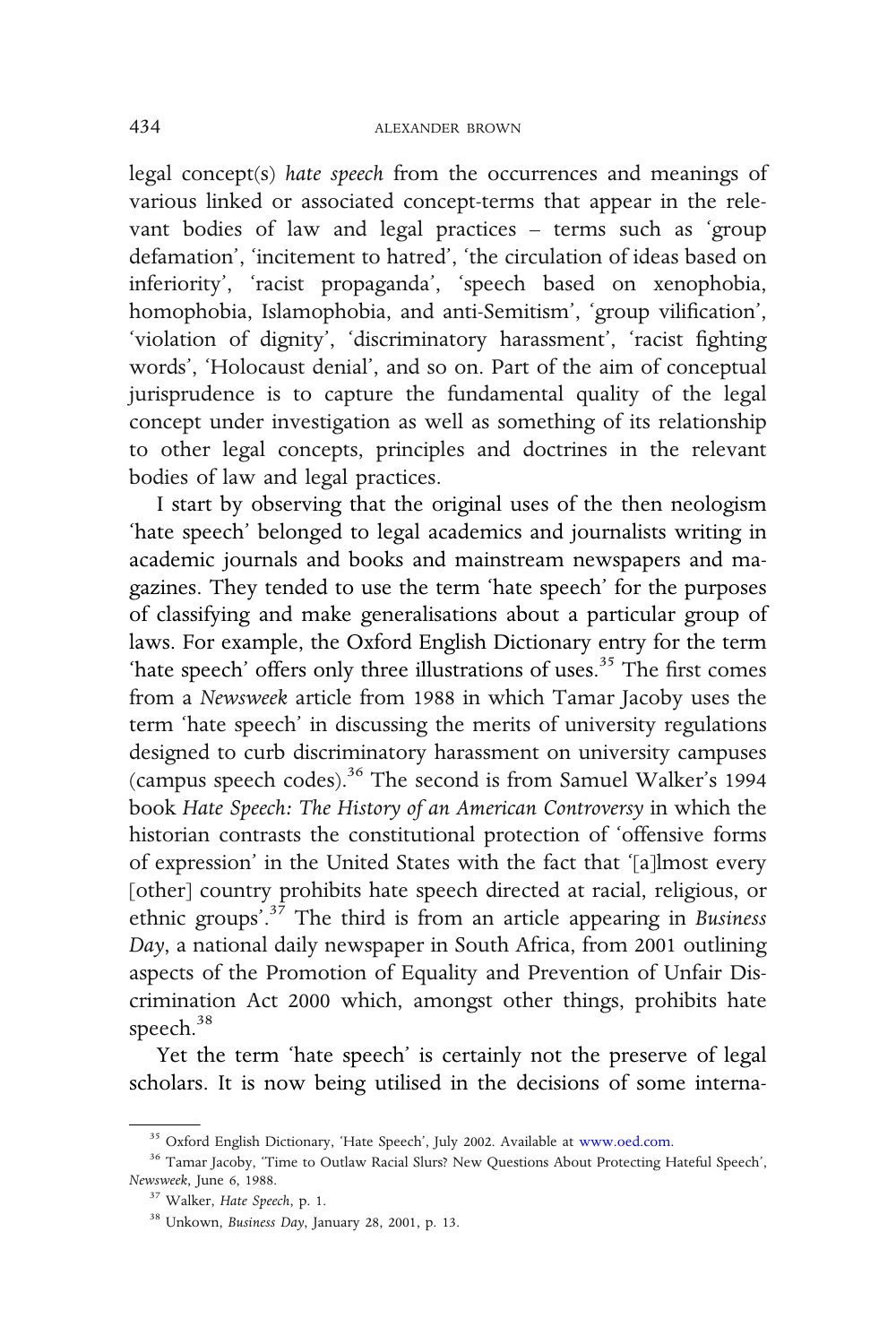legal concept(s) hate speech from the occurrences and meanings of various linked or associated concept-terms that appear in the relevant bodies of law and legal practices – terms such as 'group defamation', 'incitement to hatred', 'the circulation of ideas based on inferiority', 'racist propaganda', 'speech based on xenophobia, homophobia, Islamophobia, and anti-Semitism', 'group vilification', 'violation of dignity', 'discriminatory harassment', 'racist fighting words', 'Holocaust denial', and so on. Part of the aim of conceptual jurisprudence is to capture the fundamental quality of the legal concept under investigation as well as something of its relationship to other legal concepts, principles and doctrines in the relevant bodies of law and legal practices.

I start by observing that the original uses of the then neologism 'hate speech' belonged to legal academics and journalists writing in academic journals and books and mainstream newspapers and magazines. They tended to use the term 'hate speech' for the purposes of classifying and make generalisations about a particular group of laws. For example, the Oxford English Dictionary entry for the term 'hate speech' offers only three illustrations of uses.<sup>35</sup> The first comes from a Newsweek article from 1988 in which Tamar Jacoby uses the term 'hate speech' in discussing the merits of university regulations designed to curb discriminatory harassment on university campuses (campus speech codes).<sup>36</sup> The second is from Samuel Walker's 1994 book Hate Speech: The History of an American Controversy in which the historian contrasts the constitutional protection of 'offensive forms of expression' in the United States with the fact that '[a]lmost every [other] country prohibits hate speech directed at racial, religious, or ethnic groups'. $3^{\frac{3}{7}}$  The third is from an article appearing in Business Day, a national daily newspaper in South Africa, from 2001 outlining aspects of the Promotion of Equality and Prevention of Unfair Discrimination Act 2000 which, amongst other things, prohibits hate speech.<sup>38</sup>

Yet the term 'hate speech' is certainly not the preserve of legal scholars. It is now being utilised in the decisions of some interna-

<sup>&</sup>lt;sup>35</sup> Oxford English Dictionary, 'Hate Speech', July 2002. Available at [www.oed.com](http://www.oed.com).

<sup>36</sup> Tamar Jacoby, 'Time to Outlaw Racial Slurs? New Questions About Protecting Hateful Speech', Newsweek, June 6, 1988.

<sup>37</sup> Walker, Hate Speech, p. 1.

<sup>38</sup> Unkown, Business Day, January 28, 2001, p. 13.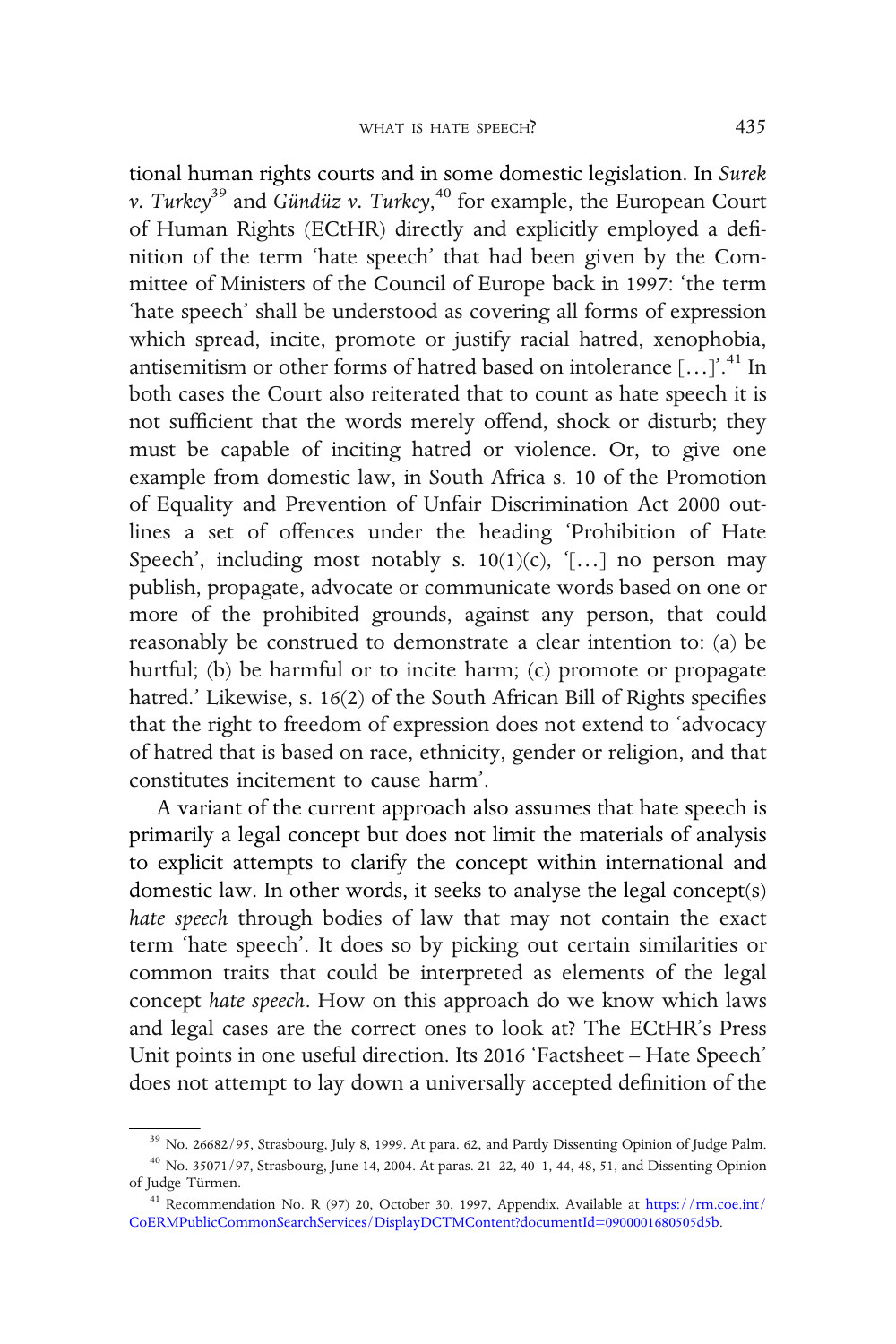tional human rights courts and in some domestic legislation. In Surek v. Turkey $^{\rm 39}$  and Gündüz v. Turkey, $^{\rm 40}$  for example, the European Court of Human Rights (ECtHR) directly and explicitly employed a definition of the term 'hate speech' that had been given by the Committee of Ministers of the Council of Europe back in 1997: 'the term 'hate speech' shall be understood as covering all forms of expression which spread, incite, promote or justify racial hatred, xenophobia, antisemitism or other forms of hatred based on intolerance  $[...]$ .<sup>41</sup> In both cases the Court also reiterated that to count as hate speech it is not sufficient that the words merely offend, shock or disturb; they must be capable of inciting hatred or violence. Or, to give one example from domestic law, in South Africa s. 10 of the Promotion of Equality and Prevention of Unfair Discrimination Act 2000 outlines a set of offences under the heading 'Prohibition of Hate Speech', including most notably s.  $10(1)(c)$ , '[...] no person may publish, propagate, advocate or communicate words based on one or more of the prohibited grounds, against any person, that could reasonably be construed to demonstrate a clear intention to: (a) be hurtful; (b) be harmful or to incite harm; (c) promote or propagate hatred.' Likewise, s. 16(2) of the South African Bill of Rights specifies that the right to freedom of expression does not extend to 'advocacy of hatred that is based on race, ethnicity, gender or religion, and that constitutes incitement to cause harm'.

A variant of the current approach also assumes that hate speech is primarily a legal concept but does not limit the materials of analysis to explicit attempts to clarify the concept within international and domestic law. In other words, it seeks to analyse the legal concept(s) hate speech through bodies of law that may not contain the exact term 'hate speech'. It does so by picking out certain similarities or common traits that could be interpreted as elements of the legal concept hate speech. How on this approach do we know which laws and legal cases are the correct ones to look at? The ECtHR's Press Unit points in one useful direction. Its 2016 'Factsheet – Hate Speech' does not attempt to lay down a universally accepted definition of the

<sup>&</sup>lt;sup>39</sup> No. 26682/95, Strasbourg, July 8, 1999. At para. 62, and Partly Dissenting Opinion of Judge Palm.

<sup>40</sup> No. 35071/97, Strasbourg, June 14, 2004. At paras. 21–22, 40–1, 44, 48, 51, and Dissenting Opinion of Judge Türmen.

<sup>&</sup>lt;sup>41</sup> Recommendation No. R (97) 20, October 30, 1997, Appendix. Available at [https://rm.coe.int/](https://rm.coe.int/CoERMPublicCommonSearchServices/DisplayDCTMContent?documentId=0900001680505d5b) [CoERMPublicCommonSearchServices/DisplayDCTMContent?documentId=0900001680505d5b](https://rm.coe.int/CoERMPublicCommonSearchServices/DisplayDCTMContent?documentId=0900001680505d5b).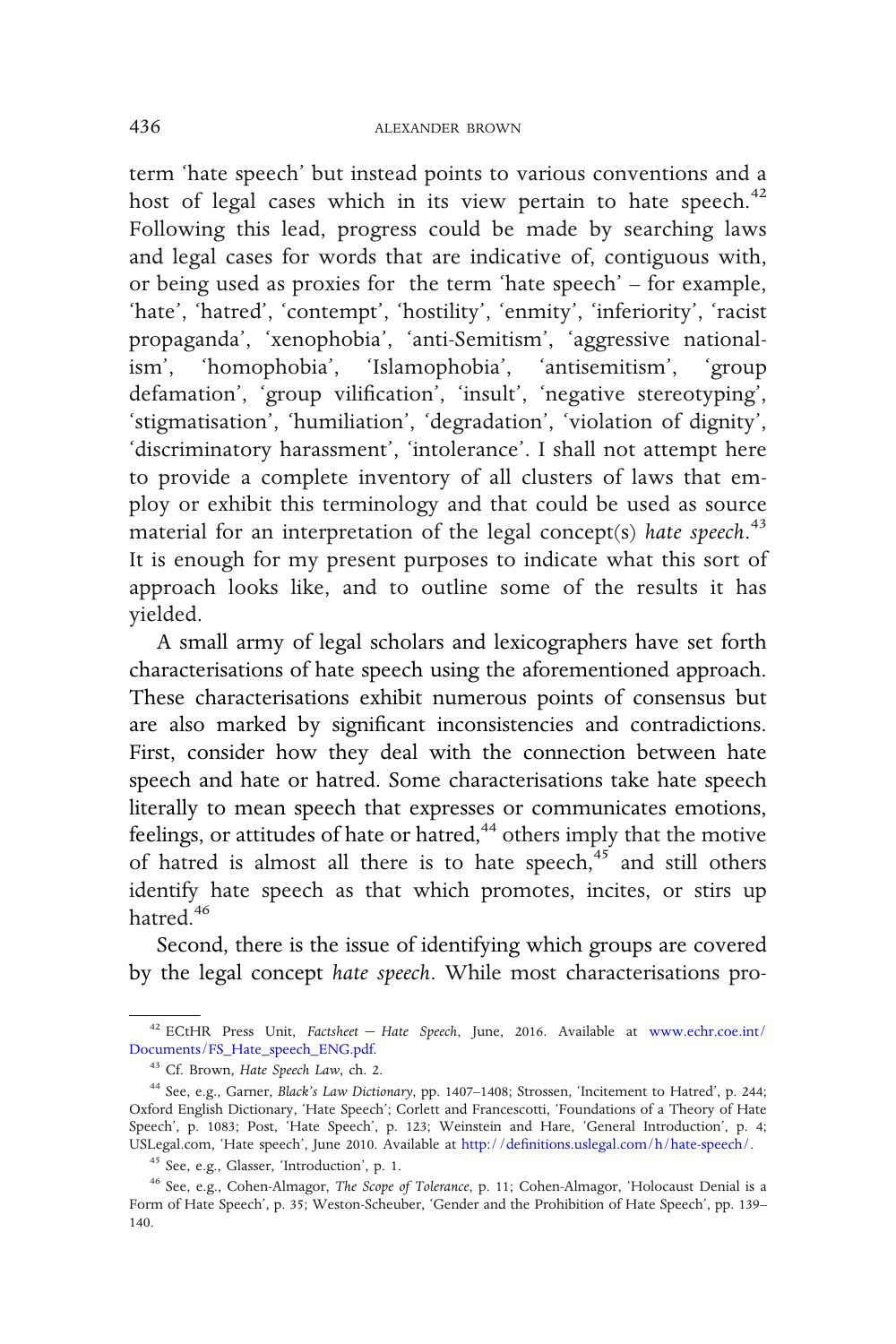term 'hate speech' but instead points to various conventions and a host of legal cases which in its view pertain to hate speech.<sup>42</sup> Following this lead, progress could be made by searching laws and legal cases for words that are indicative of, contiguous with, or being used as proxies for the term 'hate speech' – for example, 'hate', 'hatred', 'contempt', 'hostility', 'enmity', 'inferiority', 'racist propaganda', 'xenophobia', 'anti-Semitism', 'aggressive nationalism', 'homophobia', 'Islamophobia', 'antisemitism', 'group defamation', 'group vilification', 'insult', 'negative stereotyping', 'stigmatisation', 'humiliation', 'degradation', 'violation of dignity', 'discriminatory harassment', 'intolerance'. I shall not attempt here to provide a complete inventory of all clusters of laws that employ or exhibit this terminology and that could be used as source material for an interpretation of the legal concept(s) hate speech.<sup>43</sup> It is enough for my present purposes to indicate what this sort of approach looks like, and to outline some of the results it has yielded.

A small army of legal scholars and lexicographers have set forth characterisations of hate speech using the aforementioned approach. These characterisations exhibit numerous points of consensus but are also marked by significant inconsistencies and contradictions. First, consider how they deal with the connection between hate speech and hate or hatred. Some characterisations take hate speech literally to mean speech that expresses or communicates emotions, feelings, or attitudes of hate or hatred,<sup>44</sup> others imply that the motive of hatred is almost all there is to hate speech,<sup>45</sup> and still others identify hate speech as that which promotes, incites, or stirs up hatred.<sup>46</sup>

Second, there is the issue of identifying which groups are covered by the legal concept hate speech. While most characterisations pro-

 $42$  ECtHR Press Unit, Factsheet - Hate Speech, June, 2016. Available at [www.echr.coe.int/](http://www.echr.coe.int/Documents/FS_Hate_speech_ENG.pdf) [Documents/FS\\_Hate\\_speech\\_ENG.pdf.](http://www.echr.coe.int/Documents/FS_Hate_speech_ENG.pdf)

<sup>43</sup> Cf. Brown, Hate Speech Law, ch. 2.

<sup>44</sup> See, e.g., Garner, Black's Law Dictionary, pp. 1407–1408; Strossen, 'Incitement to Hatred', p. 244; Oxford English Dictionary, 'Hate Speech'; Corlett and Francescotti, 'Foundations of a Theory of Hate Speech', p. 1083; Post, 'Hate Speech', p. 123; Weinstein and Hare, 'General Introduction', p. 4; USLegal.com, 'Hate speech', June 2010. Available at [http://definitions.uslegal.com/h/hate-speech/.](http://definitions.uslegal.com/h/hate-speech/)

<sup>45</sup> See, e.g., Glasser, 'Introduction', p. 1.

<sup>46</sup> See, e.g., Cohen-Almagor, The Scope of Tolerance, p. 11; Cohen-Almagor, 'Holocaust Denial is a Form of Hate Speech', p. 35; Weston-Scheuber, 'Gender and the Prohibition of Hate Speech', pp. 139– 140.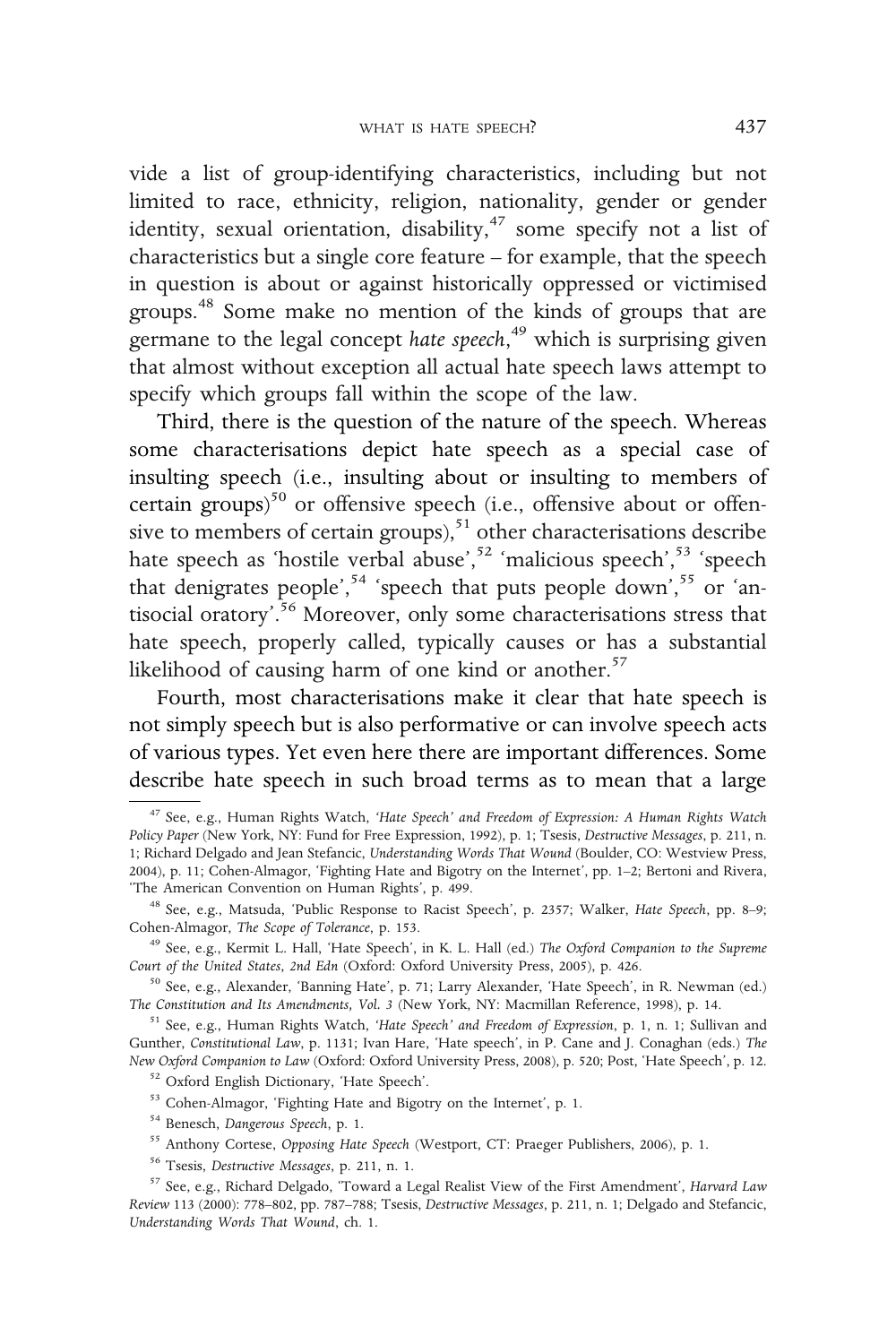vide a list of group-identifying characteristics, including but not limited to race, ethnicity, religion, nationality, gender or gender identity, sexual orientation, disability, $47$  some specify not a list of characteristics but a single core feature – for example, that the speech in question is about or against historically oppressed or victimised groups.<sup>48</sup> Some make no mention of the kinds of groups that are germane to the legal concept hate speech,<sup>49</sup> which is surprising given that almost without exception all actual hate speech laws attempt to specify which groups fall within the scope of the law.

Third, there is the question of the nature of the speech. Whereas some characterisations depict hate speech as a special case of insulting speech (i.e., insulting about or insulting to members of certain groups) $50$  or offensive speech (i.e., offensive about or offensive to members of certain groups), $51$  other characterisations describe hate speech as 'hostile verbal abuse',<sup>52</sup> 'malicious speech',<sup>53</sup> 'speech that denigrates people',<sup>54</sup> 'speech that puts people down',<sup>55</sup> or 'antisocial oratory'.<sup>56</sup> Moreover, only some characterisations stress that hate speech, properly called, typically causes or has a substantial likelihood of causing harm of one kind or another.<sup>57</sup>

Fourth, most characterisations make it clear that hate speech is not simply speech but is also performative or can involve speech acts of various types. Yet even here there are important differences. Some describe hate speech in such broad terms as to mean that a large

<sup>&</sup>lt;sup>47</sup> See, e.g., Human Rights Watch, 'Hate Speech' and Freedom of Expression: A Human Rights Watch Policy Paper (New York, NY: Fund for Free Expression, 1992), p. 1; Tsesis, Destructive Messages, p. 211, n. 1; Richard Delgado and Jean Stefancic, Understanding Words That Wound (Boulder, CO: Westview Press, 2004), p. 11; Cohen-Almagor, 'Fighting Hate and Bigotry on the Internet', pp. 1–2; Bertoni and Rivera, 'The American Convention on Human Rights', p. 499.

<sup>48</sup> See, e.g., Matsuda, 'Public Response to Racist Speech', p. 2357; Walker, Hate Speech, pp. 8–9; Cohen-Almagor, The Scope of Tolerance, p. 153.

<sup>&</sup>lt;sup>49</sup> See, e.g., Kermit L. Hall, 'Hate Speech', in K. L. Hall (ed.) The Oxford Companion to the Supreme Court of the United States, 2nd Edn (Oxford: Oxford University Press, 2005), p. 426.

<sup>50</sup> See, e.g., Alexander, 'Banning Hate', p. 71; Larry Alexander, 'Hate Speech', in R. Newman (ed.) The Constitution and Its Amendments, Vol. 3 (New York, NY: Macmillan Reference, 1998), p. 14.

<sup>&</sup>lt;sup>51</sup> See, e.g., Human Rights Watch, 'Hate Speech' and Freedom of Expression, p. 1, n. 1; Sullivan and Gunther, Constitutional Law, p. 1131; Ivan Hare, 'Hate speech', in P. Cane and J. Conaghan (eds.) The New Oxford Companion to Law (Oxford: Oxford University Press, 2008), p. 520; Post, 'Hate Speech', p. 12.

<sup>52</sup> Oxford English Dictionary, 'Hate Speech'.

<sup>53</sup> Cohen-Almagor, 'Fighting Hate and Bigotry on the Internet', p. 1.

<sup>54</sup> Benesch, Dangerous Speech, p. 1.

<sup>55</sup> Anthony Cortese, Opposing Hate Speech (Westport, CT: Praeger Publishers, 2006), p. 1.

<sup>56</sup> Tsesis, Destructive Messages, p. 211, n. 1.

<sup>&</sup>lt;sup>57</sup> See, e.g., Richard Delgado, 'Toward a Legal Realist View of the First Amendment', *Harvard Law* Review 113 (2000): 778–802, pp. 787–788; Tsesis, Destructive Messages, p. 211, n. 1; Delgado and Stefancic, Understanding Words That Wound, ch. 1.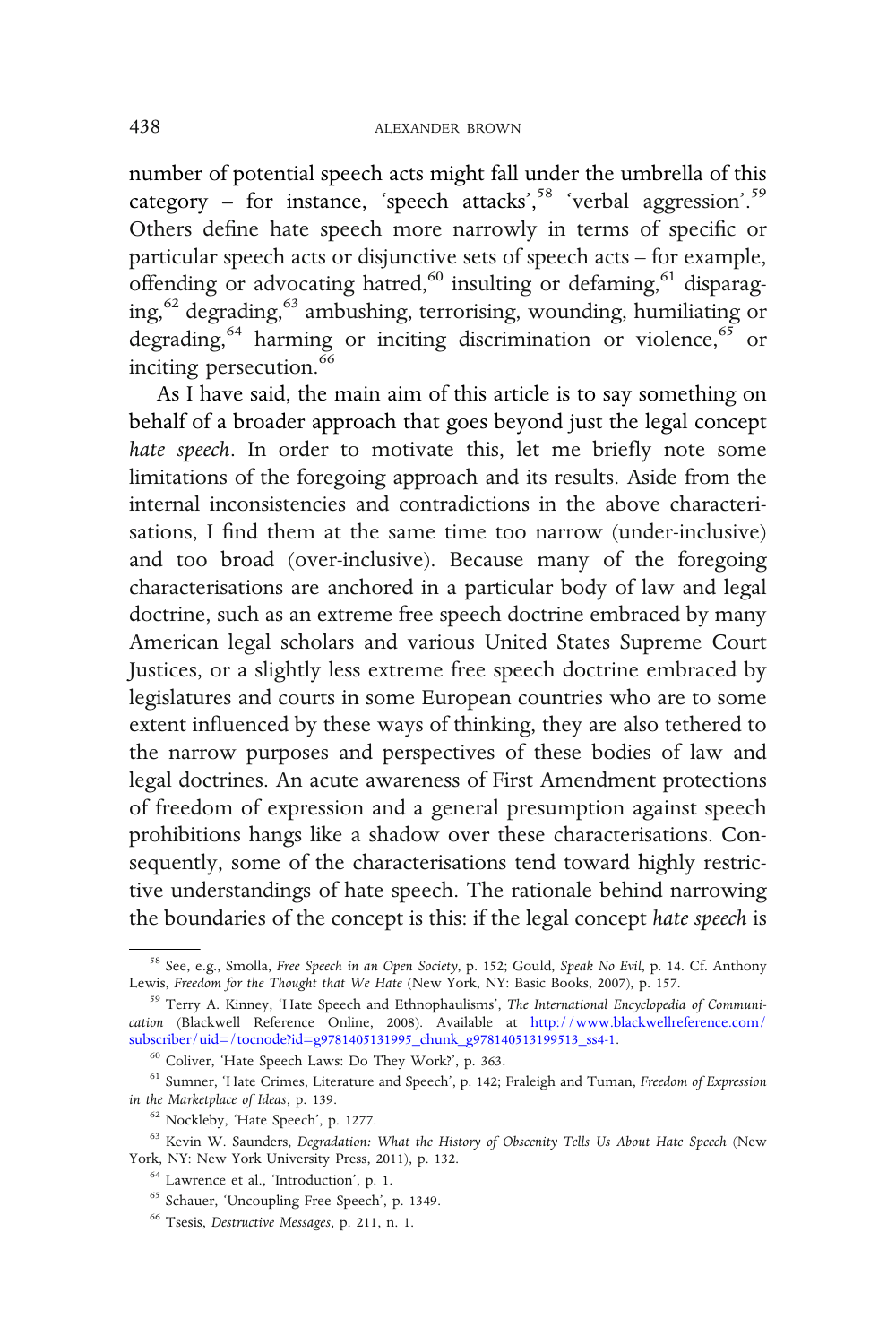number of potential speech acts might fall under the umbrella of this category – for instance, 'speech attacks',<sup>58</sup> 'verbal aggression'.<sup>59</sup> Others define hate speech more narrowly in terms of specific or particular speech acts or disjunctive sets of speech acts – for example, offending or advocating hatred, $60$  insulting or defaming, $61$  disparaging,<sup>62</sup> degrading,<sup>63</sup> ambushing, terrorising, wounding, humiliating or degrading,<sup>64</sup> harming or inciting discrimination or violence,<sup>65</sup> or inciting persecution.<sup>66</sup>

As I have said, the main aim of this article is to say something on behalf of a broader approach that goes beyond just the legal concept hate speech. In order to motivate this, let me briefly note some limitations of the foregoing approach and its results. Aside from the internal inconsistencies and contradictions in the above characterisations, I find them at the same time too narrow (under-inclusive) and too broad (over-inclusive). Because many of the foregoing characterisations are anchored in a particular body of law and legal doctrine, such as an extreme free speech doctrine embraced by many American legal scholars and various United States Supreme Court Justices, or a slightly less extreme free speech doctrine embraced by legislatures and courts in some European countries who are to some extent influenced by these ways of thinking, they are also tethered to the narrow purposes and perspectives of these bodies of law and legal doctrines. An acute awareness of First Amendment protections of freedom of expression and a general presumption against speech prohibitions hangs like a shadow over these characterisations. Consequently, some of the characterisations tend toward highly restrictive understandings of hate speech. The rationale behind narrowing the boundaries of the concept is this: if the legal concept hate speech is

<sup>58</sup> See, e.g., Smolla, Free Speech in an Open Society, p. 152; Gould, Speak No Evil, p. 14. Cf. Anthony Lewis, Freedom for the Thought that We Hate (New York, NY: Basic Books, 2007), p. 157.

<sup>&</sup>lt;sup>59</sup> Terry A. Kinney, 'Hate Speech and Ethnophaulisms', The International Encyclopedia of Communication (Blackwell Reference Online, 2008). Available at [http://www.blackwellreference.com/](http://www.blackwellreference.com/subscriber/uid%3d/tocnode%3fid%3dg9781405131995_chunk_g978140513199513_ss4-1) [subscriber/uid=/tocnode?id=g9781405131995\\_chunk\\_g978140513199513\\_ss4-1.](http://www.blackwellreference.com/subscriber/uid%3d/tocnode%3fid%3dg9781405131995_chunk_g978140513199513_ss4-1)

<sup>60</sup> Coliver, 'Hate Speech Laws: Do They Work?', p. 363.

<sup>&</sup>lt;sup>61</sup> Sumner, 'Hate Crimes, Literature and Speech', p. 142; Fraleigh and Tuman, Freedom of Expression in the Marketplace of Ideas, p. 139.

<sup>62</sup> Nockleby, 'Hate Speech', p. 1277.

<sup>&</sup>lt;sup>63</sup> Kevin W. Saunders, Degradation: What the History of Obscenity Tells Us About Hate Speech (New York, NY: New York University Press, 2011), p. 132.

<sup>64</sup> Lawrence et al., 'Introduction', p. 1.

<sup>65</sup> Schauer, 'Uncoupling Free Speech', p. 1349.

<sup>66</sup> Tsesis, Destructive Messages, p. 211, n. 1.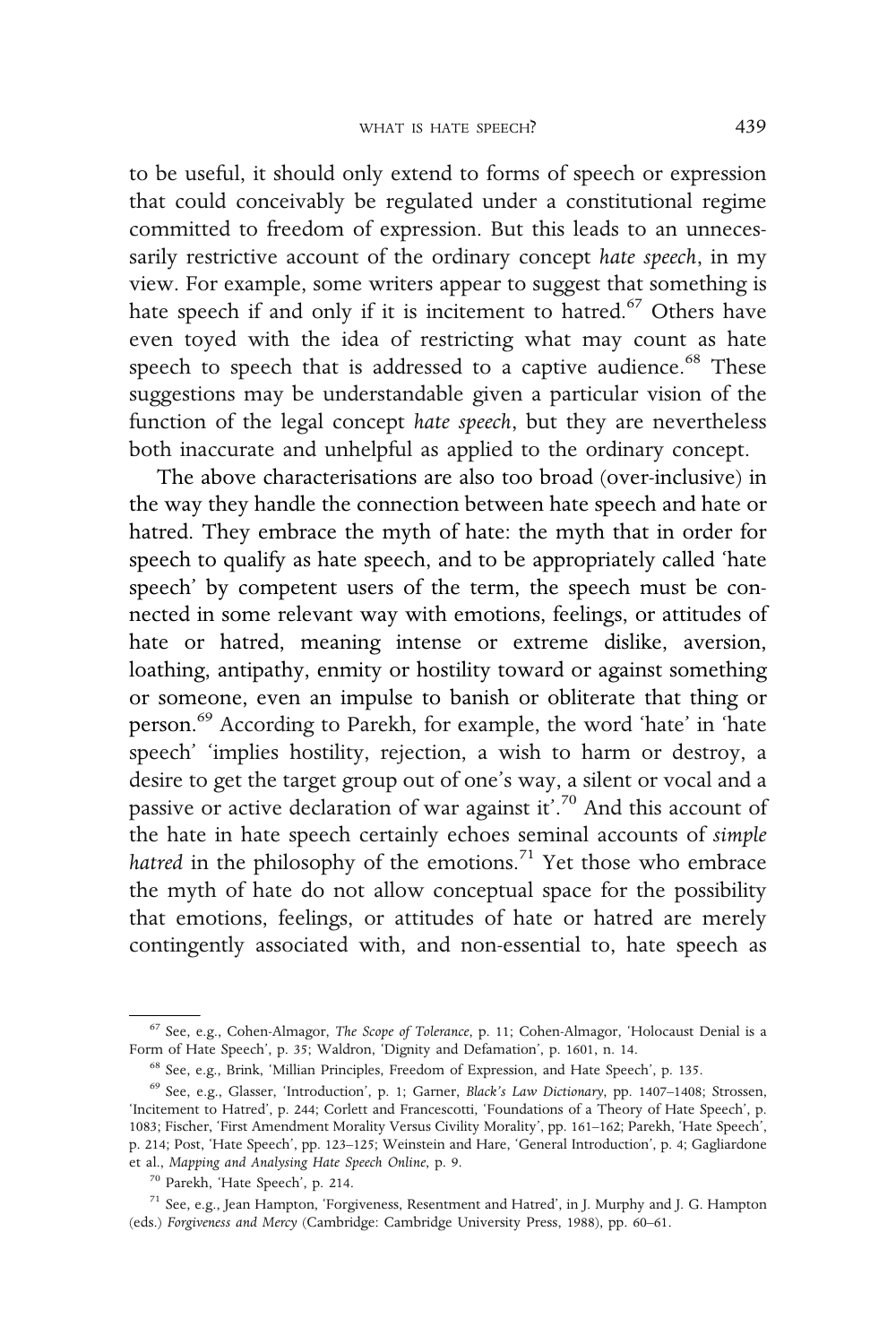to be useful, it should only extend to forms of speech or expression that could conceivably be regulated under a constitutional regime committed to freedom of expression. But this leads to an unnecessarily restrictive account of the ordinary concept hate speech, in my view. For example, some writers appear to suggest that something is hate speech if and only if it is incitement to hatred.<sup>67</sup> Others have even toyed with the idea of restricting what may count as hate speech to speech that is addressed to a captive audience.<sup>68</sup> These suggestions may be understandable given a particular vision of the function of the legal concept hate speech, but they are nevertheless both inaccurate and unhelpful as applied to the ordinary concept.

The above characterisations are also too broad (over-inclusive) in the way they handle the connection between hate speech and hate or hatred. They embrace the myth of hate: the myth that in order for speech to qualify as hate speech, and to be appropriately called 'hate speech' by competent users of the term, the speech must be connected in some relevant way with emotions, feelings, or attitudes of hate or hatred, meaning intense or extreme dislike, aversion, loathing, antipathy, enmity or hostility toward or against something or someone, even an impulse to banish or obliterate that thing or person.<sup>69</sup> According to Parekh, for example, the word 'hate' in 'hate speech' 'implies hostility, rejection, a wish to harm or destroy, a desire to get the target group out of one's way, a silent or vocal and a passive or active declaration of war against it'.<sup>70</sup> And this account of the hate in hate speech certainly echoes seminal accounts of simple hatred in the philosophy of the emotions.<sup>71</sup> Yet those who embrace the myth of hate do not allow conceptual space for the possibility that emotions, feelings, or attitudes of hate or hatred are merely contingently associated with, and non-essential to, hate speech as

<sup>&</sup>lt;sup>67</sup> See, e.g., Cohen-Almagor, The Scope of Tolerance, p. 11; Cohen-Almagor, 'Holocaust Denial is a Form of Hate Speech', p. 35; Waldron, 'Dignity and Defamation', p. 1601, n. 14.

<sup>68</sup> See, e.g., Brink, 'Millian Principles, Freedom of Expression, and Hate Speech', p. 135.

<sup>69</sup> See, e.g., Glasser, 'Introduction', p. 1; Garner, Black's Law Dictionary, pp. 1407–1408; Strossen, 'Incitement to Hatred', p. 244; Corlett and Francescotti, 'Foundations of a Theory of Hate Speech', p. 1083; Fischer, 'First Amendment Morality Versus Civility Morality', pp. 161–162; Parekh, 'Hate Speech', p. 214; Post, 'Hate Speech', pp. 123–125; Weinstein and Hare, 'General Introduction', p. 4; Gagliardone et al., Mapping and Analysing Hate Speech Online, p. 9.

<sup>70</sup> Parekh, 'Hate Speech', p. 214.

 $71$  See, e.g., Jean Hampton, 'Forgiveness, Resentment and Hatred', in J. Murphy and J. G. Hampton (eds.) Forgiveness and Mercy (Cambridge: Cambridge University Press, 1988), pp. 60–61.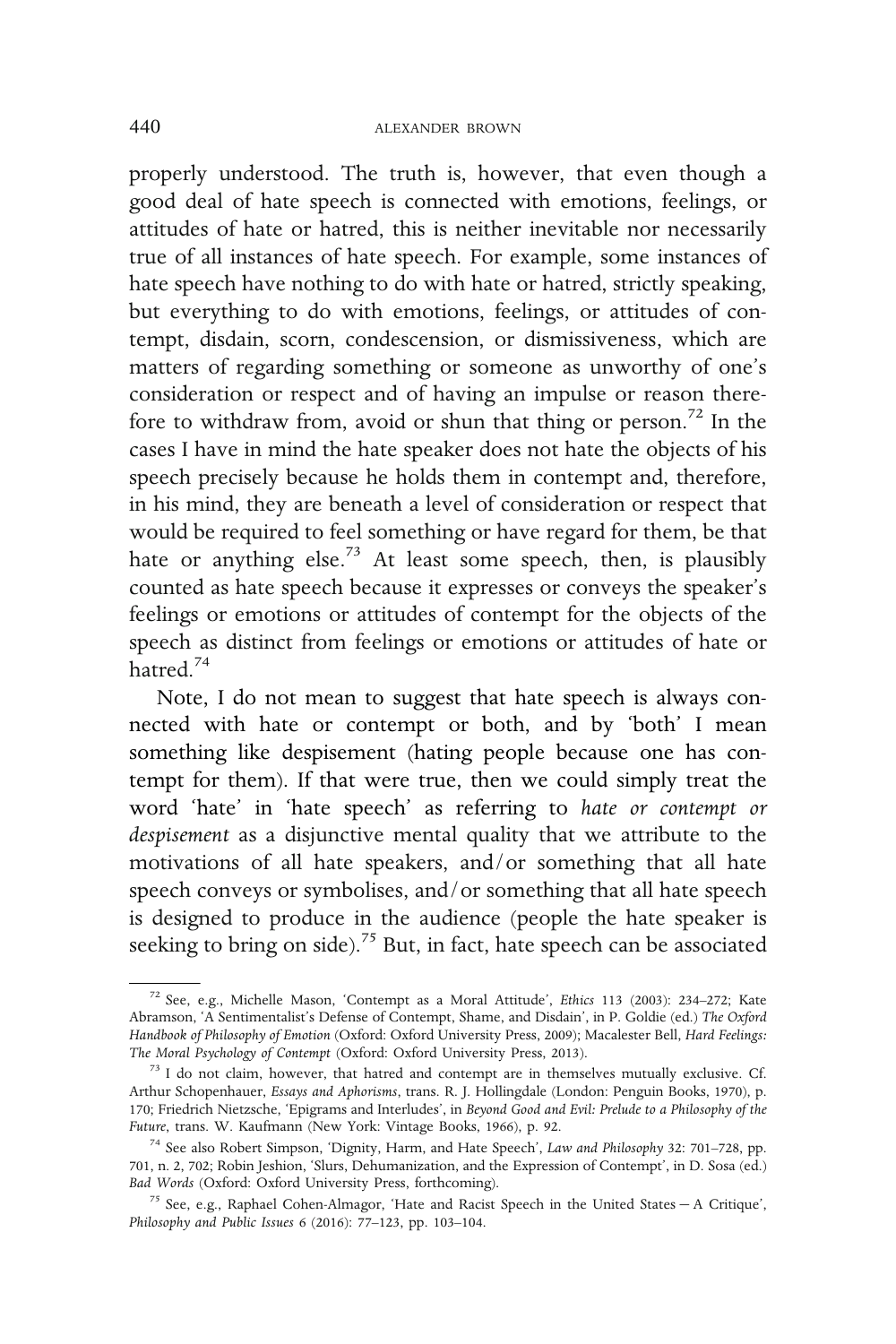properly understood. The truth is, however, that even though a good deal of hate speech is connected with emotions, feelings, or attitudes of hate or hatred, this is neither inevitable nor necessarily true of all instances of hate speech. For example, some instances of hate speech have nothing to do with hate or hatred, strictly speaking, but everything to do with emotions, feelings, or attitudes of contempt, disdain, scorn, condescension, or dismissiveness, which are matters of regarding something or someone as unworthy of one's consideration or respect and of having an impulse or reason therefore to withdraw from, avoid or shun that thing or person.<sup>72</sup> In the cases I have in mind the hate speaker does not hate the objects of his speech precisely because he holds them in contempt and, therefore, in his mind, they are beneath a level of consideration or respect that would be required to feel something or have regard for them, be that hate or anything else.<sup>73</sup> At least some speech, then, is plausibly counted as hate speech because it expresses or conveys the speaker's feelings or emotions or attitudes of contempt for the objects of the speech as distinct from feelings or emotions or attitudes of hate or hatred<sup>74</sup>

Note, I do not mean to suggest that hate speech is always connected with hate or contempt or both, and by 'both' I mean something like despisement (hating people because one has contempt for them). If that were true, then we could simply treat the word 'hate' in 'hate speech' as referring to hate or contempt or despisement as a disjunctive mental quality that we attribute to the motivations of all hate speakers, and/or something that all hate speech conveys or symbolises, and/or something that all hate speech is designed to produce in the audience (people the hate speaker is seeking to bring on side).<sup>75</sup> But, in fact, hate speech can be associated

<sup>72</sup> See, e.g., Michelle Mason, 'Contempt as a Moral Attitude', Ethics 113 (2003): 234–272; Kate Abramson, 'A Sentimentalist's Defense of Contempt, Shame, and Disdain', in P. Goldie (ed.) The Oxford Handbook of Philosophy of Emotion (Oxford: Oxford University Press, 2009); Macalester Bell, Hard Feelings: The Moral Psychology of Contempt (Oxford: Oxford University Press, 2013).

<sup>&</sup>lt;sup>73</sup> I do not claim, however, that hatred and contempt are in themselves mutually exclusive. Cf. Arthur Schopenhauer, Essays and Aphorisms, trans. R. J. Hollingdale (London: Penguin Books, 1970), p. 170; Friedrich Nietzsche, 'Epigrams and Interludes', in Beyond Good and Evil: Prelude to a Philosophy of the Future, trans. W. Kaufmann (New York: Vintage Books, 1966), p. 92.

<sup>74</sup> See also Robert Simpson, 'Dignity, Harm, and Hate Speech', Law and Philosophy 32: 701–728, pp. 701, n. 2, 702; Robin Jeshion, 'Slurs, Dehumanization, and the Expression of Contempt', in D. Sosa (ed.) Bad Words (Oxford: Oxford University Press, forthcoming).

 $75$  See, e.g., Raphael Cohen-Almagor, 'Hate and Racist Speech in the United States  $-A$  Critique', Philosophy and Public Issues 6 (2016): 77–123, pp. 103–104.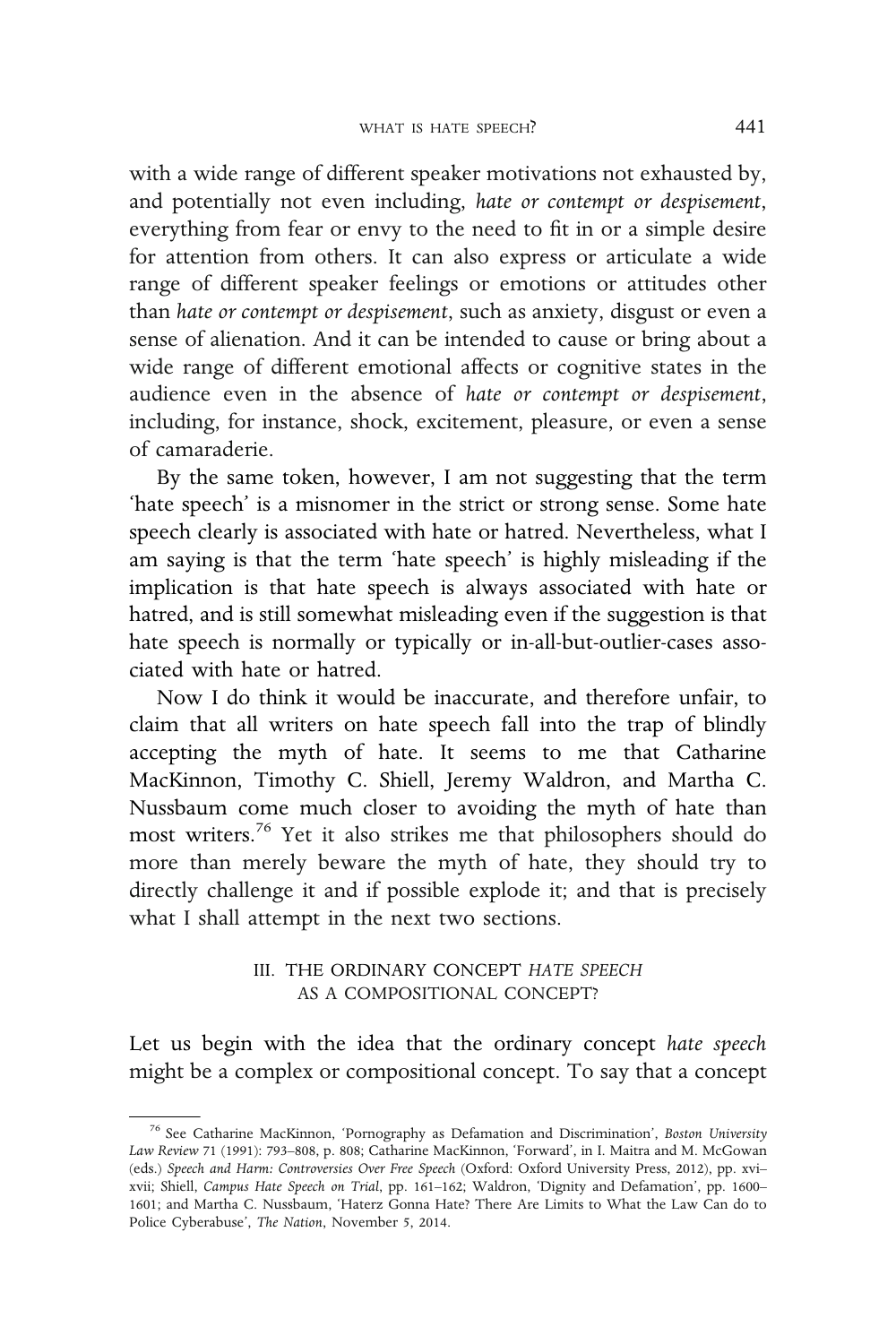<span id="page-22-0"></span>with a wide range of different speaker motivations not exhausted by, and potentially not even including, hate or contempt or despisement, everything from fear or envy to the need to fit in or a simple desire for attention from others. It can also express or articulate a wide range of different speaker feelings or emotions or attitudes other than hate or contempt or despisement, such as anxiety, disgust or even a sense of alienation. And it can be intended to cause or bring about a wide range of different emotional affects or cognitive states in the audience even in the absence of hate or contempt or despisement, including, for instance, shock, excitement, pleasure, or even a sense of camaraderie.

By the same token, however, I am not suggesting that the term 'hate speech' is a misnomer in the strict or strong sense. Some hate speech clearly is associated with hate or hatred. Nevertheless, what I am saying is that the term 'hate speech' is highly misleading if the implication is that hate speech is always associated with hate or hatred, and is still somewhat misleading even if the suggestion is that hate speech is normally or typically or in-all-but-outlier-cases associated with hate or hatred.

Now I do think it would be inaccurate, and therefore unfair, to claim that all writers on hate speech fall into the trap of blindly accepting the myth of hate. It seems to me that Catharine MacKinnon, Timothy C. Shiell, Jeremy Waldron, and Martha C. Nussbaum come much closer to avoiding the myth of hate than most writers.<sup>76</sup> Yet it also strikes me that philosophers should do more than merely beware the myth of hate, they should try to directly challenge it and if possible explode it; and that is precisely what I shall attempt in the next two sections.

### III. THE ORDINARY CONCEPT HATE SPEECH AS A COMPOSITIONAL CONCEPT?

Let us begin with the idea that the ordinary concept hate speech might be a complex or compositional concept. To say that a concept

<sup>76</sup> See Catharine MacKinnon, 'Pornography as Defamation and Discrimination', Boston University Law Review 71 (1991): 793–808, p. 808; Catharine MacKinnon, 'Forward', in I. Maitra and M. McGowan (eds.) Speech and Harm: Controversies Over Free Speech (Oxford: Oxford University Press, 2012), pp. xvi– xvii; Shiell, Campus Hate Speech on Trial, pp. 161–162; Waldron, 'Dignity and Defamation', pp. 1600– 1601; and Martha C. Nussbaum, 'Haterz Gonna Hate? There Are Limits to What the Law Can do to Police Cyberabuse', The Nation, November 5, 2014.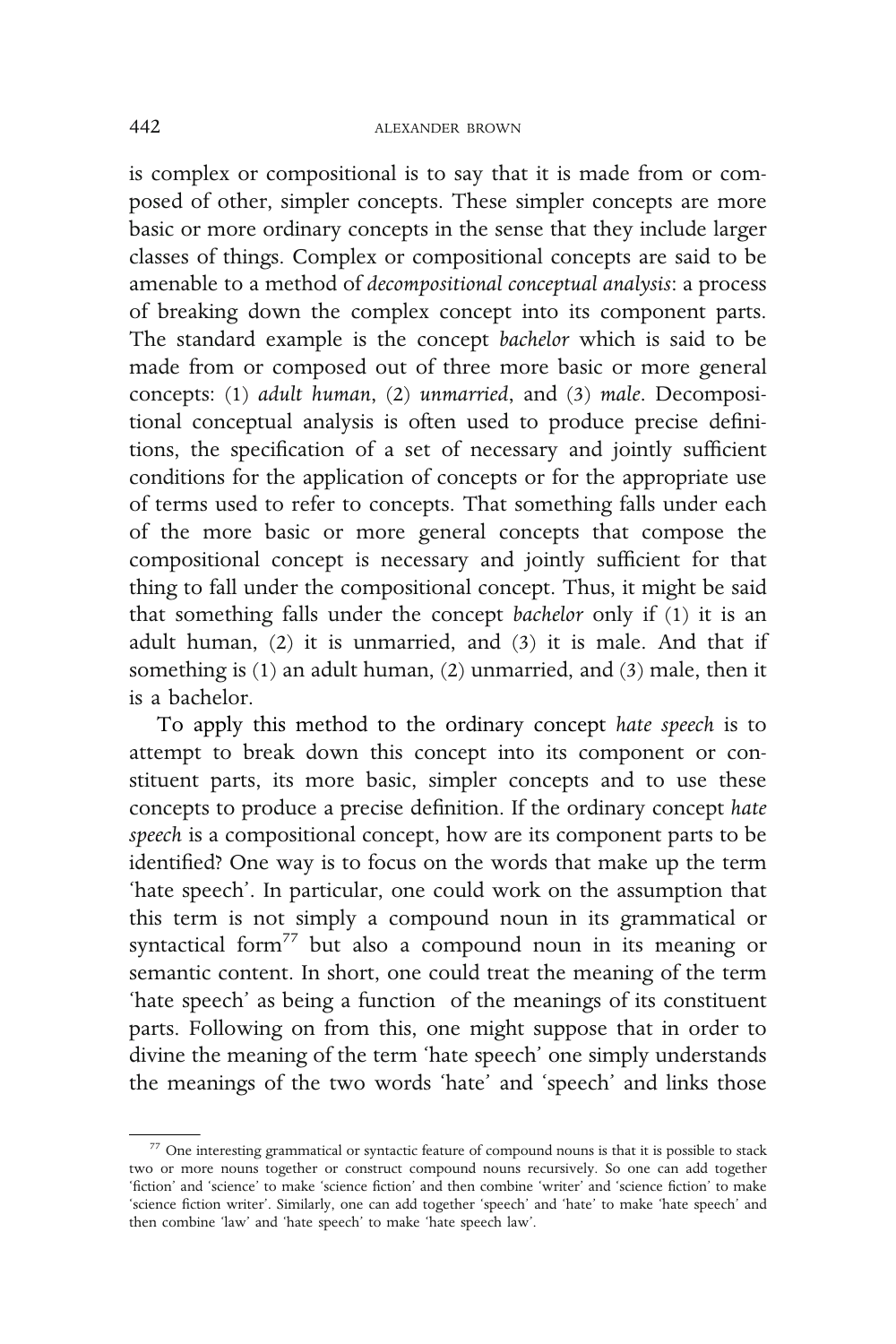is complex or compositional is to say that it is made from or composed of other, simpler concepts. These simpler concepts are more basic or more ordinary concepts in the sense that they include larger classes of things. Complex or compositional concepts are said to be amenable to a method of decompositional conceptual analysis: a process of breaking down the complex concept into its component parts. The standard example is the concept bachelor which is said to be made from or composed out of three more basic or more general concepts: (1) adult human, (2) unmarried, and (3) male. Decompositional conceptual analysis is often used to produce precise definitions, the specification of a set of necessary and jointly sufficient conditions for the application of concepts or for the appropriate use of terms used to refer to concepts. That something falls under each of the more basic or more general concepts that compose the compositional concept is necessary and jointly sufficient for that thing to fall under the compositional concept. Thus, it might be said that something falls under the concept bachelor only if (1) it is an adult human, (2) it is unmarried, and (3) it is male. And that if something is (1) an adult human, (2) unmarried, and (3) male, then it is a bachelor.

To apply this method to the ordinary concept hate speech is to attempt to break down this concept into its component or constituent parts, its more basic, simpler concepts and to use these concepts to produce a precise definition. If the ordinary concept hate speech is a compositional concept, how are its component parts to be identified? One way is to focus on the words that make up the term 'hate speech'. In particular, one could work on the assumption that this term is not simply a compound noun in its grammatical or syntactical form $77$  but also a compound noun in its meaning or semantic content. In short, one could treat the meaning of the term 'hate speech' as being a function of the meanings of its constituent parts. Following on from this, one might suppose that in order to divine the meaning of the term 'hate speech' one simply understands the meanings of the two words 'hate' and 'speech' and links those

<sup>&</sup>lt;sup>77</sup> One interesting grammatical or syntactic feature of compound nouns is that it is possible to stack two or more nouns together or construct compound nouns recursively. So one can add together 'fiction' and 'science' to make 'science fiction' and then combine 'writer' and 'science fiction' to make 'science fiction writer'. Similarly, one can add together 'speech' and 'hate' to make 'hate speech' and then combine 'law' and 'hate speech' to make 'hate speech law'.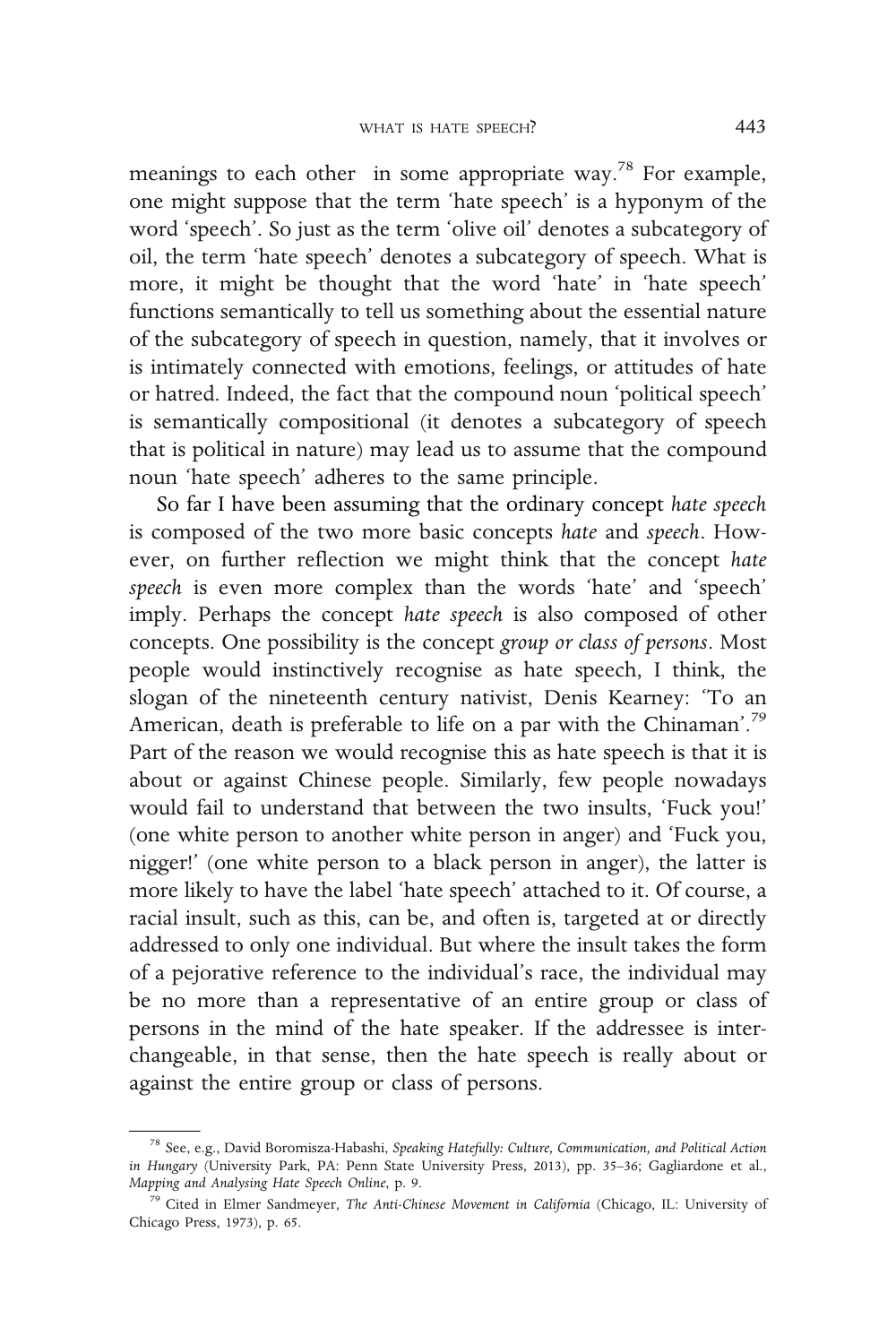meanings to each other in some appropriate way.<sup>78</sup> For example, one might suppose that the term 'hate speech' is a hyponym of the word 'speech'. So just as the term 'olive oil' denotes a subcategory of oil, the term 'hate speech' denotes a subcategory of speech. What is more, it might be thought that the word 'hate' in 'hate speech' functions semantically to tell us something about the essential nature of the subcategory of speech in question, namely, that it involves or is intimately connected with emotions, feelings, or attitudes of hate or hatred. Indeed, the fact that the compound noun 'political speech' is semantically compositional (it denotes a subcategory of speech that is political in nature) may lead us to assume that the compound noun 'hate speech' adheres to the same principle.

So far I have been assuming that the ordinary concept hate speech is composed of the two more basic concepts hate and speech. However, on further reflection we might think that the concept hate speech is even more complex than the words 'hate' and 'speech' imply. Perhaps the concept hate speech is also composed of other concepts. One possibility is the concept group or class of persons. Most people would instinctively recognise as hate speech, I think, the slogan of the nineteenth century nativist, Denis Kearney: 'To an American, death is preferable to life on a par with the Chinaman'.<sup>79</sup> Part of the reason we would recognise this as hate speech is that it is about or against Chinese people. Similarly, few people nowadays would fail to understand that between the two insults, 'Fuck you!' (one white person to another white person in anger) and 'Fuck you, nigger!' (one white person to a black person in anger), the latter is more likely to have the label 'hate speech' attached to it. Of course, a racial insult, such as this, can be, and often is, targeted at or directly addressed to only one individual. But where the insult takes the form of a pejorative reference to the individual's race, the individual may be no more than a representative of an entire group or class of persons in the mind of the hate speaker. If the addressee is interchangeable, in that sense, then the hate speech is really about or against the entire group or class of persons.

<sup>&</sup>lt;sup>78</sup> See, e.g., David Boromisza-Habashi, Speaking Hatefully: Culture, Communication, and Political Action in Hungary (University Park, PA: Penn State University Press, 2013), pp. 35–36; Gagliardone et al., Mapping and Analysing Hate Speech Online, p. 9.

<sup>&</sup>lt;sup>79</sup> Cited in Elmer Sandmeyer, *The Anti-Chinese Movement in California* (Chicago, IL: University of Chicago Press, 1973), p. 65.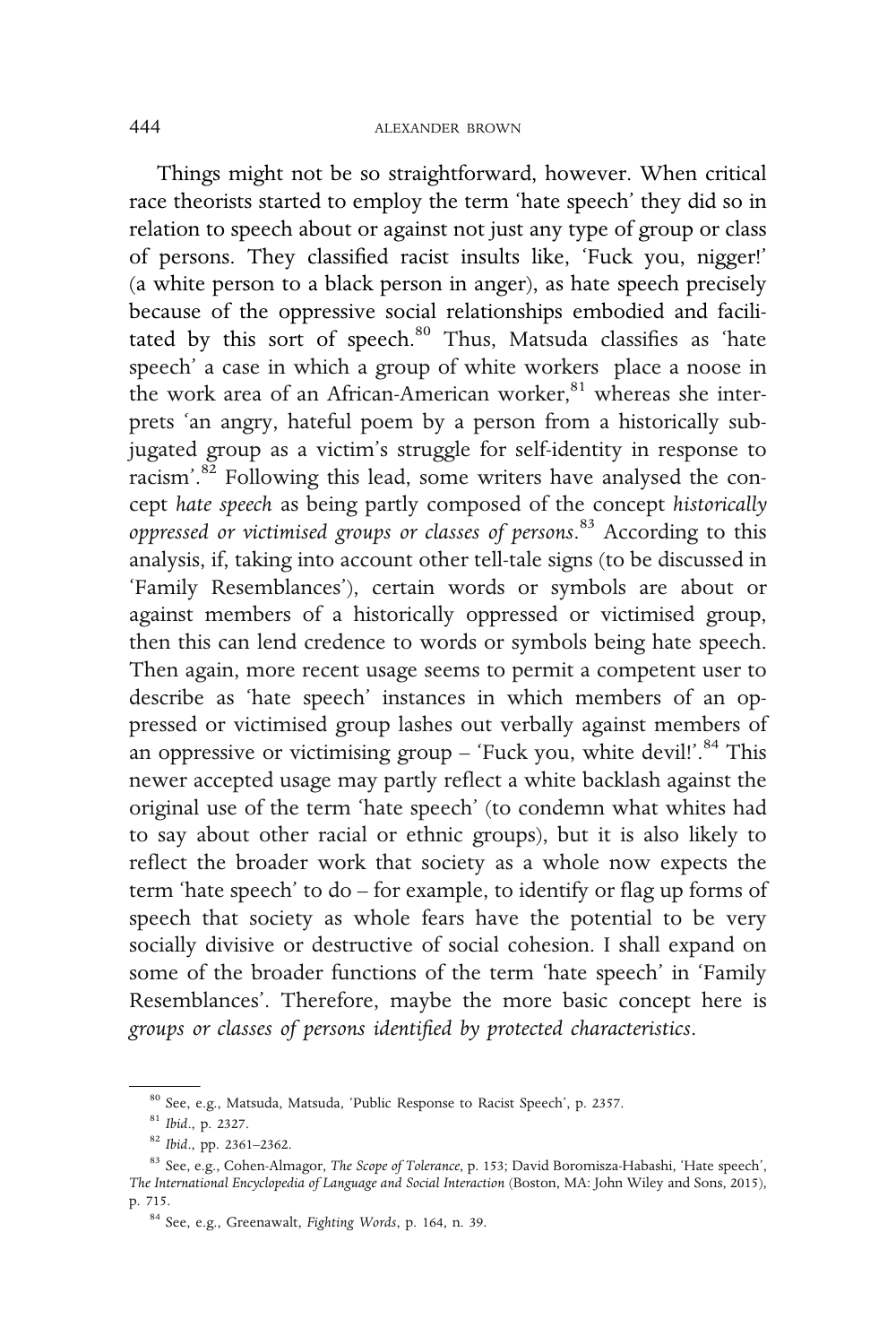Things might not be so straightforward, however. When critical race theorists started to employ the term 'hate speech' they did so in relation to speech about or against not just any type of group or class of persons. They classified racist insults like, 'Fuck you, nigger!' (a white person to a black person in anger), as hate speech precisely because of the oppressive social relationships embodied and facilitated by this sort of speech.<sup>80</sup> Thus, Matsuda classifies as 'hate speech' a case in which a group of white workers place a noose in the work area of an African-American worker,<sup>81</sup> whereas she interprets 'an angry, hateful poem by a person from a historically subjugated group as a victim's struggle for self-identity in response to racism'.<sup>82</sup> Following this lead, some writers have analysed the concept hate speech as being partly composed of the concept historically oppressed or victimised groups or classes of persons.<sup>83</sup> According to this analysis, if, taking into account other tell-tale signs (to be discussed in 'Family Resemblances'), certain words or symbols are about or against members of a historically oppressed or victimised group, then this can lend credence to words or symbols being hate speech. Then again, more recent usage seems to permit a competent user to describe as 'hate speech' instances in which members of an oppressed or victimised group lashes out verbally against members of an oppressive or victimising group  $-$  'Fuck you, white devil!'.<sup>84</sup> This newer accepted usage may partly reflect a white backlash against the original use of the term 'hate speech' (to condemn what whites had to say about other racial or ethnic groups), but it is also likely to reflect the broader work that society as a whole now expects the term 'hate speech' to do – for example, to identify or flag up forms of speech that society as whole fears have the potential to be very socially divisive or destructive of social cohesion. I shall expand on some of the broader functions of the term 'hate speech' in 'Family Resemblances'. Therefore, maybe the more basic concept here is groups or classes of persons identified by protected characteristics.

<sup>80</sup> See, e.g., Matsuda, Matsuda, 'Public Response to Racist Speech', p. 2357.

<sup>81</sup> Ibid., p. 2327.

<sup>82</sup> Ibid., pp. 2361–2362.

<sup>83</sup> See, e.g., Cohen-Almagor, The Scope of Tolerance, p. 153; David Boromisza-Habashi, 'Hate speech', The International Encyclopedia of Language and Social Interaction (Boston, MA: John Wiley and Sons, 2015), p. 715.

<sup>84</sup> See, e.g., Greenawalt, Fighting Words, p. 164, n. 39.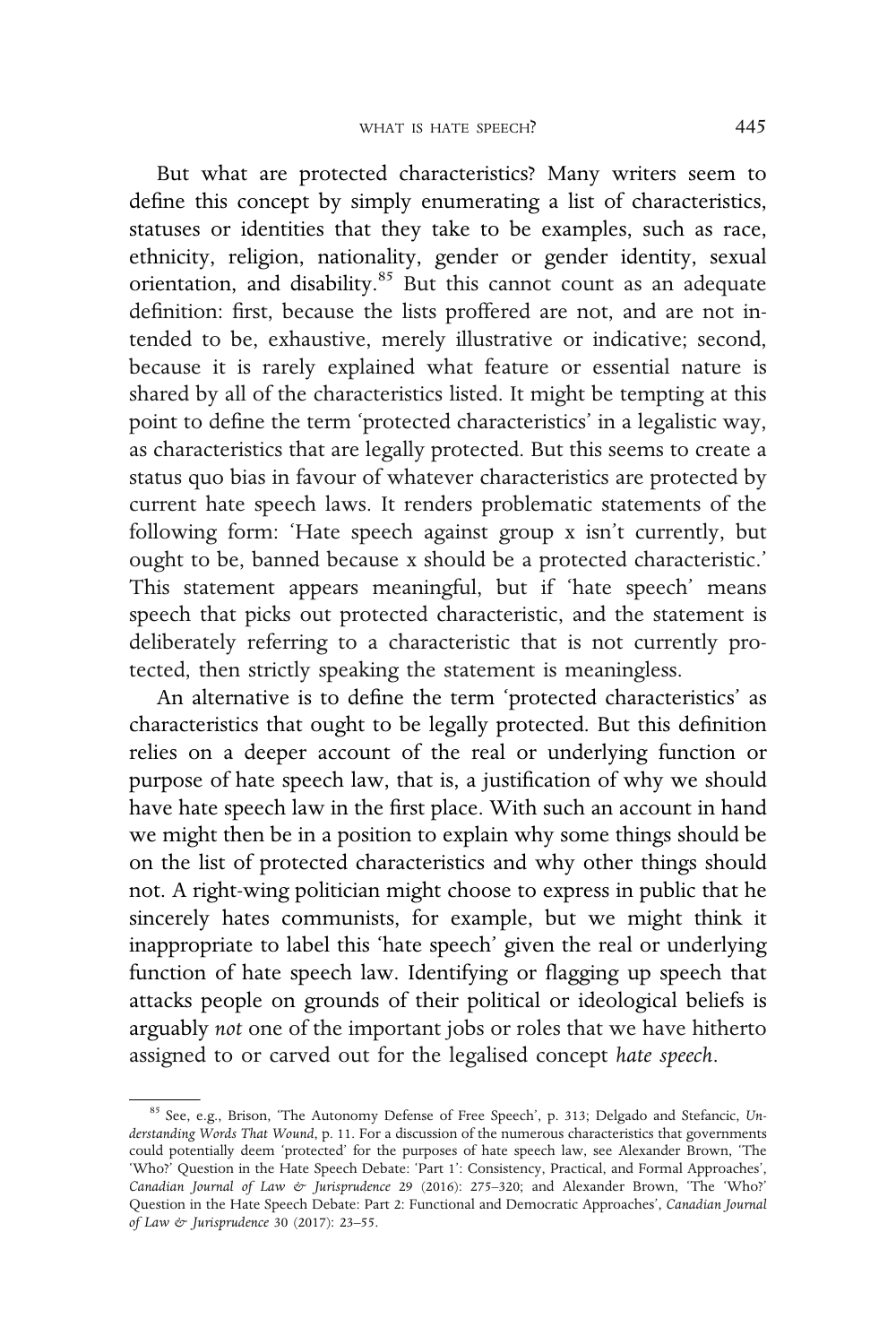But what are protected characteristics? Many writers seem to define this concept by simply enumerating a list of characteristics, statuses or identities that they take to be examples, such as race, ethnicity, religion, nationality, gender or gender identity, sexual orientation, and disability.<sup>85</sup> But this cannot count as an adequate definition: first, because the lists proffered are not, and are not intended to be, exhaustive, merely illustrative or indicative; second, because it is rarely explained what feature or essential nature is shared by all of the characteristics listed. It might be tempting at this point to define the term 'protected characteristics' in a legalistic way, as characteristics that are legally protected. But this seems to create a status quo bias in favour of whatever characteristics are protected by current hate speech laws. It renders problematic statements of the following form: 'Hate speech against group x isn't currently, but ought to be, banned because x should be a protected characteristic.' This statement appears meaningful, but if 'hate speech' means speech that picks out protected characteristic, and the statement is deliberately referring to a characteristic that is not currently protected, then strictly speaking the statement is meaningless.

An alternative is to define the term 'protected characteristics' as characteristics that ought to be legally protected. But this definition relies on a deeper account of the real or underlying function or purpose of hate speech law, that is, a justification of why we should have hate speech law in the first place. With such an account in hand we might then be in a position to explain why some things should be on the list of protected characteristics and why other things should not. A right-wing politician might choose to express in public that he sincerely hates communists, for example, but we might think it inappropriate to label this 'hate speech' given the real or underlying function of hate speech law. Identifying or flagging up speech that attacks people on grounds of their political or ideological beliefs is arguably not one of the important jobs or roles that we have hitherto assigned to or carved out for the legalised concept hate speech.

<sup>&</sup>lt;sup>85</sup> See, e.g., Brison, 'The Autonomy Defense of Free Speech', p. 313; Delgado and Stefancic, Understanding Words That Wound, p. 11. For a discussion of the numerous characteristics that governments could potentially deem 'protected' for the purposes of hate speech law, see Alexander Brown, 'The 'Who?' Question in the Hate Speech Debate: 'Part 1': Consistency, Practical, and Formal Approaches', Canadian Journal of Law & Jurisprudence 29 (2016): 275-320; and Alexander Brown, 'The 'Who?' Question in the Hate Speech Debate: Part 2: Functional and Democratic Approaches', Canadian Journal of Law & Jurisprudence 30 (2017): 23–55.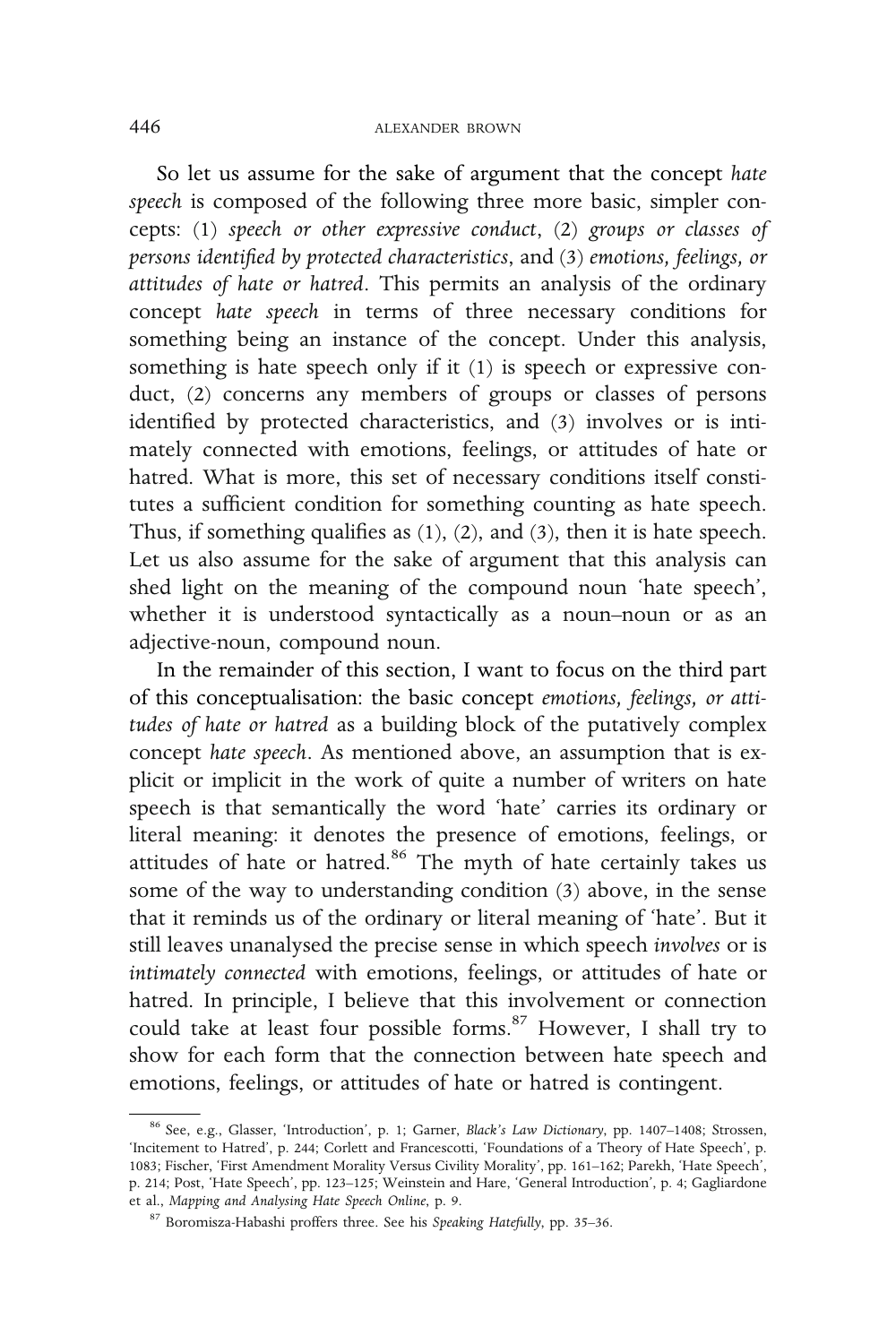So let us assume for the sake of argument that the concept hate speech is composed of the following three more basic, simpler concepts: (1) speech or other expressive conduct, (2) groups or classes of persons identified by protected characteristics, and (3) emotions, feelings, or attitudes of hate or hatred. This permits an analysis of the ordinary concept hate speech in terms of three necessary conditions for something being an instance of the concept. Under this analysis, something is hate speech only if it (1) is speech or expressive conduct, (2) concerns any members of groups or classes of persons identified by protected characteristics, and (3) involves or is intimately connected with emotions, feelings, or attitudes of hate or hatred. What is more, this set of necessary conditions itself constitutes a sufficient condition for something counting as hate speech. Thus, if something qualifies as (1), (2), and (3), then it is hate speech. Let us also assume for the sake of argument that this analysis can shed light on the meaning of the compound noun 'hate speech', whether it is understood syntactically as a noun–noun or as an adjective-noun, compound noun.

In the remainder of this section, I want to focus on the third part of this conceptualisation: the basic concept emotions, feelings, or attitudes of hate or hatred as a building block of the putatively complex concept hate speech. As mentioned above, an assumption that is explicit or implicit in the work of quite a number of writers on hate speech is that semantically the word 'hate' carries its ordinary or literal meaning: it denotes the presence of emotions, feelings, or attitudes of hate or hatred.<sup>86</sup> The myth of hate certainly takes us some of the way to understanding condition (3) above, in the sense that it reminds us of the ordinary or literal meaning of 'hate'. But it still leaves unanalysed the precise sense in which speech involves or is intimately connected with emotions, feelings, or attitudes of hate or hatred. In principle, I believe that this involvement or connection could take at least four possible forms.<sup>87</sup> However, I shall try to show for each form that the connection between hate speech and emotions, feelings, or attitudes of hate or hatred is contingent.

<sup>86</sup> See, e.g., Glasser, 'Introduction', p. 1; Garner, Black's Law Dictionary, pp. 1407–1408; Strossen, 'Incitement to Hatred', p. 244; Corlett and Francescotti, 'Foundations of a Theory of Hate Speech', p. 1083; Fischer, 'First Amendment Morality Versus Civility Morality', pp. 161–162; Parekh, 'Hate Speech', p. 214; Post, 'Hate Speech', pp. 123–125; Weinstein and Hare, 'General Introduction', p. 4; Gagliardone et al., Mapping and Analysing Hate Speech Online, p. 9.

<sup>87</sup> Boromisza-Habashi proffers three. See his Speaking Hatefully, pp. 35–36.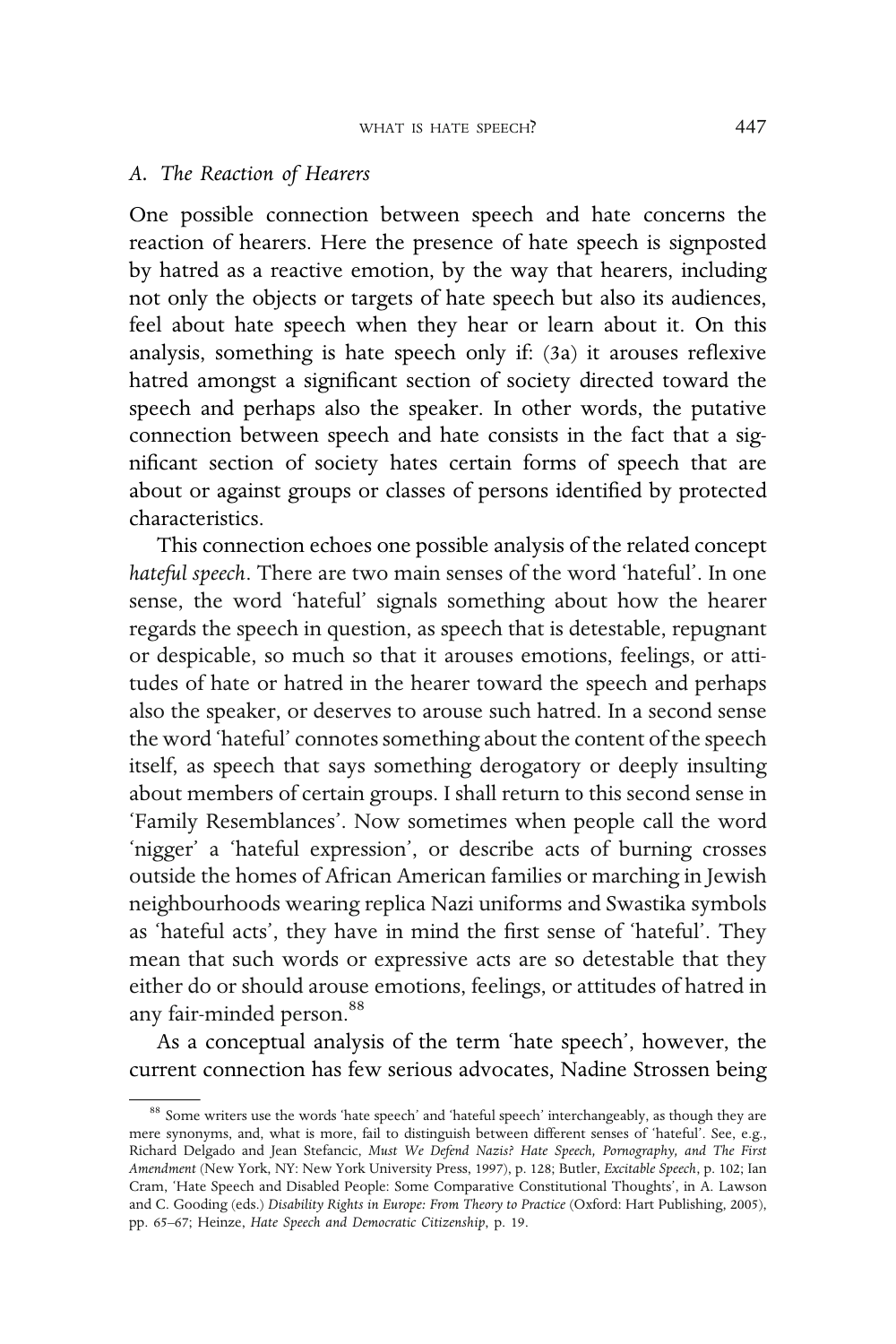### A. The Reaction of Hearers

One possible connection between speech and hate concerns the reaction of hearers. Here the presence of hate speech is signposted by hatred as a reactive emotion, by the way that hearers, including not only the objects or targets of hate speech but also its audiences, feel about hate speech when they hear or learn about it. On this analysis, something is hate speech only if: (3a) it arouses reflexive hatred amongst a significant section of society directed toward the speech and perhaps also the speaker. In other words, the putative connection between speech and hate consists in the fact that a significant section of society hates certain forms of speech that are about or against groups or classes of persons identified by protected characteristics.

This connection echoes one possible analysis of the related concept hateful speech. There are two main senses of the word 'hateful'. In one sense, the word 'hateful' signals something about how the hearer regards the speech in question, as speech that is detestable, repugnant or despicable, so much so that it arouses emotions, feelings, or attitudes of hate or hatred in the hearer toward the speech and perhaps also the speaker, or deserves to arouse such hatred. In a second sense the word 'hateful' connotes something about the content of the speech itself, as speech that says something derogatory or deeply insulting about members of certain groups. I shall return to this second sense in 'Family Resemblances'. Now sometimes when people call the word 'nigger' a 'hateful expression', or describe acts of burning crosses outside the homes of African American families or marching in Jewish neighbourhoods wearing replica Nazi uniforms and Swastika symbols as 'hateful acts', they have in mind the first sense of 'hateful'. They mean that such words or expressive acts are so detestable that they either do or should arouse emotions, feelings, or attitudes of hatred in any fair-minded person.<sup>88</sup>

As a conceptual analysis of the term 'hate speech', however, the current connection has few serious advocates, Nadine Strossen being

<sup>&</sup>lt;sup>88</sup> Some writers use the words 'hate speech' and 'hateful speech' interchangeably, as though they are mere synonyms, and, what is more, fail to distinguish between different senses of 'hateful'. See, e.g., Richard Delgado and Jean Stefancic, Must We Defend Nazis? Hate Speech, Pornography, and The First Amendment (New York, NY: New York University Press, 1997), p. 128; Butler, Excitable Speech, p. 102; Ian Cram, 'Hate Speech and Disabled People: Some Comparative Constitutional Thoughts', in A. Lawson and C. Gooding (eds.) Disability Rights in Europe: From Theory to Practice (Oxford: Hart Publishing, 2005), pp. 65–67; Heinze, Hate Speech and Democratic Citizenship, p. 19.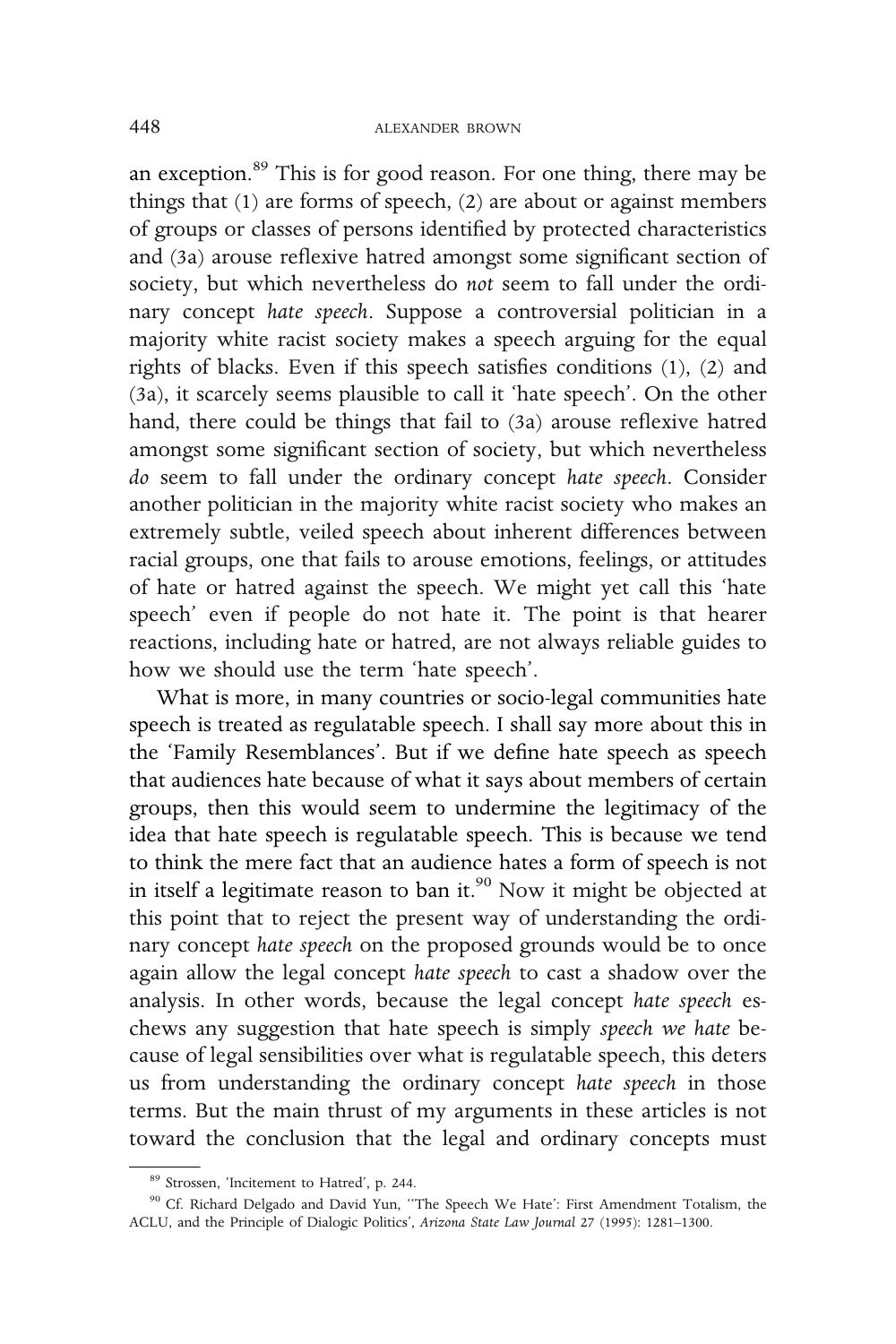an exception.<sup>89</sup> This is for good reason. For one thing, there may be things that (1) are forms of speech, (2) are about or against members of groups or classes of persons identified by protected characteristics and (3a) arouse reflexive hatred amongst some significant section of society, but which nevertheless do not seem to fall under the ordinary concept hate speech. Suppose a controversial politician in a majority white racist society makes a speech arguing for the equal rights of blacks. Even if this speech satisfies conditions (1), (2) and (3a), it scarcely seems plausible to call it 'hate speech'. On the other hand, there could be things that fail to (3a) arouse reflexive hatred amongst some significant section of society, but which nevertheless do seem to fall under the ordinary concept hate speech. Consider another politician in the majority white racist society who makes an extremely subtle, veiled speech about inherent differences between racial groups, one that fails to arouse emotions, feelings, or attitudes of hate or hatred against the speech. We might yet call this 'hate speech' even if people do not hate it. The point is that hearer reactions, including hate or hatred, are not always reliable guides to how we should use the term 'hate speech'.

What is more, in many countries or socio-legal communities hate speech is treated as regulatable speech. I shall say more about this in the 'Family Resemblances'. But if we define hate speech as speech that audiences hate because of what it says about members of certain groups, then this would seem to undermine the legitimacy of the idea that hate speech is regulatable speech. This is because we tend to think the mere fact that an audience hates a form of speech is not in itself a legitimate reason to ban it.<sup>90</sup> Now it might be objected at this point that to reject the present way of understanding the ordinary concept hate speech on the proposed grounds would be to once again allow the legal concept hate speech to cast a shadow over the analysis. In other words, because the legal concept hate speech eschews any suggestion that hate speech is simply speech we hate because of legal sensibilities over what is regulatable speech, this deters us from understanding the ordinary concept hate speech in those terms. But the main thrust of my arguments in these articles is not toward the conclusion that the legal and ordinary concepts must

<sup>89</sup> Strossen, 'Incitement to Hatred', p. 244.

<sup>&</sup>lt;sup>90</sup> Cf. Richard Delgado and David Yun, "The Speech We Hate': First Amendment Totalism, the ACLU, and the Principle of Dialogic Politics', Arizona State Law Journal 27 (1995): 1281–1300.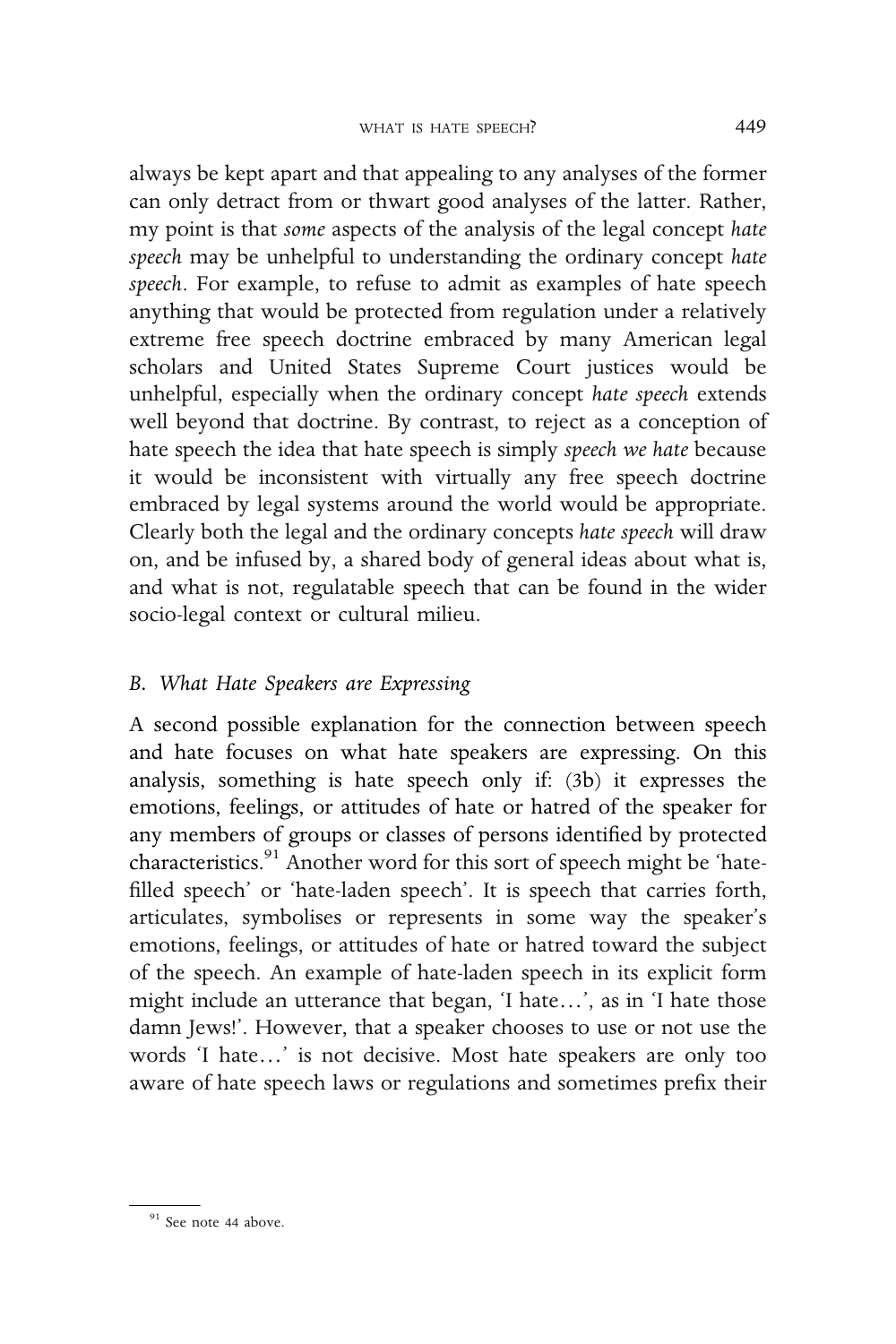always be kept apart and that appealing to any analyses of the former can only detract from or thwart good analyses of the latter. Rather, my point is that some aspects of the analysis of the legal concept hate speech may be unhelpful to understanding the ordinary concept hate speech. For example, to refuse to admit as examples of hate speech anything that would be protected from regulation under a relatively extreme free speech doctrine embraced by many American legal scholars and United States Supreme Court justices would be unhelpful, especially when the ordinary concept hate speech extends well beyond that doctrine. By contrast, to reject as a conception of hate speech the idea that hate speech is simply speech we hate because it would be inconsistent with virtually any free speech doctrine embraced by legal systems around the world would be appropriate. Clearly both the legal and the ordinary concepts hate speech will draw on, and be infused by, a shared body of general ideas about what is, and what is not, regulatable speech that can be found in the wider socio-legal context or cultural milieu.

## B. What Hate Speakers are Expressing

A second possible explanation for the connection between speech and hate focuses on what hate speakers are expressing. On this analysis, something is hate speech only if: (3b) it expresses the emotions, feelings, or attitudes of hate or hatred of the speaker for any members of groups or classes of persons identified by protected characteristics.<sup>91</sup> Another word for this sort of speech might be 'hatefilled speech' or 'hate-laden speech'. It is speech that carries forth, articulates, symbolises or represents in some way the speaker's emotions, feelings, or attitudes of hate or hatred toward the subject of the speech. An example of hate-laden speech in its explicit form might include an utterance that began, 'I hate…', as in 'I hate those damn Jews!'. However, that a speaker chooses to use or not use the words 'I hate…' is not decisive. Most hate speakers are only too aware of hate speech laws or regulations and sometimes prefix their

<sup>&</sup>lt;sup>91</sup> See note 44 above.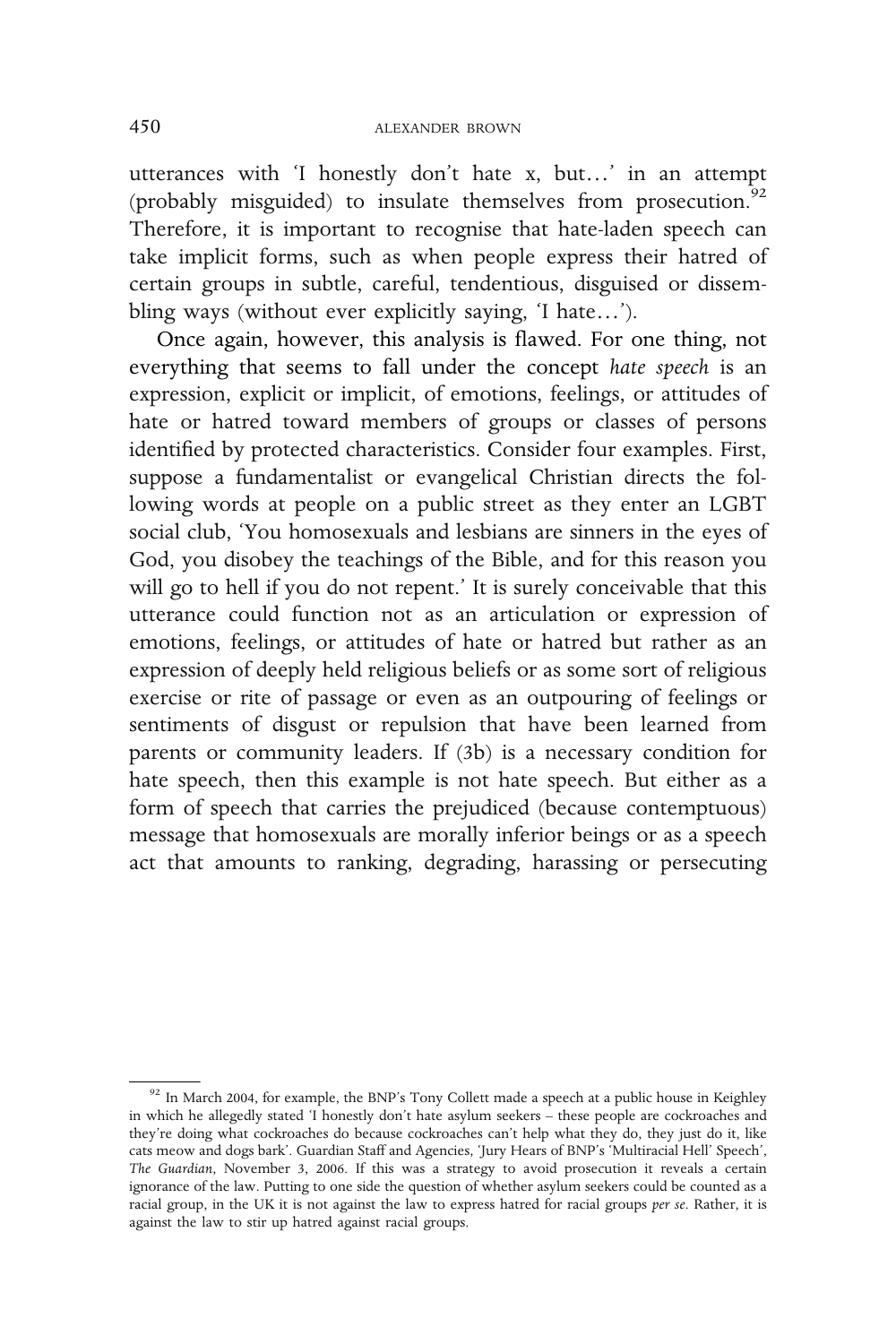utterances with 'I honestly don't hate x, but…' in an attempt (probably misguided) to insulate themselves from prosecution. $92$ Therefore, it is important to recognise that hate-laden speech can take implicit forms, such as when people express their hatred of certain groups in subtle, careful, tendentious, disguised or dissembling ways (without ever explicitly saying, 'I hate…').

Once again, however, this analysis is flawed. For one thing, not everything that seems to fall under the concept hate speech is an expression, explicit or implicit, of emotions, feelings, or attitudes of hate or hatred toward members of groups or classes of persons identified by protected characteristics. Consider four examples. First, suppose a fundamentalist or evangelical Christian directs the following words at people on a public street as they enter an LGBT social club, 'You homosexuals and lesbians are sinners in the eyes of God, you disobey the teachings of the Bible, and for this reason you will go to hell if you do not repent.' It is surely conceivable that this utterance could function not as an articulation or expression of emotions, feelings, or attitudes of hate or hatred but rather as an expression of deeply held religious beliefs or as some sort of religious exercise or rite of passage or even as an outpouring of feelings or sentiments of disgust or repulsion that have been learned from parents or community leaders. If (3b) is a necessary condition for hate speech, then this example is not hate speech. But either as a form of speech that carries the prejudiced (because contemptuous) message that homosexuals are morally inferior beings or as a speech act that amounts to ranking, degrading, harassing or persecuting

<sup>&</sup>lt;sup>92</sup> In March 2004, for example, the BNP's Tony Collett made a speech at a public house in Keighley in which he allegedly stated 'I honestly don't hate asylum seekers – these people are cockroaches and they're doing what cockroaches do because cockroaches can't help what they do, they just do it, like cats meow and dogs bark'. Guardian Staff and Agencies, 'Jury Hears of BNP's 'Multiracial Hell' Speech', The Guardian, November 3, 2006. If this was a strategy to avoid prosecution it reveals a certain ignorance of the law. Putting to one side the question of whether asylum seekers could be counted as a racial group, in the UK it is not against the law to express hatred for racial groups per se. Rather, it is against the law to stir up hatred against racial groups.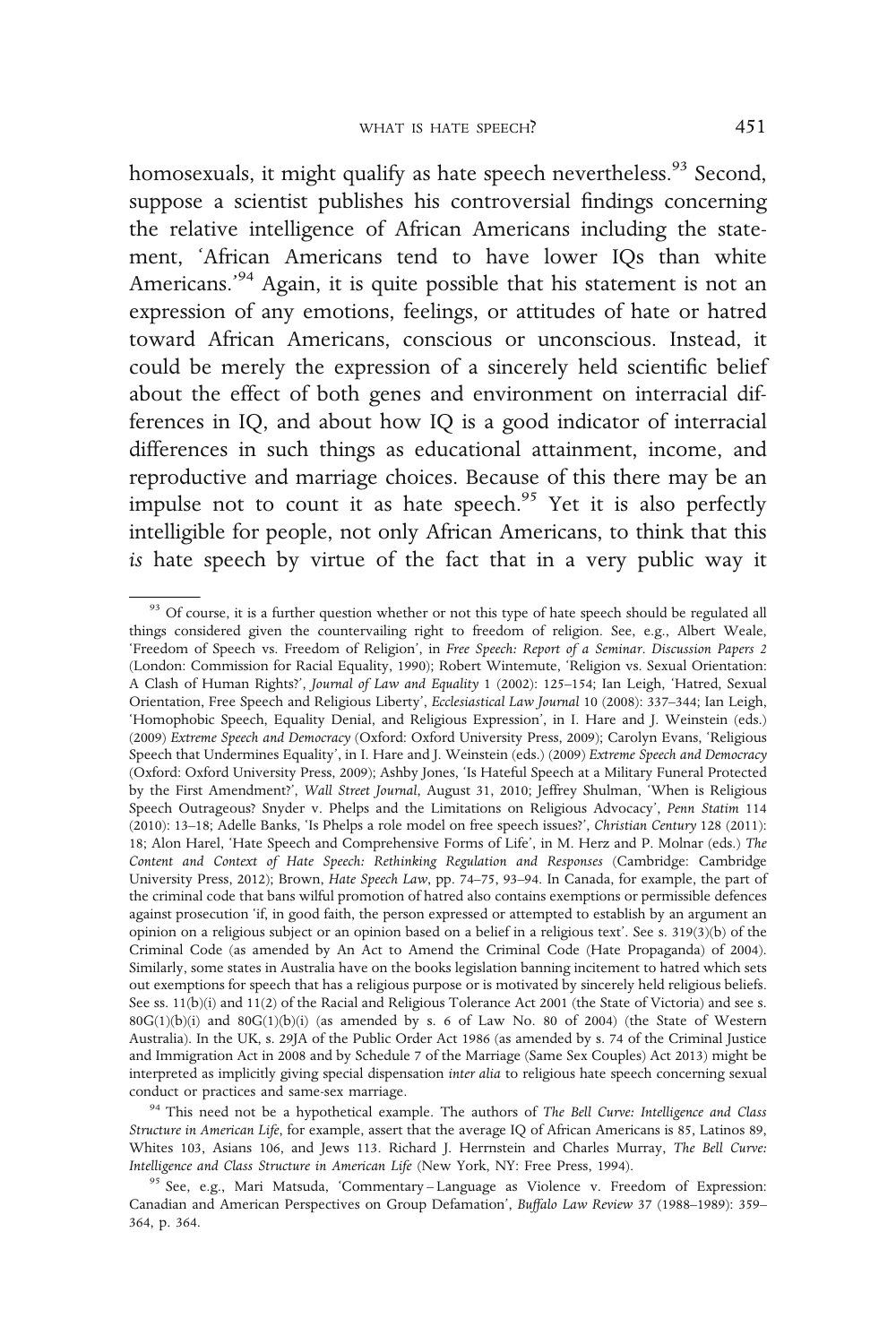homosexuals, it might qualify as hate speech nevertheless.<sup>93</sup> Second, suppose a scientist publishes his controversial findings concerning the relative intelligence of African Americans including the statement, 'African Americans tend to have lower IQs than white Americans.<sup>94</sup> Again, it is quite possible that his statement is not an expression of any emotions, feelings, or attitudes of hate or hatred toward African Americans, conscious or unconscious. Instead, it could be merely the expression of a sincerely held scientific belief about the effect of both genes and environment on interracial differences in IQ, and about how IQ is a good indicator of interracial differences in such things as educational attainment, income, and reproductive and marriage choices. Because of this there may be an impulse not to count it as hate speech.<sup>95</sup> Yet it is also perfectly intelligible for people, not only African Americans, to think that this is hate speech by virtue of the fact that in a very public way it

<sup>&</sup>lt;sup>93</sup> Of course, it is a further question whether or not this type of hate speech should be regulated all things considered given the countervailing right to freedom of religion. See, e.g., Albert Weale, 'Freedom of Speech vs. Freedom of Religion', in Free Speech: Report of a Seminar. Discussion Papers 2 (London: Commission for Racial Equality, 1990); Robert Wintemute, 'Religion vs. Sexual Orientation: A Clash of Human Rights?', Journal of Law and Equality 1 (2002): 125–154; Ian Leigh, 'Hatred, Sexual Orientation, Free Speech and Religious Liberty', Ecclesiastical Law Journal 10 (2008): 337–344; Ian Leigh, 'Homophobic Speech, Equality Denial, and Religious Expression', in I. Hare and J. Weinstein (eds.) (2009) Extreme Speech and Democracy (Oxford: Oxford University Press, 2009); Carolyn Evans, 'Religious Speech that Undermines Equality', in I. Hare and J. Weinstein (eds.) (2009) Extreme Speech and Democracy (Oxford: Oxford University Press, 2009); Ashby Jones, 'Is Hateful Speech at a Military Funeral Protected by the First Amendment?', Wall Street Journal, August 31, 2010; Jeffrey Shulman, 'When is Religious Speech Outrageous? Snyder v. Phelps and the Limitations on Religious Advocacy', Penn Statim 114 (2010): 13–18; Adelle Banks, 'Is Phelps a role model on free speech issues?', Christian Century 128 (2011): 18; Alon Harel, 'Hate Speech and Comprehensive Forms of Life', in M. Herz and P. Molnar (eds.) The Content and Context of Hate Speech: Rethinking Regulation and Responses (Cambridge: Cambridge University Press, 2012); Brown, Hate Speech Law, pp. 74–75, 93–94. In Canada, for example, the part of the criminal code that bans wilful promotion of hatred also contains exemptions or permissible defences against prosecution 'if, in good faith, the person expressed or attempted to establish by an argument an opinion on a religious subject or an opinion based on a belief in a religious text'. See s. 319(3)(b) of the Criminal Code (as amended by An Act to Amend the Criminal Code (Hate Propaganda) of 2004). Similarly, some states in Australia have on the books legislation banning incitement to hatred which sets out exemptions for speech that has a religious purpose or is motivated by sincerely held religious beliefs. See ss. 11(b)(i) and 11(2) of the Racial and Religious Tolerance Act 2001 (the State of Victoria) and see s.  $80G(1)(b)(i)$  and  $80G(1)(b)(i)$  (as amended by s. 6 of Law No. 80 of 2004) (the State of Western Australia). In the UK, s. 29JA of the Public Order Act 1986 (as amended by s. 74 of the Criminal Justice and Immigration Act in 2008 and by Schedule 7 of the Marriage (Same Sex Couples) Act 2013) might be interpreted as implicitly giving special dispensation inter alia to religious hate speech concerning sexual conduct or practices and same-sex marriage.

<sup>&</sup>lt;sup>94</sup> This need not be a hypothetical example. The authors of The Bell Curve: Intelligence and Class Structure in American Life, for example, assert that the average IQ of African Americans is 85, Latinos 89, Whites 103, Asians 106, and Jews 113. Richard J. Herrnstein and Charles Murray, The Bell Curve: Intelligence and Class Structure in American Life (New York, NY: Free Press, 1994).

<sup>95</sup> See, e.g., Mari Matsuda, 'Commentary – Language as Violence v. Freedom of Expression: Canadian and American Perspectives on Group Defamation', Buffalo Law Review 37 (1988–1989): 359– 364, p. 364.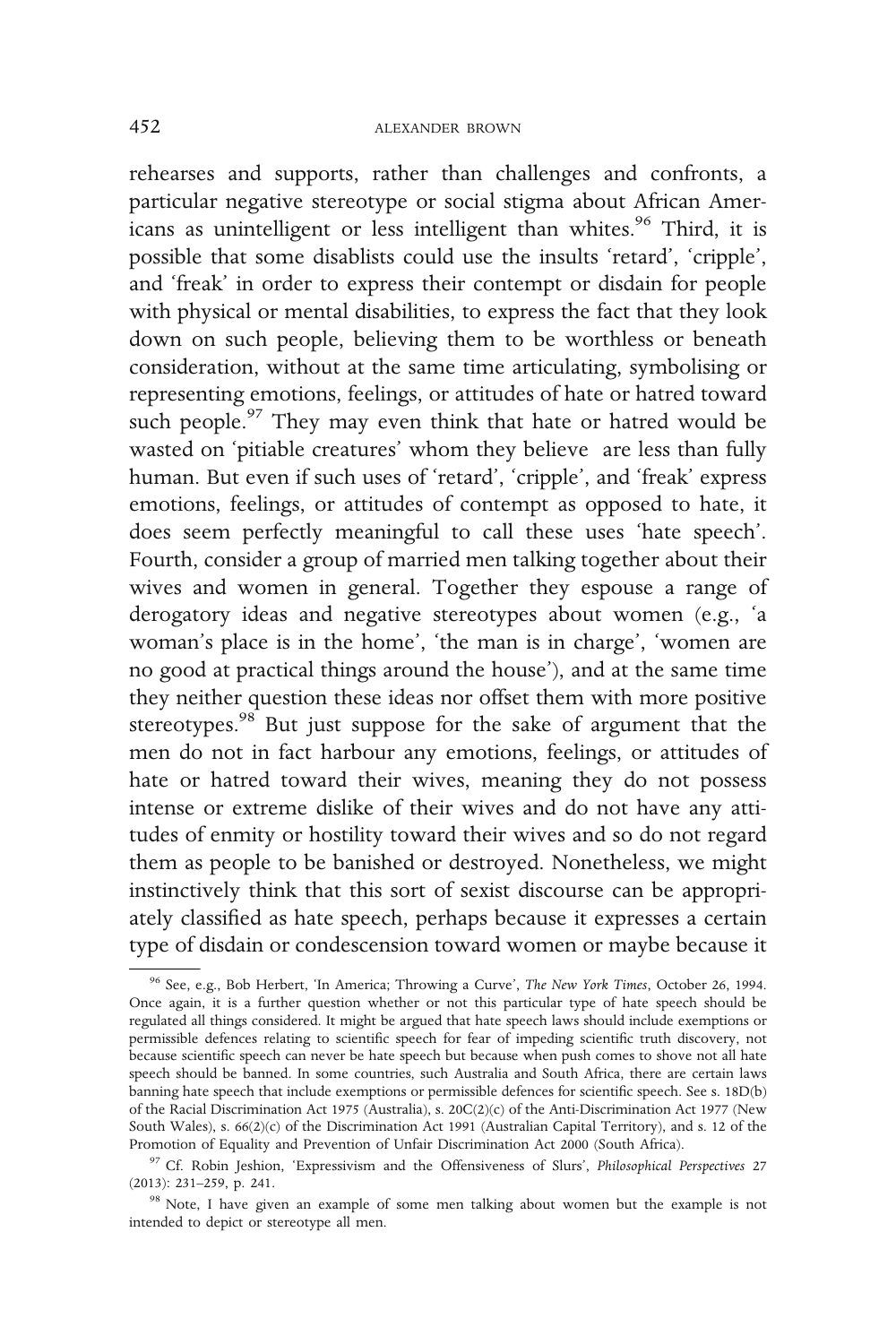rehearses and supports, rather than challenges and confronts, a particular negative stereotype or social stigma about African Americans as unintelligent or less intelligent than whites.<sup>96</sup> Third, it is possible that some disablists could use the insults 'retard', 'cripple', and 'freak' in order to express their contempt or disdain for people with physical or mental disabilities, to express the fact that they look down on such people, believing them to be worthless or beneath consideration, without at the same time articulating, symbolising or representing emotions, feelings, or attitudes of hate or hatred toward such people.<sup>97</sup> They may even think that hate or hatred would be wasted on 'pitiable creatures' whom they believe are less than fully human. But even if such uses of 'retard', 'cripple', and 'freak' express emotions, feelings, or attitudes of contempt as opposed to hate, it does seem perfectly meaningful to call these uses 'hate speech'. Fourth, consider a group of married men talking together about their wives and women in general. Together they espouse a range of derogatory ideas and negative stereotypes about women (e.g., 'a woman's place is in the home', 'the man is in charge', 'women are no good at practical things around the house'), and at the same time they neither question these ideas nor offset them with more positive stereotypes.<sup>98</sup> But just suppose for the sake of argument that the men do not in fact harbour any emotions, feelings, or attitudes of hate or hatred toward their wives, meaning they do not possess intense or extreme dislike of their wives and do not have any attitudes of enmity or hostility toward their wives and so do not regard them as people to be banished or destroyed. Nonetheless, we might instinctively think that this sort of sexist discourse can be appropriately classified as hate speech, perhaps because it expresses a certain type of disdain or condescension toward women or maybe because it

<sup>96</sup> See, e.g., Bob Herbert, 'In America; Throwing a Curve', The New York Times, October 26, 1994. Once again, it is a further question whether or not this particular type of hate speech should be regulated all things considered. It might be argued that hate speech laws should include exemptions or permissible defences relating to scientific speech for fear of impeding scientific truth discovery, not because scientific speech can never be hate speech but because when push comes to shove not all hate speech should be banned. In some countries, such Australia and South Africa, there are certain laws banning hate speech that include exemptions or permissible defences for scientific speech. See s. 18D(b) of the Racial Discrimination Act 1975 (Australia), s. 20C(2)(c) of the Anti-Discrimination Act 1977 (New South Wales), s.  $66(2)(c)$  of the Discrimination Act 1991 (Australian Capital Territory), and s. 12 of the Promotion of Equality and Prevention of Unfair Discrimination Act 2000 (South Africa).

<sup>&</sup>lt;sup>97</sup> Cf. Robin Jeshion, 'Expressivism and the Offensiveness of Slurs', Philosophical Perspectives 27 (2013): 231–259, p. 241.

<sup>&</sup>lt;sup>98</sup> Note, I have given an example of some men talking about women but the example is not intended to depict or stereotype all men.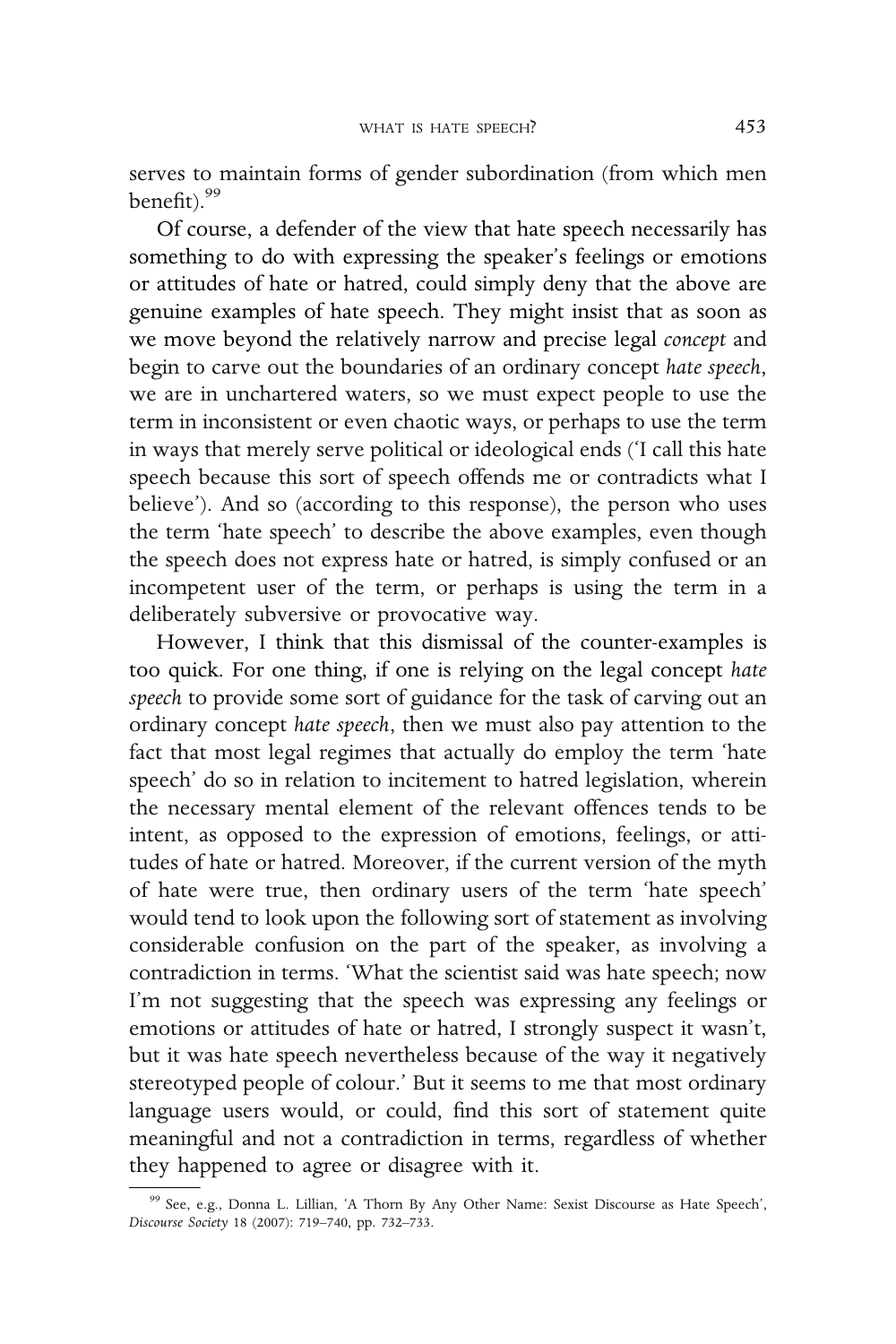serves to maintain forms of gender subordination (from which men benefit).<sup>99</sup>

Of course, a defender of the view that hate speech necessarily has something to do with expressing the speaker's feelings or emotions or attitudes of hate or hatred, could simply deny that the above are genuine examples of hate speech. They might insist that as soon as we move beyond the relatively narrow and precise legal concept and begin to carve out the boundaries of an ordinary concept hate speech, we are in unchartered waters, so we must expect people to use the term in inconsistent or even chaotic ways, or perhaps to use the term in ways that merely serve political or ideological ends ('I call this hate speech because this sort of speech offends me or contradicts what I believe'). And so (according to this response), the person who uses the term 'hate speech' to describe the above examples, even though the speech does not express hate or hatred, is simply confused or an incompetent user of the term, or perhaps is using the term in a deliberately subversive or provocative way.

However, I think that this dismissal of the counter-examples is too quick. For one thing, if one is relying on the legal concept hate speech to provide some sort of guidance for the task of carving out an ordinary concept hate speech, then we must also pay attention to the fact that most legal regimes that actually do employ the term 'hate speech' do so in relation to incitement to hatred legislation, wherein the necessary mental element of the relevant offences tends to be intent, as opposed to the expression of emotions, feelings, or attitudes of hate or hatred. Moreover, if the current version of the myth of hate were true, then ordinary users of the term 'hate speech' would tend to look upon the following sort of statement as involving considerable confusion on the part of the speaker, as involving a contradiction in terms. 'What the scientist said was hate speech; now I'm not suggesting that the speech was expressing any feelings or emotions or attitudes of hate or hatred, I strongly suspect it wasn't, but it was hate speech nevertheless because of the way it negatively stereotyped people of colour.' But it seems to me that most ordinary language users would, or could, find this sort of statement quite meaningful and not a contradiction in terms, regardless of whether they happened to agree or disagree with it.

<sup>99</sup> See, e.g., Donna L. Lillian, 'A Thorn By Any Other Name: Sexist Discourse as Hate Speech', Discourse Society 18 (2007): 719–740, pp. 732–733.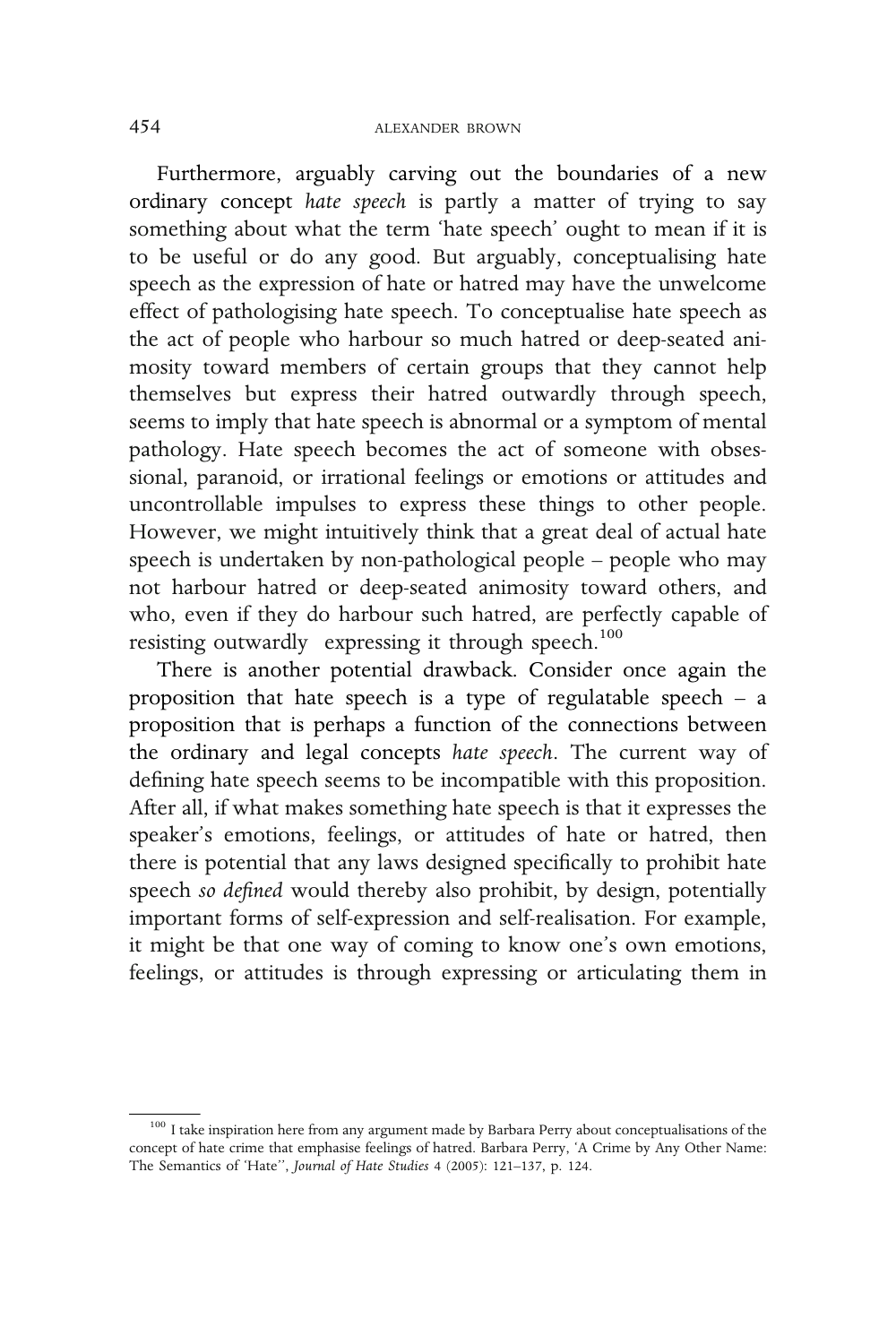Furthermore, arguably carving out the boundaries of a new ordinary concept hate speech is partly a matter of trying to say something about what the term 'hate speech' ought to mean if it is to be useful or do any good. But arguably, conceptualising hate speech as the expression of hate or hatred may have the unwelcome effect of pathologising hate speech. To conceptualise hate speech as the act of people who harbour so much hatred or deep-seated animosity toward members of certain groups that they cannot help themselves but express their hatred outwardly through speech, seems to imply that hate speech is abnormal or a symptom of mental pathology. Hate speech becomes the act of someone with obsessional, paranoid, or irrational feelings or emotions or attitudes and uncontrollable impulses to express these things to other people. However, we might intuitively think that a great deal of actual hate speech is undertaken by non-pathological people – people who may not harbour hatred or deep-seated animosity toward others, and who, even if they do harbour such hatred, are perfectly capable of resisting outwardly expressing it through speech.<sup>100</sup>

There is another potential drawback. Consider once again the proposition that hate speech is a type of regulatable speech – a proposition that is perhaps a function of the connections between the ordinary and legal concepts hate speech. The current way of defining hate speech seems to be incompatible with this proposition. After all, if what makes something hate speech is that it expresses the speaker's emotions, feelings, or attitudes of hate or hatred, then there is potential that any laws designed specifically to prohibit hate speech so defined would thereby also prohibit, by design, potentially important forms of self-expression and self-realisation. For example, it might be that one way of coming to know one's own emotions, feelings, or attitudes is through expressing or articulating them in

 $^{100}$  I take inspiration here from any argument made by Barbara Perry about conceptualisations of the  $\,$ concept of hate crime that emphasise feelings of hatred. Barbara Perry, 'A Crime by Any Other Name: The Semantics of 'Hate'', Journal of Hate Studies 4 (2005): 121–137, p. 124.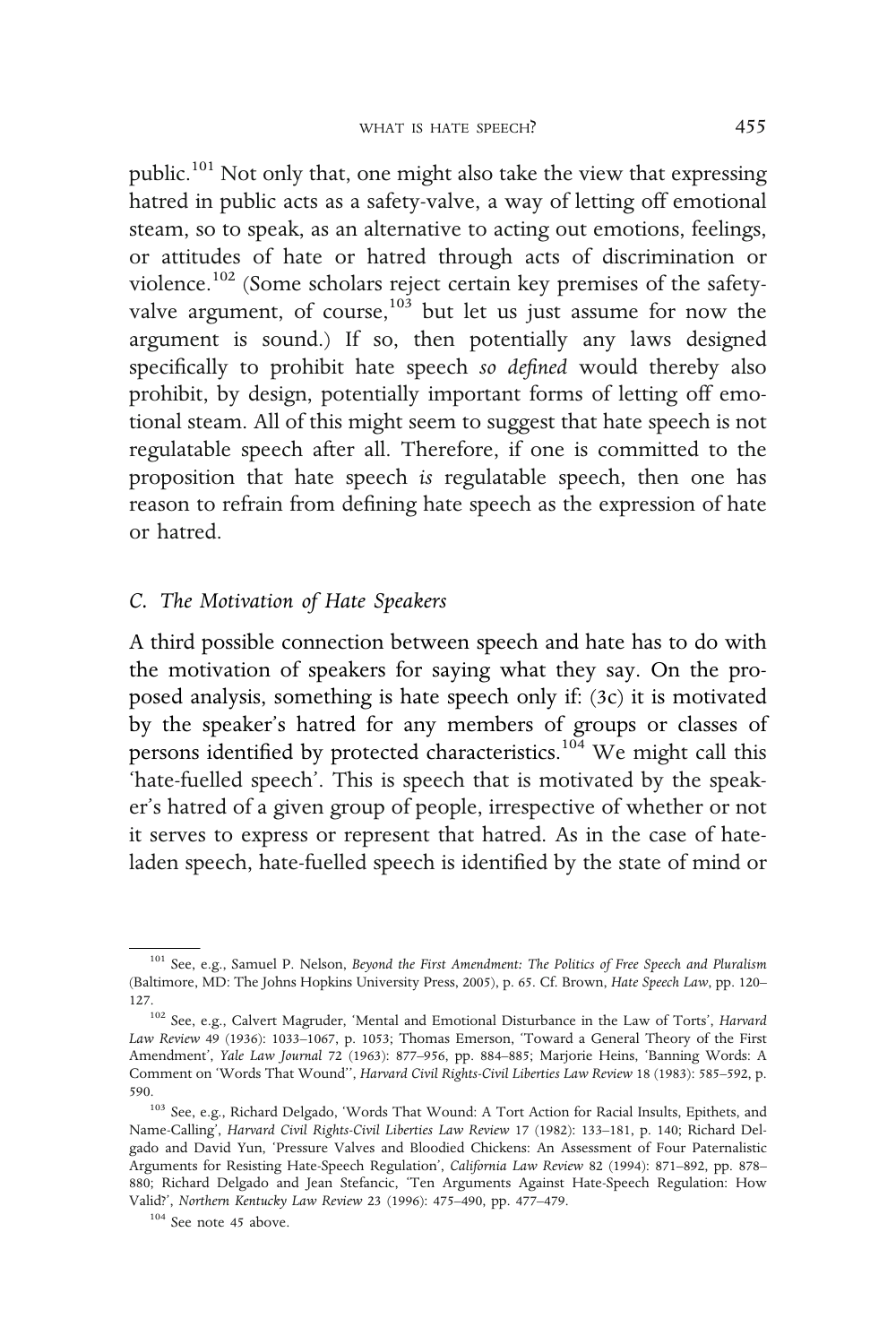public.<sup>101</sup> Not only that, one might also take the view that expressing hatred in public acts as a safety-valve, a way of letting off emotional steam, so to speak, as an alternative to acting out emotions, feelings, or attitudes of hate or hatred through acts of discrimination or violence.<sup>102</sup> (Some scholars reject certain key premises of the safetyvalve argument, of course, $103$  but let us just assume for now the argument is sound.) If so, then potentially any laws designed specifically to prohibit hate speech so defined would thereby also prohibit, by design, potentially important forms of letting off emotional steam. All of this might seem to suggest that hate speech is not regulatable speech after all. Therefore, if one is committed to the proposition that hate speech is regulatable speech, then one has reason to refrain from defining hate speech as the expression of hate or hatred.

#### C. The Motivation of Hate Speakers

A third possible connection between speech and hate has to do with the motivation of speakers for saying what they say. On the proposed analysis, something is hate speech only if: (3c) it is motivated by the speaker's hatred for any members of groups or classes of persons identified by protected characteristics.<sup>104</sup> We might call this 'hate-fuelled speech'. This is speech that is motivated by the speaker's hatred of a given group of people, irrespective of whether or not it serves to express or represent that hatred. As in the case of hateladen speech, hate-fuelled speech is identified by the state of mind or

<sup>&</sup>lt;sup>101</sup> See, e.g., Samuel P. Nelson, Beyond the First Amendment: The Politics of Free Speech and Pluralism (Baltimore, MD: The Johns Hopkins University Press, 2005), p. 65. Cf. Brown, Hate Speech Law, pp. 120– 127.<br><sup>102</sup> See, e.g., Calvert Magruder, 'Mental and Emotional Disturbance in the Law of Torts', *Harvard* 

Law Review 49 (1936): 1033–1067, p. 1053; Thomas Emerson, 'Toward a General Theory of the First Amendment', Yale Law Journal 72 (1963): 877–956, pp. 884–885; Marjorie Heins, 'Banning Words: A Comment on 'Words That Wound'', Harvard Civil Rights-Civil Liberties Law Review 18 (1983): 585–592, p.

<sup>590.&</sup>lt;br><sup>103</sup> See, e.g., Richard Delgado, 'Words That Wound: A Tort Action for Racial Insults, Epithets, and Name-Calling', Harvard Civil Rights-Civil Liberties Law Review 17 (1982): 133–181, p. 140; Richard Delgado and David Yun, 'Pressure Valves and Bloodied Chickens: An Assessment of Four Paternalistic Arguments for Resisting Hate-Speech Regulation', California Law Review 82 (1994): 871–892, pp. 878– 880; Richard Delgado and Jean Stefancic, 'Ten Arguments Against Hate-Speech Regulation: How Valid?', Northern Kentucky Law Review 23 (1996): 475–490, pp. 477–479.

<sup>104</sup> See note 45 above.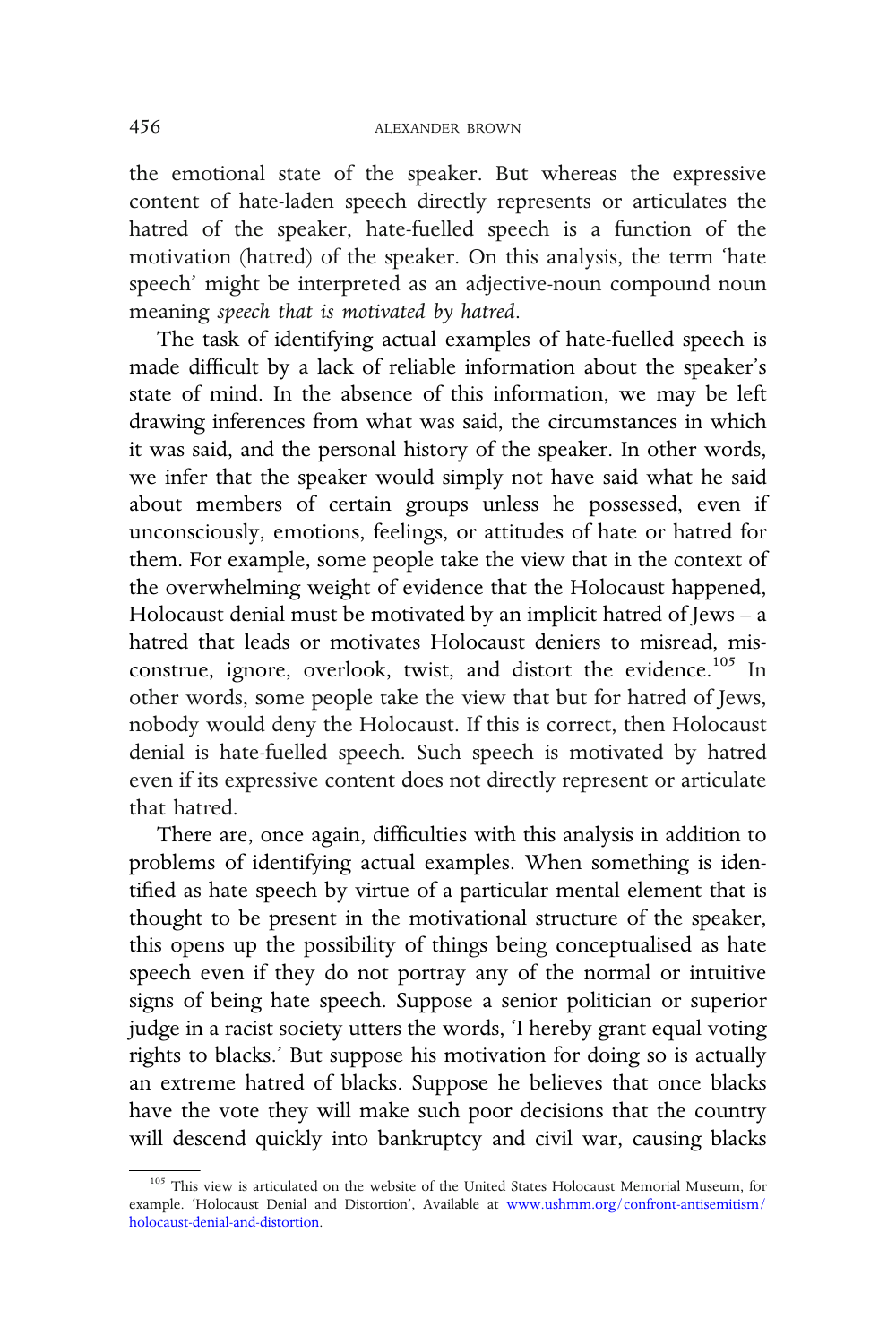the emotional state of the speaker. But whereas the expressive content of hate-laden speech directly represents or articulates the hatred of the speaker, hate-fuelled speech is a function of the motivation (hatred) of the speaker. On this analysis, the term 'hate speech' might be interpreted as an adjective-noun compound noun meaning speech that is motivated by hatred.

The task of identifying actual examples of hate-fuelled speech is made difficult by a lack of reliable information about the speaker's state of mind. In the absence of this information, we may be left drawing inferences from what was said, the circumstances in which it was said, and the personal history of the speaker. In other words, we infer that the speaker would simply not have said what he said about members of certain groups unless he possessed, even if unconsciously, emotions, feelings, or attitudes of hate or hatred for them. For example, some people take the view that in the context of the overwhelming weight of evidence that the Holocaust happened, Holocaust denial must be motivated by an implicit hatred of Jews – a hatred that leads or motivates Holocaust deniers to misread, misconstrue, ignore, overlook, twist, and distort the evidence.<sup>105</sup> In other words, some people take the view that but for hatred of Jews, nobody would deny the Holocaust. If this is correct, then Holocaust denial is hate-fuelled speech. Such speech is motivated by hatred even if its expressive content does not directly represent or articulate that hatred.

There are, once again, difficulties with this analysis in addition to problems of identifying actual examples. When something is identified as hate speech by virtue of a particular mental element that is thought to be present in the motivational structure of the speaker, this opens up the possibility of things being conceptualised as hate speech even if they do not portray any of the normal or intuitive signs of being hate speech. Suppose a senior politician or superior judge in a racist society utters the words, 'I hereby grant equal voting rights to blacks.' But suppose his motivation for doing so is actually an extreme hatred of blacks. Suppose he believes that once blacks have the vote they will make such poor decisions that the country will descend quickly into bankruptcy and civil war, causing blacks

<sup>&</sup>lt;sup>105</sup> This view is articulated on the website of the United States Holocaust Memorial Museum, for example. 'Holocaust Denial and Distortion', Available at [www.ushmm.org/confront-antisemitism/](http://www.ushmm.org/confront-antisemitism/holocaust-denial-and-distortion) [holocaust-denial-and-distortion.](http://www.ushmm.org/confront-antisemitism/holocaust-denial-and-distortion)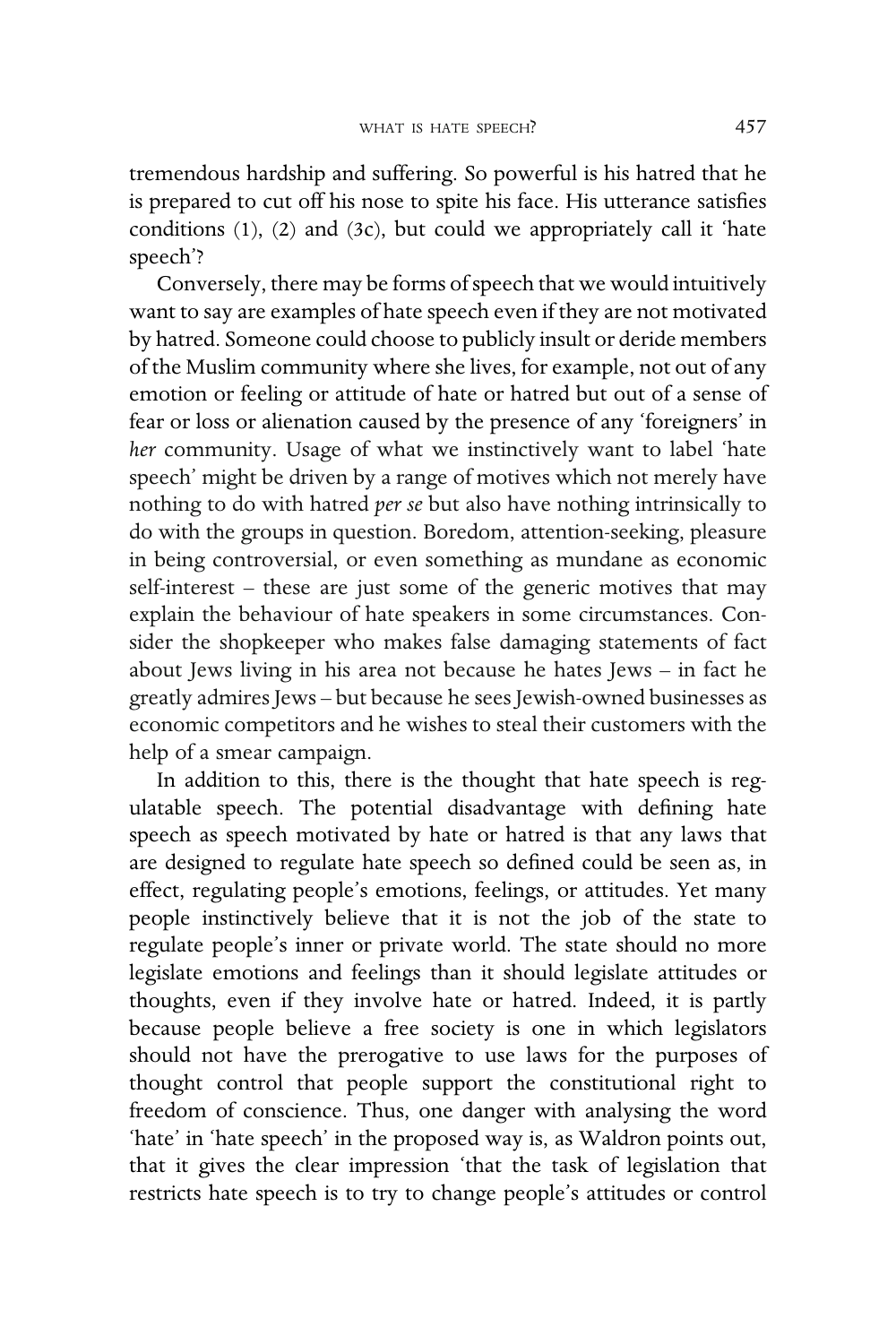tremendous hardship and suffering. So powerful is his hatred that he is prepared to cut off his nose to spite his face. His utterance satisfies conditions  $(1)$ ,  $(2)$  and  $(3c)$ , but could we appropriately call it 'hate speech'?

Conversely, there may be forms of speech that we would intuitively want to say are examples of hate speech even if they are not motivated by hatred. Someone could choose to publicly insult or deride members of the Muslim community where she lives, for example, not out of any emotion or feeling or attitude of hate or hatred but out of a sense of fear or loss or alienation caused by the presence of any 'foreigners' in her community. Usage of what we instinctively want to label 'hate speech' might be driven by a range of motives which not merely have nothing to do with hatred per se but also have nothing intrinsically to do with the groups in question. Boredom, attention-seeking, pleasure in being controversial, or even something as mundane as economic self-interest – these are just some of the generic motives that may explain the behaviour of hate speakers in some circumstances. Consider the shopkeeper who makes false damaging statements of fact about Jews living in his area not because he hates Jews – in fact he greatly admires Jews – but because he sees Jewish-owned businesses as economic competitors and he wishes to steal their customers with the help of a smear campaign.

In addition to this, there is the thought that hate speech is regulatable speech. The potential disadvantage with defining hate speech as speech motivated by hate or hatred is that any laws that are designed to regulate hate speech so defined could be seen as, in effect, regulating people's emotions, feelings, or attitudes. Yet many people instinctively believe that it is not the job of the state to regulate people's inner or private world. The state should no more legislate emotions and feelings than it should legislate attitudes or thoughts, even if they involve hate or hatred. Indeed, it is partly because people believe a free society is one in which legislators should not have the prerogative to use laws for the purposes of thought control that people support the constitutional right to freedom of conscience. Thus, one danger with analysing the word 'hate' in 'hate speech' in the proposed way is, as Waldron points out, that it gives the clear impression 'that the task of legislation that restricts hate speech is to try to change people's attitudes or control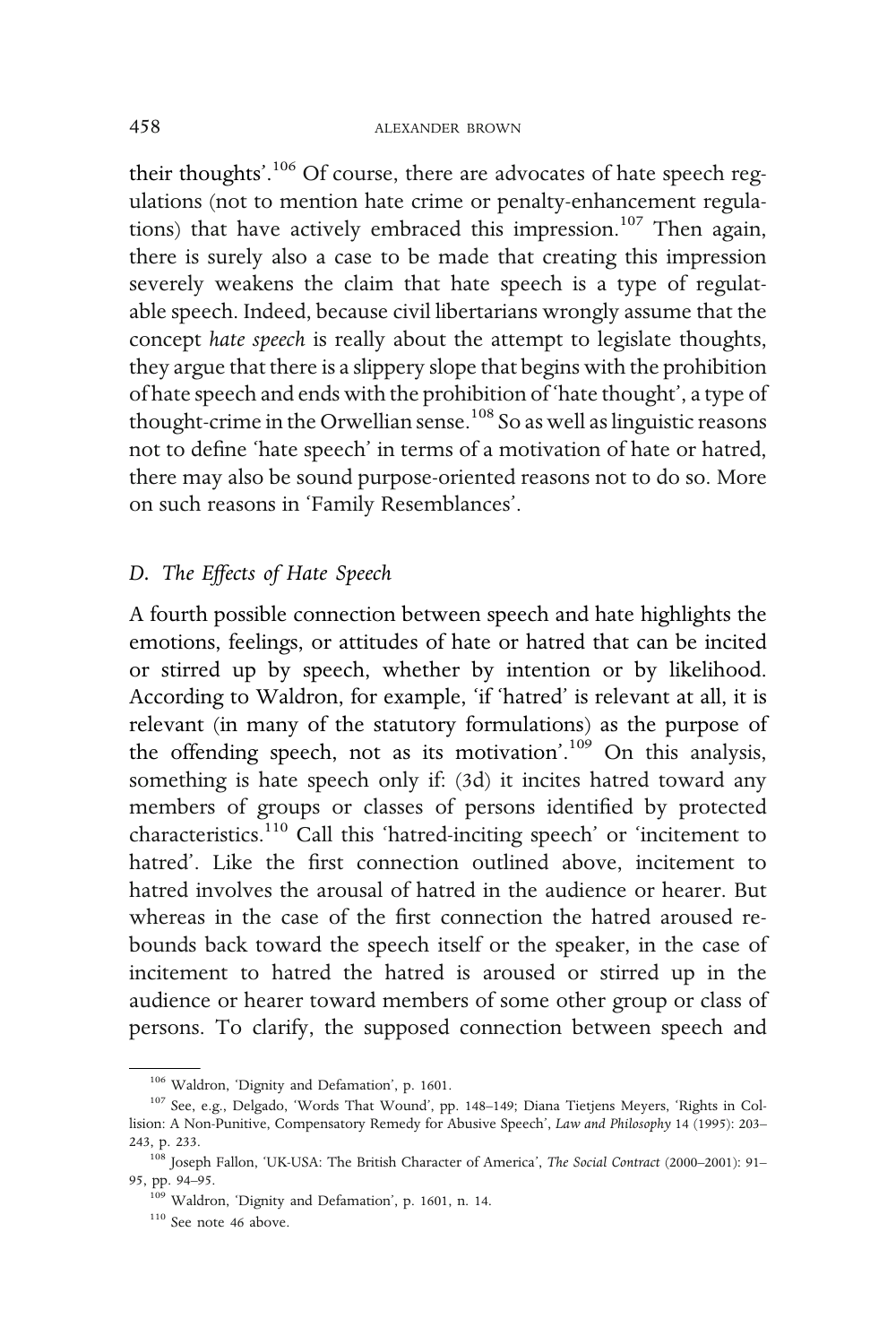their thoughts'.<sup>106</sup> Of course, there are advocates of hate speech regulations (not to mention hate crime or penalty-enhancement regulations) that have actively embraced this impression.<sup>107</sup> Then again, there is surely also a case to be made that creating this impression severely weakens the claim that hate speech is a type of regulatable speech. Indeed, because civil libertarians wrongly assume that the concept hate speech is really about the attempt to legislate thoughts, they argue that there is a slippery slope that begins with the prohibition of hate speech and ends with the prohibition of 'hate thought', a type of thought-crime in the Orwellian sense.<sup>108</sup> So as well as linguistic reasons not to define 'hate speech' in terms of a motivation of hate or hatred, there may also be sound purpose-oriented reasons not to do so. More on such reasons in 'Family Resemblances'.

## D. The Effects of Hate Speech

A fourth possible connection between speech and hate highlights the emotions, feelings, or attitudes of hate or hatred that can be incited or stirred up by speech, whether by intention or by likelihood. According to Waldron, for example, 'if 'hatred' is relevant at all, it is relevant (in many of the statutory formulations) as the purpose of the offending speech, not as its motivation'.109 On this analysis, something is hate speech only if: (3d) it incites hatred toward any members of groups or classes of persons identified by protected characteristics.<sup>110</sup> Call this 'hatred-inciting speech' or 'incitement to hatred'. Like the first connection outlined above, incitement to hatred involves the arousal of hatred in the audience or hearer. But whereas in the case of the first connection the hatred aroused rebounds back toward the speech itself or the speaker, in the case of incitement to hatred the hatred is aroused or stirred up in the audience or hearer toward members of some other group or class of persons. To clarify, the supposed connection between speech and

<sup>106</sup> Waldron, 'Dignity and Defamation', p. 1601.

<sup>107</sup> See, e.g., Delgado, 'Words That Wound', pp. 148–149; Diana Tietjens Meyers, 'Rights in Collision: A Non-Punitive, Compensatory Remedy for Abusive Speech', Law and Philosophy 14 (1995): 203– 243, p. 233.

<sup>&</sup>lt;sup>108</sup> Joseph Fallon, 'UK-USA: The British Character of America', The Social Contract (2000–2001): 91– 95, pp. 94–95.

<sup>109</sup> Waldron, 'Dignity and Defamation', p. 1601, n. 14.

<sup>110</sup> See note 46 above.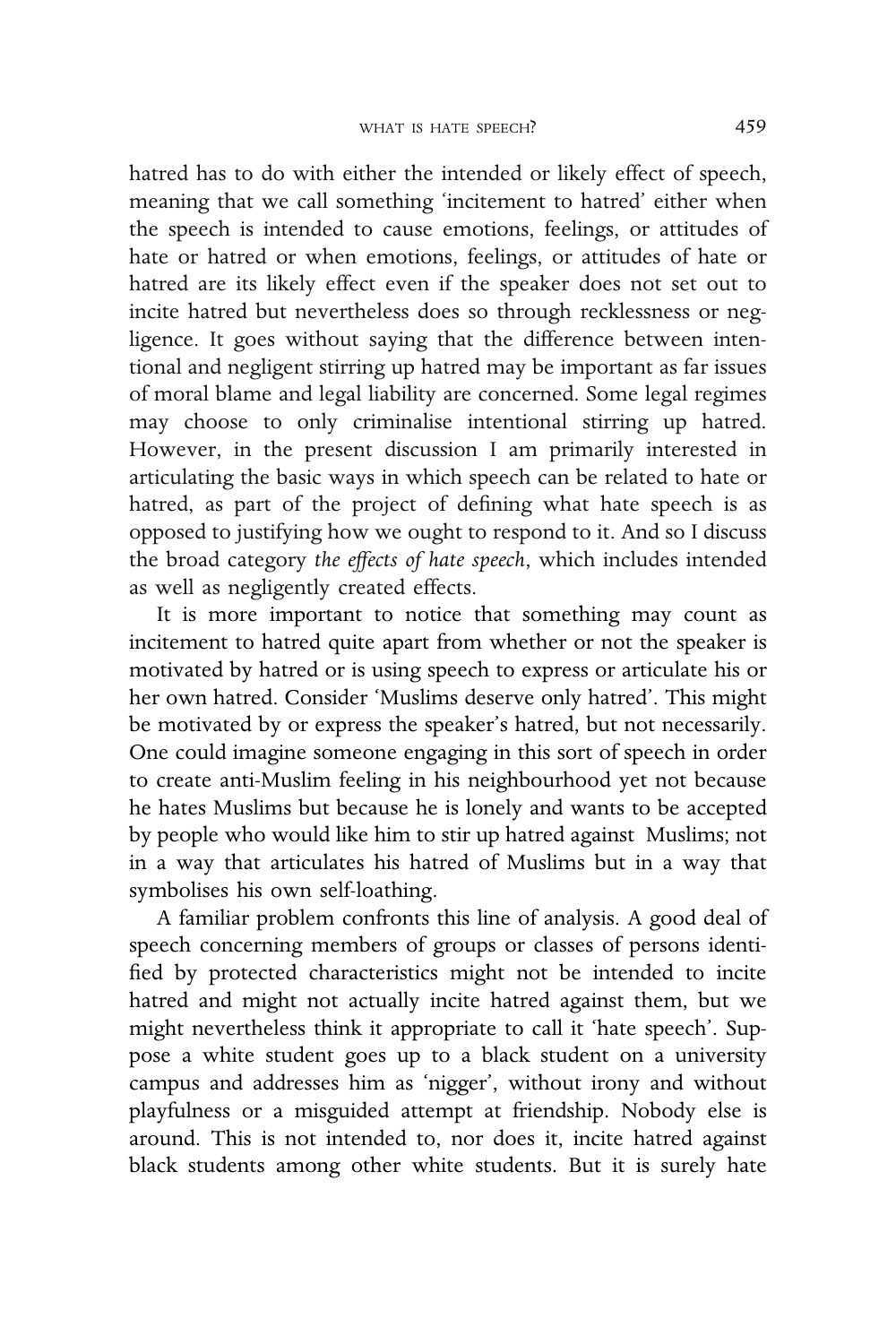hatred has to do with either the intended or likely effect of speech, meaning that we call something 'incitement to hatred' either when the speech is intended to cause emotions, feelings, or attitudes of hate or hatred or when emotions, feelings, or attitudes of hate or hatred are its likely effect even if the speaker does not set out to incite hatred but nevertheless does so through recklessness or negligence. It goes without saying that the difference between intentional and negligent stirring up hatred may be important as far issues of moral blame and legal liability are concerned. Some legal regimes may choose to only criminalise intentional stirring up hatred. However, in the present discussion I am primarily interested in articulating the basic ways in which speech can be related to hate or hatred, as part of the project of defining what hate speech is as opposed to justifying how we ought to respond to it. And so I discuss the broad category the effects of hate speech, which includes intended as well as negligently created effects.

It is more important to notice that something may count as incitement to hatred quite apart from whether or not the speaker is motivated by hatred or is using speech to express or articulate his or her own hatred. Consider 'Muslims deserve only hatred'. This might be motivated by or express the speaker's hatred, but not necessarily. One could imagine someone engaging in this sort of speech in order to create anti-Muslim feeling in his neighbourhood yet not because he hates Muslims but because he is lonely and wants to be accepted by people who would like him to stir up hatred against Muslims; not in a way that articulates his hatred of Muslims but in a way that symbolises his own self-loathing.

A familiar problem confronts this line of analysis. A good deal of speech concerning members of groups or classes of persons identified by protected characteristics might not be intended to incite hatred and might not actually incite hatred against them, but we might nevertheless think it appropriate to call it 'hate speech'. Suppose a white student goes up to a black student on a university campus and addresses him as 'nigger', without irony and without playfulness or a misguided attempt at friendship. Nobody else is around. This is not intended to, nor does it, incite hatred against black students among other white students. But it is surely hate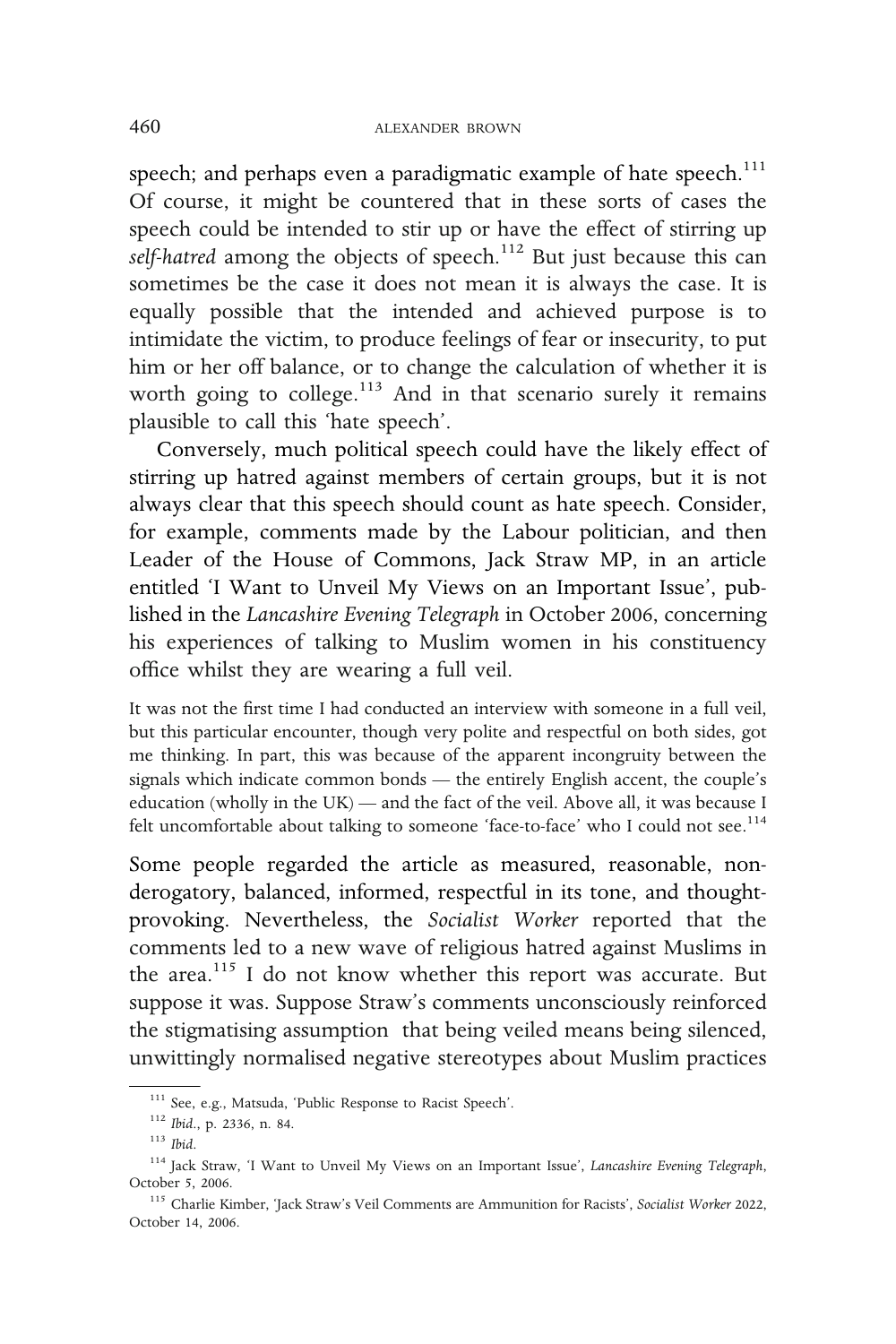speech; and perhaps even a paradigmatic example of hate speech.<sup>111</sup> Of course, it might be countered that in these sorts of cases the speech could be intended to stir up or have the effect of stirring up self-hatred among the objects of speech. $112$  But just because this can sometimes be the case it does not mean it is always the case. It is equally possible that the intended and achieved purpose is to intimidate the victim, to produce feelings of fear or insecurity, to put him or her off balance, or to change the calculation of whether it is worth going to college.<sup>113</sup> And in that scenario surely it remains plausible to call this 'hate speech'.

Conversely, much political speech could have the likely effect of stirring up hatred against members of certain groups, but it is not always clear that this speech should count as hate speech. Consider, for example, comments made by the Labour politician, and then Leader of the House of Commons, Jack Straw MP, in an article entitled 'I Want to Unveil My Views on an Important Issue', published in the Lancashire Evening Telegraph in October 2006, concerning his experiences of talking to Muslim women in his constituency office whilst they are wearing a full veil.

It was not the first time I had conducted an interview with someone in a full veil, but this particular encounter, though very polite and respectful on both sides, got me thinking. In part, this was because of the apparent incongruity between the signals which indicate common bonds — the entirely English accent, the couple's education (wholly in the UK) — and the fact of the veil. Above all, it was because I felt uncomfortable about talking to someone 'face-to-face' who I could not see.<sup>114</sup>

Some people regarded the article as measured, reasonable, nonderogatory, balanced, informed, respectful in its tone, and thoughtprovoking. Nevertheless, the Socialist Worker reported that the comments led to a new wave of religious hatred against Muslims in the area.<sup>115</sup> I do not know whether this report was accurate. But suppose it was. Suppose Straw's comments unconsciously reinforced the stigmatising assumption that being veiled means being silenced, unwittingly normalised negative stereotypes about Muslim practices

<sup>111</sup> See, e.g., Matsuda, 'Public Response to Racist Speech'.

<sup>112</sup> Ibid., p. 2336, n. 84.

<sup>113</sup> Ibid.

<sup>&</sup>lt;sup>114</sup> Jack Straw, 'I Want to Unveil My Views on an Important Issue', Lancashire Evening Telegraph, October 5, 2006.

<sup>&</sup>lt;sup>115</sup> Charlie Kimber, 'Jack Straw's Veil Comments are Ammunition for Racists', Socialist Worker 2022, October 14, 2006.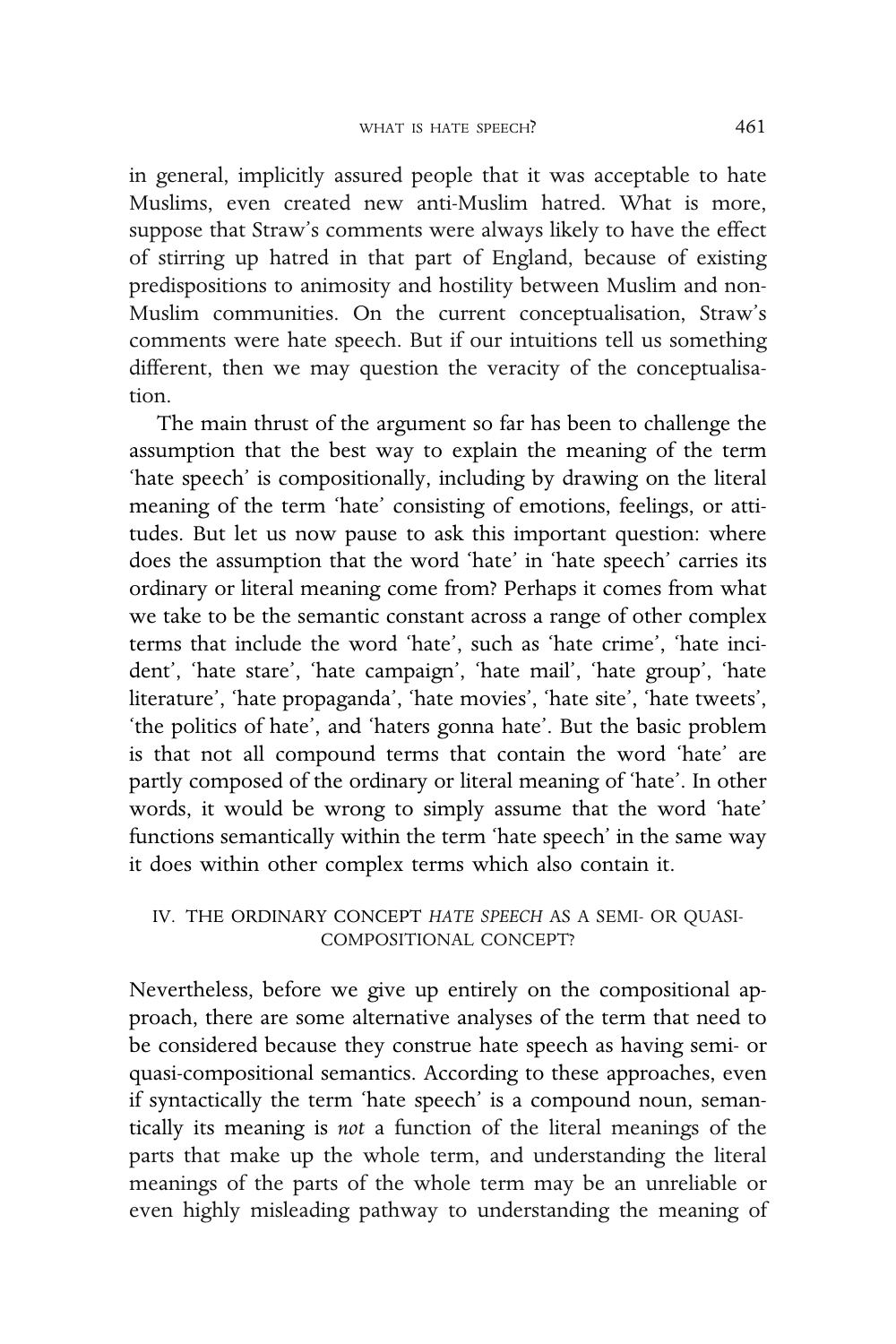<span id="page-42-0"></span>in general, implicitly assured people that it was acceptable to hate Muslims, even created new anti-Muslim hatred. What is more, suppose that Straw's comments were always likely to have the effect of stirring up hatred in that part of England, because of existing predispositions to animosity and hostility between Muslim and non-Muslim communities. On the current conceptualisation, Straw's comments were hate speech. But if our intuitions tell us something different, then we may question the veracity of the conceptualisation.

The main thrust of the argument so far has been to challenge the assumption that the best way to explain the meaning of the term 'hate speech' is compositionally, including by drawing on the literal meaning of the term 'hate' consisting of emotions, feelings, or attitudes. But let us now pause to ask this important question: where does the assumption that the word 'hate' in 'hate speech' carries its ordinary or literal meaning come from? Perhaps it comes from what we take to be the semantic constant across a range of other complex terms that include the word 'hate', such as 'hate crime', 'hate incident', 'hate stare', 'hate campaign', 'hate mail', 'hate group', 'hate literature', 'hate propaganda', 'hate movies', 'hate site', 'hate tweets', 'the politics of hate', and 'haters gonna hate'. But the basic problem is that not all compound terms that contain the word 'hate' are partly composed of the ordinary or literal meaning of 'hate'. In other words, it would be wrong to simply assume that the word 'hate' functions semantically within the term 'hate speech' in the same way it does within other complex terms which also contain it.

## IV. THE ORDINARY CONCEPT HATE SPEECH AS A SEMI- OR QUASI-COMPOSITIONAL CONCEPT?

Nevertheless, before we give up entirely on the compositional approach, there are some alternative analyses of the term that need to be considered because they construe hate speech as having semi- or quasi-compositional semantics. According to these approaches, even if syntactically the term 'hate speech' is a compound noun, semantically its meaning is not a function of the literal meanings of the parts that make up the whole term, and understanding the literal meanings of the parts of the whole term may be an unreliable or even highly misleading pathway to understanding the meaning of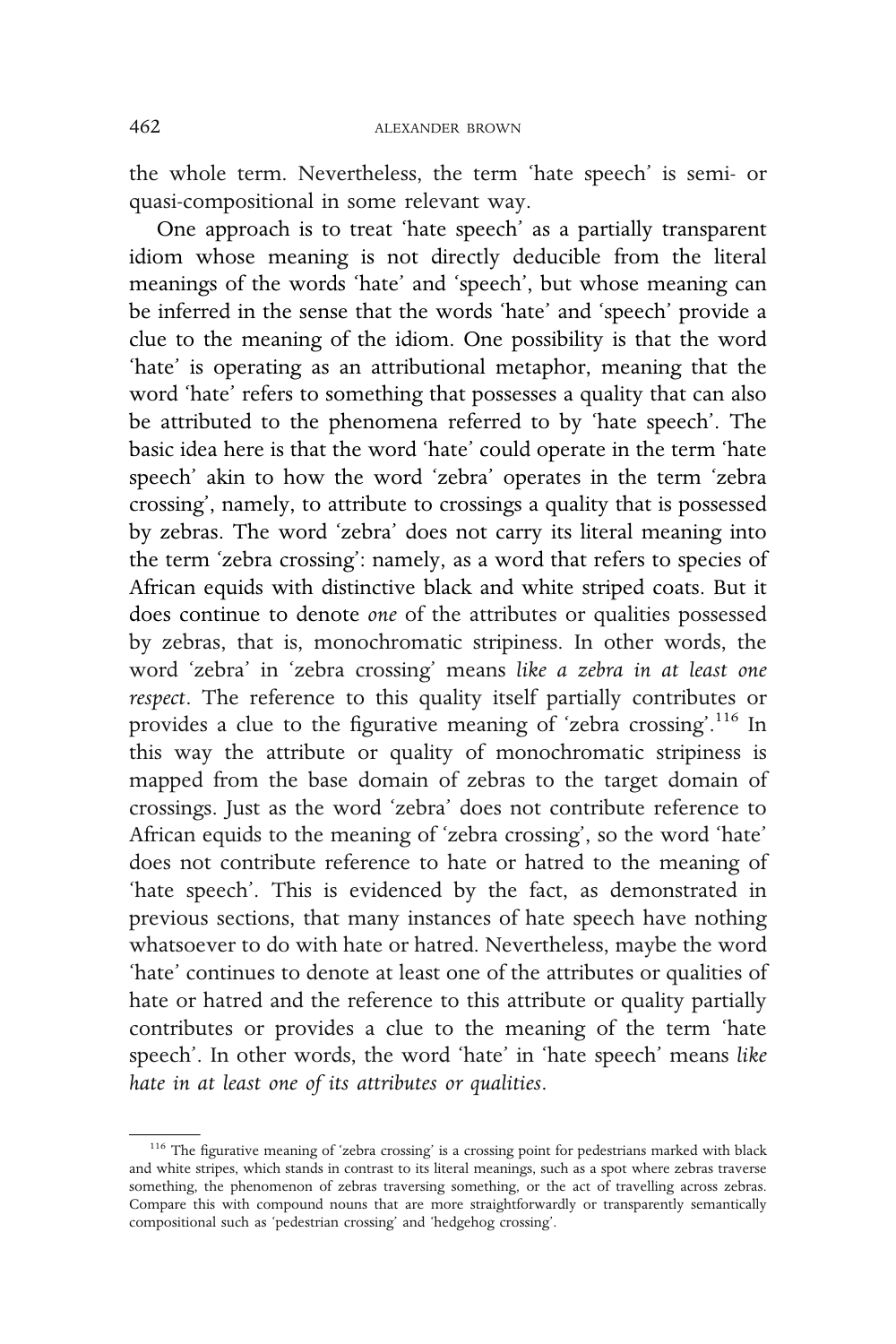the whole term. Nevertheless, the term 'hate speech' is semi- or quasi-compositional in some relevant way.

One approach is to treat 'hate speech' as a partially transparent idiom whose meaning is not directly deducible from the literal meanings of the words 'hate' and 'speech', but whose meaning can be inferred in the sense that the words 'hate' and 'speech' provide a clue to the meaning of the idiom. One possibility is that the word 'hate' is operating as an attributional metaphor, meaning that the word 'hate' refers to something that possesses a quality that can also be attributed to the phenomena referred to by 'hate speech'. The basic idea here is that the word 'hate' could operate in the term 'hate speech' akin to how the word 'zebra' operates in the term 'zebra crossing', namely, to attribute to crossings a quality that is possessed by zebras. The word 'zebra' does not carry its literal meaning into the term 'zebra crossing': namely, as a word that refers to species of African equids with distinctive black and white striped coats. But it does continue to denote one of the attributes or qualities possessed by zebras, that is, monochromatic stripiness. In other words, the word 'zebra' in 'zebra crossing' means like a zebra in at least one respect. The reference to this quality itself partially contributes or provides a clue to the figurative meaning of 'zebra crossing'.<sup>116</sup> In this way the attribute or quality of monochromatic stripiness is mapped from the base domain of zebras to the target domain of crossings. Just as the word 'zebra' does not contribute reference to African equids to the meaning of 'zebra crossing', so the word 'hate' does not contribute reference to hate or hatred to the meaning of 'hate speech'. This is evidenced by the fact, as demonstrated in previous sections, that many instances of hate speech have nothing whatsoever to do with hate or hatred. Nevertheless, maybe the word 'hate' continues to denote at least one of the attributes or qualities of hate or hatred and the reference to this attribute or quality partially contributes or provides a clue to the meaning of the term 'hate speech'. In other words, the word 'hate' in 'hate speech' means like hate in at least one of its attributes or qualities.

<sup>&</sup>lt;sup>116</sup> The figurative meaning of 'zebra crossing' is a crossing point for pedestrians marked with black and white stripes, which stands in contrast to its literal meanings, such as a spot where zebras traverse something, the phenomenon of zebras traversing something, or the act of travelling across zebras. Compare this with compound nouns that are more straightforwardly or transparently semantically compositional such as 'pedestrian crossing' and 'hedgehog crossing'.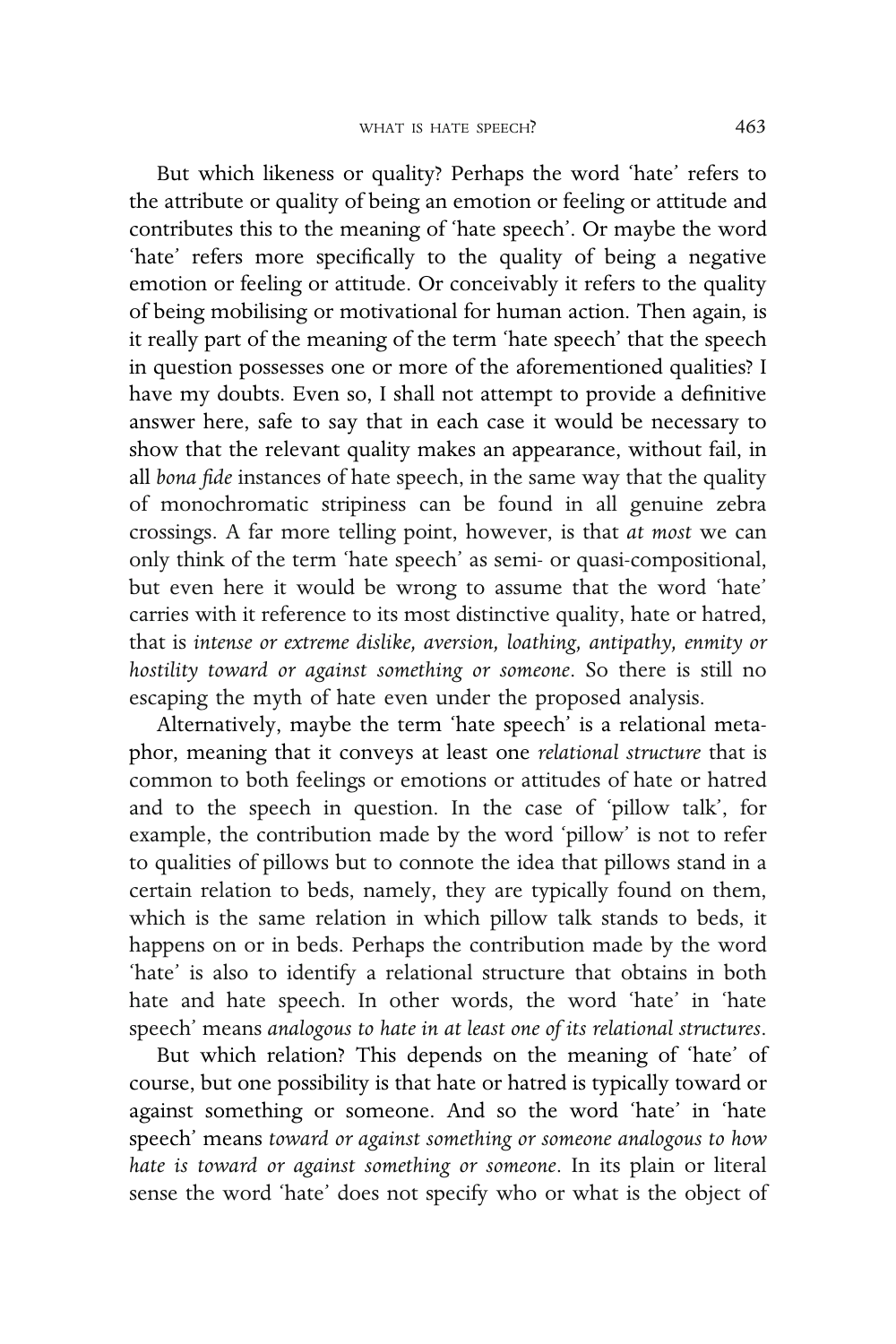But which likeness or quality? Perhaps the word 'hate' refers to the attribute or quality of being an emotion or feeling or attitude and contributes this to the meaning of 'hate speech'. Or maybe the word 'hate' refers more specifically to the quality of being a negative emotion or feeling or attitude. Or conceivably it refers to the quality of being mobilising or motivational for human action. Then again, is it really part of the meaning of the term 'hate speech' that the speech in question possesses one or more of the aforementioned qualities? I have my doubts. Even so, I shall not attempt to provide a definitive answer here, safe to say that in each case it would be necessary to show that the relevant quality makes an appearance, without fail, in all bona fide instances of hate speech, in the same way that the quality of monochromatic stripiness can be found in all genuine zebra crossings. A far more telling point, however, is that at most we can only think of the term 'hate speech' as semi- or quasi-compositional, but even here it would be wrong to assume that the word 'hate' carries with it reference to its most distinctive quality, hate or hatred, that is intense or extreme dislike, aversion, loathing, antipathy, enmity or hostility toward or against something or someone. So there is still no escaping the myth of hate even under the proposed analysis.

Alternatively, maybe the term 'hate speech' is a relational metaphor, meaning that it conveys at least one relational structure that is common to both feelings or emotions or attitudes of hate or hatred and to the speech in question. In the case of 'pillow talk', for example, the contribution made by the word 'pillow' is not to refer to qualities of pillows but to connote the idea that pillows stand in a certain relation to beds, namely, they are typically found on them, which is the same relation in which pillow talk stands to beds, it happens on or in beds. Perhaps the contribution made by the word 'hate' is also to identify a relational structure that obtains in both hate and hate speech. In other words, the word 'hate' in 'hate speech' means analogous to hate in at least one of its relational structures.

But which relation? This depends on the meaning of 'hate' of course, but one possibility is that hate or hatred is typically toward or against something or someone. And so the word 'hate' in 'hate speech' means toward or against something or someone analogous to how hate is toward or against something or someone. In its plain or literal sense the word 'hate' does not specify who or what is the object of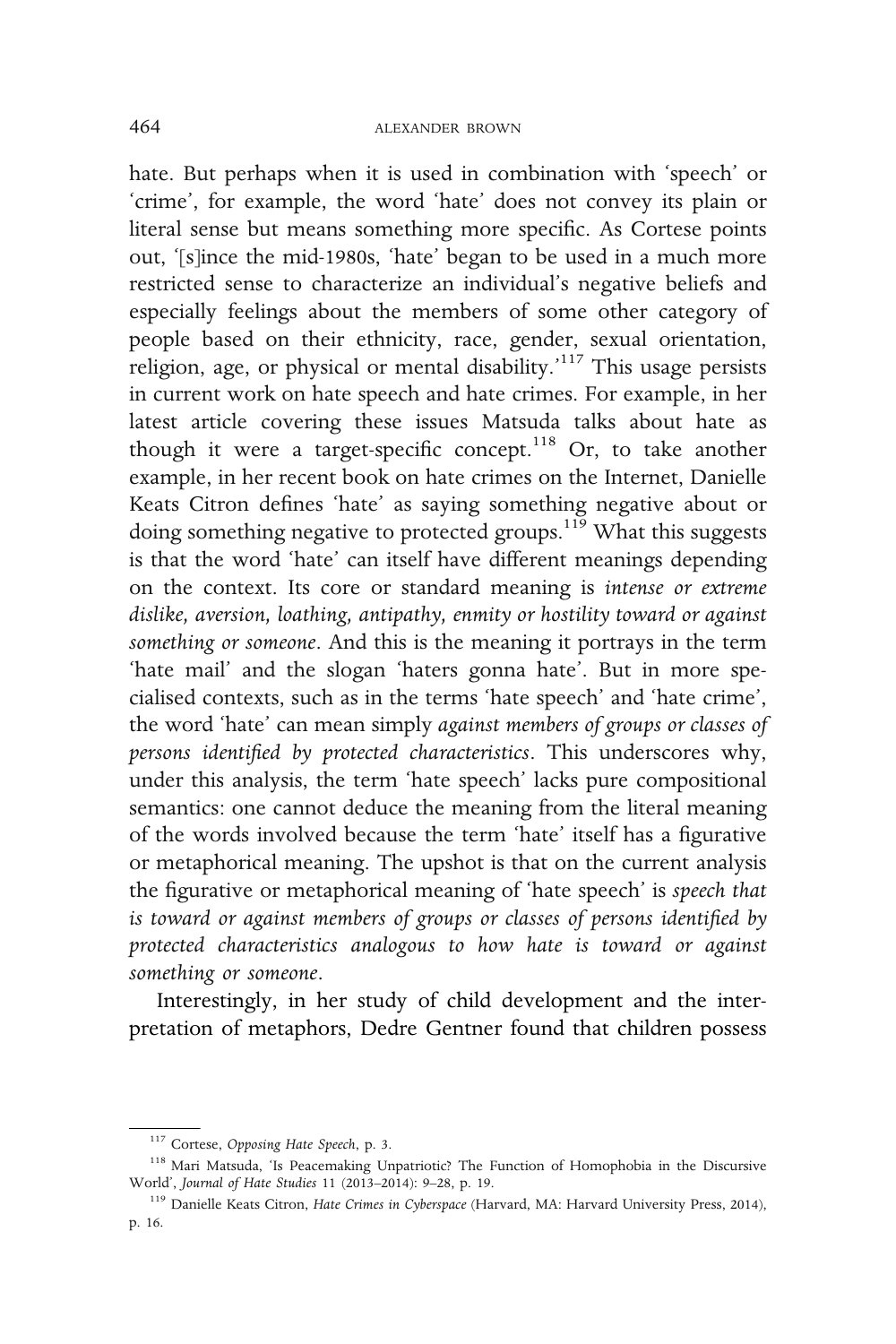hate. But perhaps when it is used in combination with 'speech' or 'crime', for example, the word 'hate' does not convey its plain or literal sense but means something more specific. As Cortese points out, '[s]ince the mid-1980s, 'hate' began to be used in a much more restricted sense to characterize an individual's negative beliefs and especially feelings about the members of some other category of people based on their ethnicity, race, gender, sexual orientation, religion, age, or physical or mental disability.<sup> $117$ </sup> This usage persists in current work on hate speech and hate crimes. For example, in her latest article covering these issues Matsuda talks about hate as though it were a target-specific concept.<sup>118</sup> Or, to take another example, in her recent book on hate crimes on the Internet, Danielle Keats Citron defines 'hate' as saying something negative about or doing something negative to protected groups.<sup>119</sup> What this suggests is that the word 'hate' can itself have different meanings depending on the context. Its core or standard meaning is intense or extreme dislike, aversion, loathing, antipathy, enmity or hostility toward or against something or someone. And this is the meaning it portrays in the term 'hate mail' and the slogan 'haters gonna hate'. But in more specialised contexts, such as in the terms 'hate speech' and 'hate crime', the word 'hate' can mean simply against members of groups or classes of persons identified by protected characteristics. This underscores why, under this analysis, the term 'hate speech' lacks pure compositional semantics: one cannot deduce the meaning from the literal meaning of the words involved because the term 'hate' itself has a figurative or metaphorical meaning. The upshot is that on the current analysis the figurative or metaphorical meaning of 'hate speech' is speech that is toward or against members of groups or classes of persons identified by protected characteristics analogous to how hate is toward or against something or someone.

Interestingly, in her study of child development and the interpretation of metaphors, Dedre Gentner found that children possess

<sup>&</sup>lt;sup>117</sup> Cortese, Opposing Hate Speech, p. 3.

<sup>118</sup> Mari Matsuda, 'Is Peacemaking Unpatriotic? The Function of Homophobia in the Discursive World', Journal of Hate Studies 11 (2013–2014): 9–28, p. 19.

<sup>&</sup>lt;sup>119</sup> Danielle Keats Citron, Hate Crimes in Cyberspace (Harvard, MA: Harvard University Press, 2014), p. 16.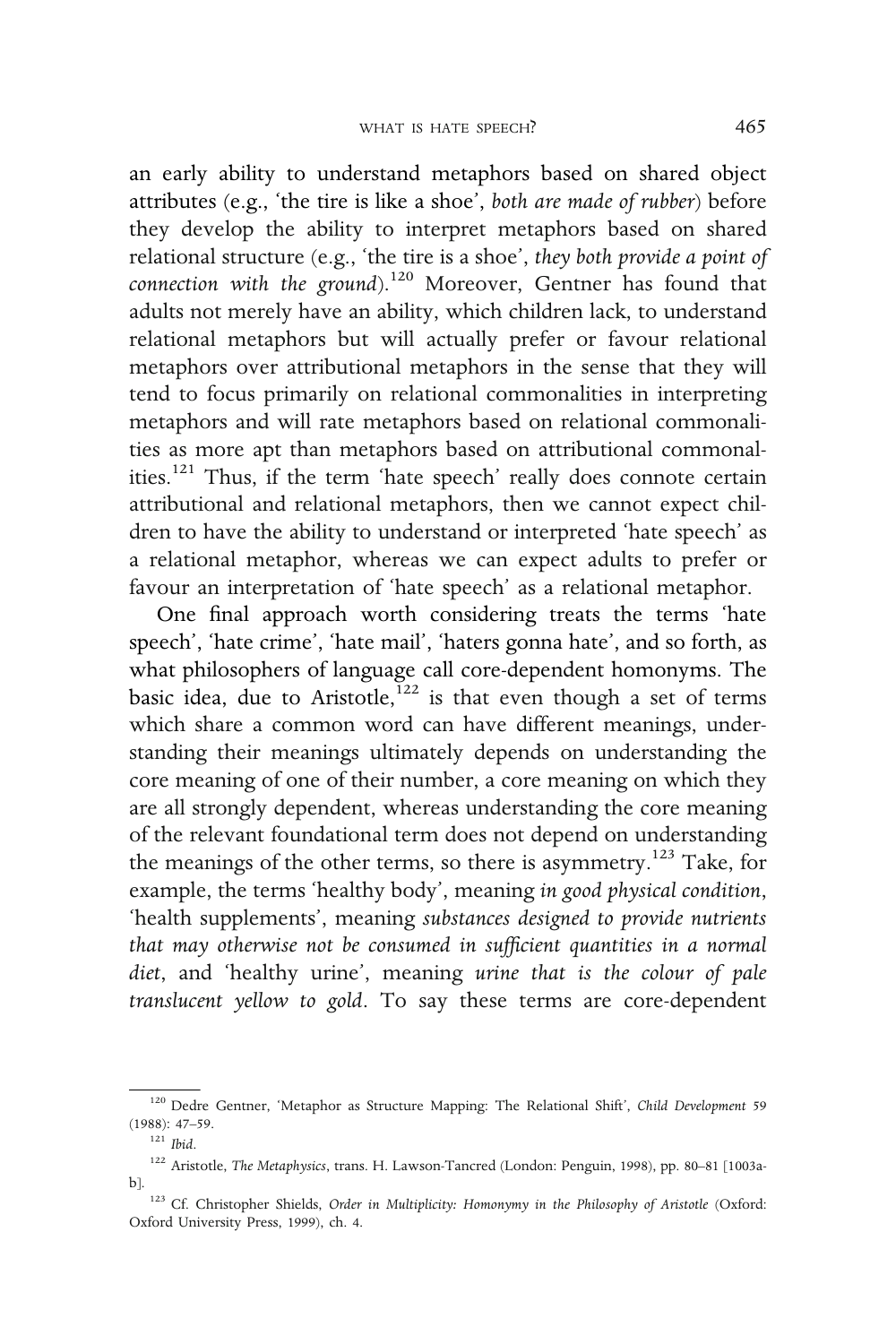an early ability to understand metaphors based on shared object attributes (e.g., 'the tire is like a shoe', both are made of rubber) before they develop the ability to interpret metaphors based on shared relational structure (e.g., 'the tire is a shoe', they both provide a point of connection with the ground).<sup>120</sup> Moreover, Gentner has found that adults not merely have an ability, which children lack, to understand relational metaphors but will actually prefer or favour relational metaphors over attributional metaphors in the sense that they will tend to focus primarily on relational commonalities in interpreting metaphors and will rate metaphors based on relational commonalities as more apt than metaphors based on attributional commonalities.<sup>121</sup> Thus, if the term 'hate speech' really does connote certain attributional and relational metaphors, then we cannot expect children to have the ability to understand or interpreted 'hate speech' as a relational metaphor, whereas we can expect adults to prefer or favour an interpretation of 'hate speech' as a relational metaphor.

One final approach worth considering treats the terms 'hate speech', 'hate crime', 'hate mail', 'haters gonna hate', and so forth, as what philosophers of language call core-dependent homonyms. The basic idea, due to Aristotle, $122$  is that even though a set of terms which share a common word can have different meanings, understanding their meanings ultimately depends on understanding the core meaning of one of their number, a core meaning on which they are all strongly dependent, whereas understanding the core meaning of the relevant foundational term does not depend on understanding the meanings of the other terms, so there is asymmetry.<sup>123</sup> Take, for example, the terms 'healthy body', meaning in good physical condition, 'health supplements', meaning substances designed to provide nutrients that may otherwise not be consumed in sufficient quantities in a normal diet, and 'healthy urine', meaning urine that is the colour of pale translucent yellow to gold. To say these terms are core-dependent

<sup>&</sup>lt;sup>120</sup> Dedre Gentner, 'Metaphor as Structure Mapping: The Relational Shift', Child Development 59 (1988): 47–59.

 $121$  Ibid.

<sup>122</sup> Aristotle, The Metaphysics, trans. H. Lawson-Tancred (London: Penguin, 1998), pp. 80–81 [1003ab].

<sup>&</sup>lt;sup>123</sup> Cf. Christopher Shields, Order in Multiplicity: Homonymy in the Philosophy of Aristotle (Oxford: Oxford University Press, 1999), ch. 4.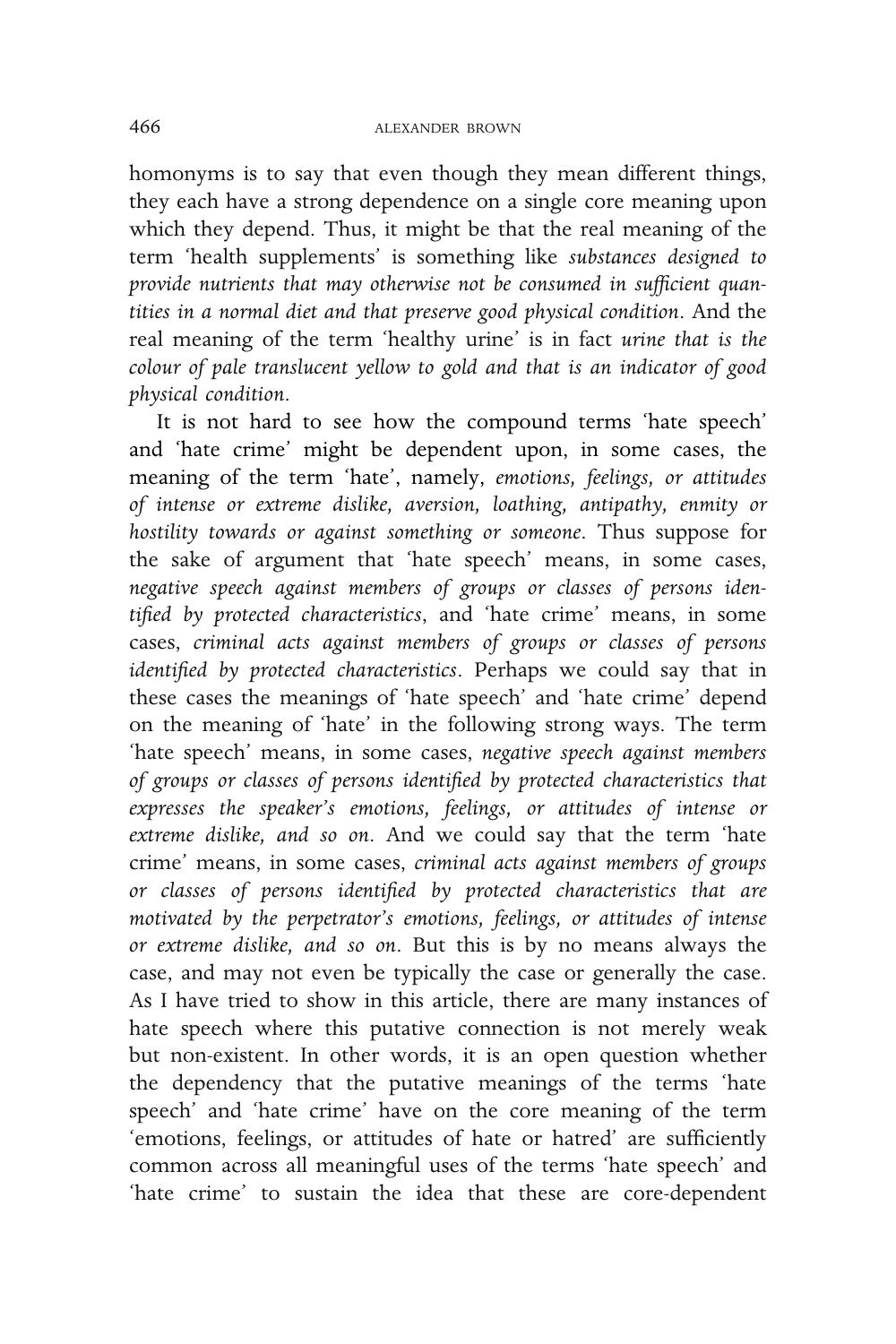homonyms is to say that even though they mean different things, they each have a strong dependence on a single core meaning upon which they depend. Thus, it might be that the real meaning of the term 'health supplements' is something like substances designed to provide nutrients that may otherwise not be consumed in sufficient quantities in a normal diet and that preserve good physical condition. And the real meaning of the term 'healthy urine' is in fact urine that is the colour of pale translucent yellow to gold and that is an indicator of good physical condition.

It is not hard to see how the compound terms 'hate speech' and 'hate crime' might be dependent upon, in some cases, the meaning of the term 'hate', namely, emotions, feelings, or attitudes of intense or extreme dislike, aversion, loathing, antipathy, enmity or hostility towards or against something or someone. Thus suppose for the sake of argument that 'hate speech' means, in some cases, negative speech against members of groups or classes of persons identified by protected characteristics, and 'hate crime' means, in some cases, criminal acts against members of groups or classes of persons identified by protected characteristics. Perhaps we could say that in these cases the meanings of 'hate speech' and 'hate crime' depend on the meaning of 'hate' in the following strong ways. The term 'hate speech' means, in some cases, negative speech against members of groups or classes of persons identified by protected characteristics that expresses the speaker's emotions, feelings, or attitudes of intense or extreme dislike, and so on. And we could say that the term 'hate crime' means, in some cases, criminal acts against members of groups or classes of persons identified by protected characteristics that are motivated by the perpetrator's emotions, feelings, or attitudes of intense or extreme dislike, and so on. But this is by no means always the case, and may not even be typically the case or generally the case. As I have tried to show in this article, there are many instances of hate speech where this putative connection is not merely weak but non-existent. In other words, it is an open question whether the dependency that the putative meanings of the terms 'hate speech' and 'hate crime' have on the core meaning of the term 'emotions, feelings, or attitudes of hate or hatred' are sufficiently common across all meaningful uses of the terms 'hate speech' and 'hate crime' to sustain the idea that these are core-dependent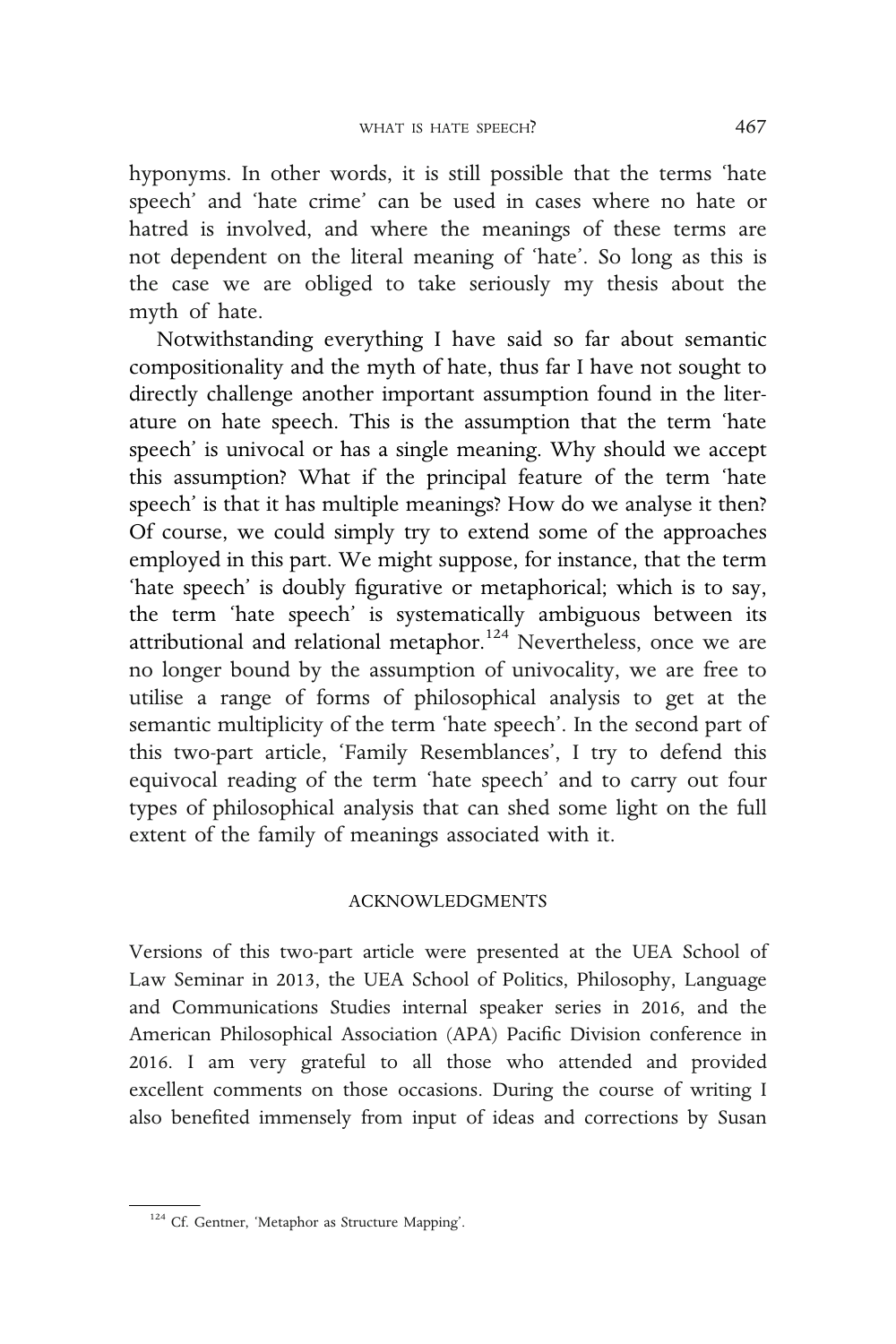hyponyms. In other words, it is still possible that the terms 'hate speech' and 'hate crime' can be used in cases where no hate or hatred is involved, and where the meanings of these terms are not dependent on the literal meaning of 'hate'. So long as this is the case we are obliged to take seriously my thesis about the myth of hate.

Notwithstanding everything I have said so far about semantic compositionality and the myth of hate, thus far I have not sought to directly challenge another important assumption found in the literature on hate speech. This is the assumption that the term 'hate speech' is univocal or has a single meaning. Why should we accept this assumption? What if the principal feature of the term 'hate speech' is that it has multiple meanings? How do we analyse it then? Of course, we could simply try to extend some of the approaches employed in this part. We might suppose, for instance, that the term 'hate speech' is doubly figurative or metaphorical; which is to say, the term 'hate speech' is systematically ambiguous between its attributional and relational metaphor.<sup>124</sup> Nevertheless, once we are no longer bound by the assumption of univocality, we are free to utilise a range of forms of philosophical analysis to get at the semantic multiplicity of the term 'hate speech'. In the second part of this two-part article, 'Family Resemblances', I try to defend this equivocal reading of the term 'hate speech' and to carry out four types of philosophical analysis that can shed some light on the full extent of the family of meanings associated with it.

#### ACKNOWLEDGMENTS

Versions of this two-part article were presented at the UEA School of Law Seminar in 2013, the UEA School of Politics, Philosophy, Language and Communications Studies internal speaker series in 2016, and the American Philosophical Association (APA) Pacific Division conference in 2016. I am very grateful to all those who attended and provided excellent comments on those occasions. During the course of writing I also benefited immensely from input of ideas and corrections by Susan

<sup>&</sup>lt;sup>124</sup> Cf. Gentner, 'Metaphor as Structure Mapping'.